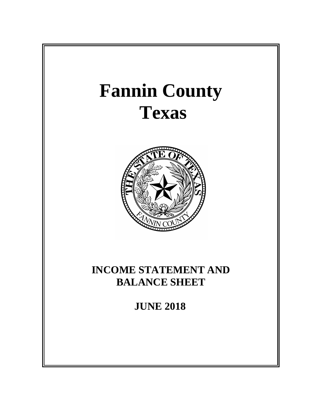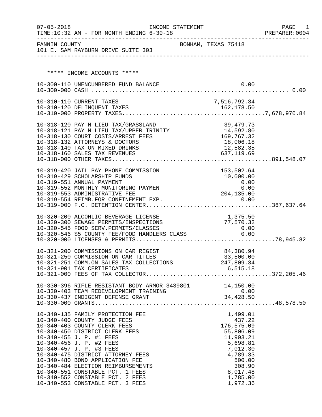| $07 - 05 - 2018$ | INCOME STATEMENT<br>TIME:10:32 AM - FOR MONTH ENDING 6-30-18                                    |                          |                         |                                                        | PAGE<br>- 1<br>PREPARER: 0004 |
|------------------|-------------------------------------------------------------------------------------------------|--------------------------|-------------------------|--------------------------------------------------------|-------------------------------|
|                  | FANNIN COUNTY<br>101 E. SAM RAYBURN DRIVE SUITE 303                                             | BONHAM, TEXAS 75418      |                         |                                                        |                               |
|                  |                                                                                                 |                          |                         |                                                        |                               |
|                  | ***** INCOME ACCOUNTS *****                                                                     |                          |                         |                                                        |                               |
|                  |                                                                                                 |                          |                         |                                                        |                               |
|                  | 10-300-110 UNENCUMBERED FUND BALANCE                                                            |                          |                         | 0.00                                                   |                               |
|                  |                                                                                                 |                          |                         |                                                        |                               |
|                  | 10-310-110 CURRENT TAXES                                                                        |                          | 7,516,792.34            |                                                        |                               |
|                  |                                                                                                 |                          |                         |                                                        |                               |
|                  |                                                                                                 |                          |                         |                                                        |                               |
|                  | 10-318-120 PAY N LIEU TAX/GRASSLAND                                                             |                          |                         | 39,479.73                                              |                               |
|                  |                                                                                                 |                          |                         |                                                        |                               |
|                  | 10-318-130 COURT COSTS/ARREST FEES<br>10-318-132 ATTORNEYS & DOCTORS                            | $169,767.32 \ 18,006.18$ |                         | 18,006.18                                              |                               |
|                  | 10-318-140 TAX ON MIXED DRINKS                                                                  |                          |                         |                                                        |                               |
|                  | 10-318-160 SALES TAX REVENUES                                                                   |                          | 12,582.35<br>637,119.69 |                                                        |                               |
|                  |                                                                                                 |                          |                         |                                                        |                               |
|                  | 10-319-420 JAIL PAY PHONE COMMISSION                                                            |                          |                         | 153,502.64                                             |                               |
|                  | 10-319-429 SCHOLARSHIP FUNDS                                                                    |                          |                         | 10,000.00                                              |                               |
|                  | 10-319-551 ANNUAL PAYMENT                                                                       |                          |                         | $\begin{array}{c} 0\, .\, 00 \ 0\, .\, 00 \end{array}$ |                               |
|                  | 10-319-552 MONTHLY MONITORING PAYMEN<br>10-319-553 ADMINISTRATIVE FEE                           |                          | 204,135.00              |                                                        |                               |
|                  |                                                                                                 |                          |                         |                                                        |                               |
|                  |                                                                                                 |                          |                         |                                                        |                               |
|                  | 10-320-200 ALCOHLIC BEVERAGE LICENSE                                                            |                          |                         | 1,375.50                                               |                               |
|                  | 10-320-300 SEWAGE PERMITS/INSPECTIONS                                                           |                          |                         | 77,570.32                                              |                               |
|                  | 10-320-545 FOOD SERV.PERMITS/CLASSES 0.00<br>10-320-546 \$5 COUNTY FEE/FOOD HANDLERS CLASS 0.00 |                          |                         |                                                        |                               |
|                  |                                                                                                 |                          |                         |                                                        |                               |
|                  |                                                                                                 |                          |                         |                                                        |                               |
|                  | 10-321-200 COMMISSIONS ON CAR REGIST                                                            |                          |                         | 84,380.94                                              |                               |
|                  | 10-321-250 COMMISSION ON CAR TITLES                                                             |                          |                         | 33,500.00                                              |                               |
|                  | 10-321-251 COMM.ON SALES TAX COLLECTIONS 247,809.34<br>10-321-901 TAX CERTIFICATES              |                          |                         | 6,515.18                                               |                               |
|                  |                                                                                                 |                          |                         |                                                        |                               |
|                  |                                                                                                 |                          |                         |                                                        |                               |
|                  | 10-330-396 RIFLE RESISTANT BODY ARMOR 3439801 14,150.00                                         |                          |                         |                                                        |                               |
|                  |                                                                                                 |                          |                         |                                                        |                               |
|                  |                                                                                                 |                          |                         |                                                        |                               |
|                  | 10-340-135 FAMILY PROTECTION FEE                                                                |                          |                         | 1,499.01                                               |                               |
|                  | 10-340-400 COUNTY JUDGE FEES                                                                    |                          |                         | 437.22                                                 |                               |
|                  | 10-340-403 COUNTY CLERK FEES                                                                    |                          |                         | 176,575.09                                             |                               |
|                  | 10-340-450 DISTRICT CLERK FEES<br>10-340-455 J. P. #1 FEES                                      |                          |                         | 55,806.09<br>11,903.21                                 |                               |
|                  | 10-340-456 J. P. #2 FEES                                                                        |                          |                         | 5,698.81                                               |                               |
|                  | 10-340-457 J. P. #3 FEES                                                                        |                          |                         | 7,012.30                                               |                               |
|                  | 10-340-475 DISTRICT ATTORNEY FEES                                                               |                          |                         | 4,789.33                                               |                               |
|                  | 10-340-480 BOND APPLICATION FEE<br>10-340-484 ELECTION REIMBURSEMENTS                           |                          |                         | 500.00<br>308.90                                       |                               |
|                  | 10-340-551 CONSTABLE PCT. 1 FEES                                                                |                          |                         | 8,017.48                                               |                               |
|                  | 10-340-552 CONSTABLE PCT. 2 FEES                                                                |                          |                         | 1,785.00                                               |                               |
|                  | 10-340-553 CONSTABLE PCT. 3 FEES                                                                |                          |                         | 1,972.36                                               |                               |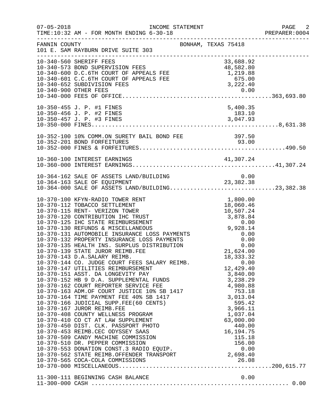| $07 - 05 - 2018$ | INCOME STATEMENT<br>TIME:10:32 AM - FOR MONTH ENDING 6-30-18<br>_____________________________________                                                                                                                                                                                                                                                                                                                                                                                                                                                                                                                                                                                                                                                                                                                                                                                                                                                                                                                                                                                                                                                                                                                                                                          |                                                                        | PAGE 2<br>PREPARER:0004 |
|------------------|--------------------------------------------------------------------------------------------------------------------------------------------------------------------------------------------------------------------------------------------------------------------------------------------------------------------------------------------------------------------------------------------------------------------------------------------------------------------------------------------------------------------------------------------------------------------------------------------------------------------------------------------------------------------------------------------------------------------------------------------------------------------------------------------------------------------------------------------------------------------------------------------------------------------------------------------------------------------------------------------------------------------------------------------------------------------------------------------------------------------------------------------------------------------------------------------------------------------------------------------------------------------------------|------------------------------------------------------------------------|-------------------------|
| FANNIN COUNTY    | BONHAM, TEXAS 75418<br>101 E. SAM RAYBURN DRIVE SUITE 303                                                                                                                                                                                                                                                                                                                                                                                                                                                                                                                                                                                                                                                                                                                                                                                                                                                                                                                                                                                                                                                                                                                                                                                                                      |                                                                        |                         |
|                  | 10-340-560 SHERIFF FEES<br>10-340-573 BOND SUPERVISION FEES<br>10-340-600 D.C.6TH COURT OF APPEALS FEE 48,582.80<br>10-340-601 C.C.6TH COURT OF APPEALS FEE 1,219.88<br>10-340-652 SUBDIVISION FEES 675.00<br>10-340-652 SUBDIVISION FEES 3,222.40<br>10-340-900 OT                                                                                                                                                                                                                                                                                                                                                                                                                                                                                                                                                                                                                                                                                                                                                                                                                                                                                                                                                                                                            | 33,688.92                                                              |                         |
|                  | 10-350-455 J. P. #1 FINES                                                                                                                                                                                                                                                                                                                                                                                                                                                                                                                                                                                                                                                                                                                                                                                                                                                                                                                                                                                                                                                                                                                                                                                                                                                      | 5,400.35                                                               |                         |
|                  | 10-352-100 10% COMM.ON SURETY BAIL BOND FEE 397.50                                                                                                                                                                                                                                                                                                                                                                                                                                                                                                                                                                                                                                                                                                                                                                                                                                                                                                                                                                                                                                                                                                                                                                                                                             |                                                                        |                         |
|                  | 10-360-100 INTEREST EARNINGS                                                                                                                                                                                                                                                                                                                                                                                                                                                                                                                                                                                                                                                                                                                                                                                                                                                                                                                                                                                                                                                                                                                                                                                                                                                   |                                                                        |                         |
|                  | 10-364-162 SALE OF ASSETS LAND/BUILDING<br>10-364-163 SALE OF EQUIPMENT 23,382.38<br>10-364-000 SALE OF ASSETS LAND/BUILDING23,382.38                                                                                                                                                                                                                                                                                                                                                                                                                                                                                                                                                                                                                                                                                                                                                                                                                                                                                                                                                                                                                                                                                                                                          |                                                                        |                         |
|                  | $\begin{tabular}{lllllllllllllllllllllll} & 0-364-000 & \text{KFYN-RADIO TOWER RENT} & 1,000.00 \\ \text{LO-370-112 TOBACCO SETTLEMENT} & 18,060.46 \\ \text{LO-370-112 TOBACCO SETTLEMENT} & 18,060.46 \\ \text{LO-370-115 RENT- VERIZON TOWER} & 10,507.24 \\ \text{LO-370-120 CONTREBUTION IHC TRUST} & 3,878.84 \\ \text{LO-370-125 IHC STATE REIMBURSEMENT} & 0.00 \\ \text{LO-$<br>10-370-143 D.A.SALARY REIMB.<br>10-370-144 CO. JUDGE COURT FEES SALARY REIMB.<br>10-370-147 UTILITIES REIMBURSEMENT<br>$\begin{tabular}{lllllllllllllllllllll} & & & & & & 12,429.40 & \\ \texttt{\footnotesize\sc i=10-370-162 COURT REDORTER SERVICE FEE} & & & & 3,840.00 & \\ \texttt{\footnotesize\sc i=10-370-163 ADM.OF COURT JUSTICE TDE} & & & 4,980.88 & \\ \texttt{\footnotesize\sc 10-370-164 TIME PAYMENT FEE 40&\text{SB 1417} & & & 753.18 & \\ \texttt{\footnotesize\sc 10-370-166 JUDICIAL SUPP.FEE (60 CENTS) &$<br>10-370-410 CO CT AT LAW SUPPLEMENT<br>10-370-450 DIST. CLK. PASSPORT PHOTO<br>10-370-453 REIMB.CEC ODYSSEY SAAS<br>10-370-510 DR. PEPPER COMMISSION 10-370-510 DR. PEPPER COMMISSION 156.00<br>10-370-553 DONATION CONST.3 RADIO EQUIP. 0.00<br>10-370-562 STATE REIMB.OFFENDER TRANSPORT 2,698.40<br>10-370-565 COCA-COLA COMMISSIONS 2,698.40 | 18, 333. 32<br>0.00<br>12,429.40<br>63,000.00<br>440.00<br>16, 194. 75 |                         |
|                  |                                                                                                                                                                                                                                                                                                                                                                                                                                                                                                                                                                                                                                                                                                                                                                                                                                                                                                                                                                                                                                                                                                                                                                                                                                                                                |                                                                        |                         |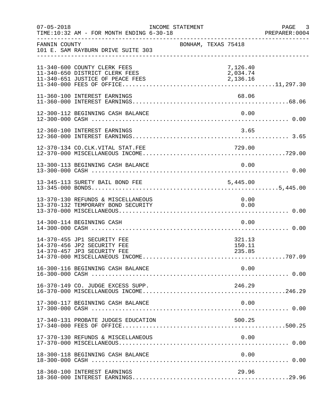| $07 - 05 - 2018$ | TIME:10:32 AM - FOR MONTH ENDING 6-30-18                                                           | INCOME STATEMENT |                     |                                  | $\overline{\phantom{a}}$ 3<br>PAGE<br>PREPARER: 0004 |
|------------------|----------------------------------------------------------------------------------------------------|------------------|---------------------|----------------------------------|------------------------------------------------------|
| FANNIN COUNTY    | 101 E. SAM RAYBURN DRIVE SUITE 303                                                                 |                  | BONHAM, TEXAS 75418 |                                  |                                                      |
|                  | 11-340-600 COUNTY CLERK FEES<br>11-340-650 DISTRICT CLERK FEES<br>11-340-651 JUSTICE OF PEACE FEES |                  |                     | 7,126.40<br>2,034.74<br>2,136.16 |                                                      |
|                  | 11-360-100 INTEREST EARNINGS                                                                       |                  |                     | 68.06                            |                                                      |
|                  | 12-300-112 BEGINNING CASH BALANCE                                                                  |                  |                     | 0.00                             |                                                      |
|                  | 12-360-100 INTEREST EARNINGS                                                                       |                  |                     | 3.65                             |                                                      |
|                  | 12-370-134 CO.CLK.VITAL STAT.FEE                                                                   |                  |                     | 729.00                           |                                                      |
|                  | 13-300-113 BEGINNING CASH BALANCE                                                                  |                  |                     | 0.00                             |                                                      |
|                  | 13-345-113 SURETY BAIL BOND FEE                                                                    |                  |                     | 5,445.00                         |                                                      |
|                  | 13-370-130 REFUNDS & MISCELLANEOUS<br>13-370-132 TEMPORARY BOND SECURITY                           |                  |                     | 0.00<br>0.00                     |                                                      |
|                  | 14-300-114 BEGINNING CASH                                                                          |                  |                     | 0.00                             |                                                      |
|                  | 14-370-455 JP1 SECURITY FEE<br>14-370-456 JP2 SECURITY FEE<br>14-370-457 JP3 SECURITY FEE          |                  |                     | 321.13<br>150.11<br>235.85       |                                                      |
|                  | 16-300-116 BEGINNING CASH BALANCE                                                                  |                  |                     | 0.00                             |                                                      |
|                  | 16-370-149 CO. JUDGE EXCESS SUPP.                                                                  |                  |                     | 246.29                           |                                                      |
|                  | 17-300-117 BEGINNING CASH BALANCE                                                                  |                  |                     | 0.00                             |                                                      |
|                  | 17-340-131 PROBATE JUDGES EDUCATION                                                                |                  |                     | 500.25                           |                                                      |
|                  | 17-370-130 REFUNDS & MISCELLANEOUS                                                                 |                  |                     | 0.00                             |                                                      |
|                  | 18-300-118 BEGINNING CASH BALANCE                                                                  |                  |                     | 0.00                             |                                                      |
|                  | 18-360-100 INTEREST EARNINGS                                                                       |                  |                     | 29.96                            |                                                      |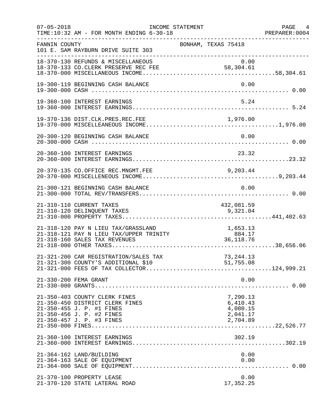| $07 - 05 - 2018$ | TIME:10:32 AM - FOR MONTH ENDING 6-30-18                                                                                                                | INCOME STATEMENT | ___________________________________                      |              | PAGE 4<br>PREPARER:0004 |
|------------------|---------------------------------------------------------------------------------------------------------------------------------------------------------|------------------|----------------------------------------------------------|--------------|-------------------------|
| FANNIN COUNTY    | 101 E. SAM RAYBURN DRIVE SUITE 303<br>__________________________________                                                                                |                  | BONHAM, TEXAS 75418                                      |              |                         |
|                  | 18-370-130 REFUNDS & MISCELLANEOUS<br>18-370-133 CO.CLERK PRESERVE REC FEE                                                                              |                  | 0.00<br>58,304.61                                        |              |                         |
|                  | 19-300-119 BEGINNING CASH BALANCE                                                                                                                       |                  |                                                          | 0.00         |                         |
|                  | 19-360-100 INTEREST EARNINGS                                                                                                                            |                  |                                                          | 5.24         |                         |
|                  | 19-370-136 DIST.CLK.PRES.REC.FEE                                                                                                                        |                  | 1,976.00                                                 |              |                         |
|                  | 20-300-120 BEGINNING CASH BALANCE                                                                                                                       |                  |                                                          | 0.00         |                         |
|                  | 20-360-100 INTEREST EARNINGS                                                                                                                            |                  | 23.32                                                    |              |                         |
|                  | 20-370-135 CO.OFFICE REC.MNGMT.FEE                                                                                                                      |                  | 9,203.44                                                 |              |                         |
|                  | 21-300-121 BEGINNING CASH BALANCE                                                                                                                       |                  |                                                          | 0.00         |                         |
|                  | 21-310-110 CURRENT TAXES<br>21-310-120 DELINQUENT TAXES                                                                                                 |                  | 432,081.59<br>9,321.04                                   |              |                         |
|                  |                                                                                                                                                         |                  |                                                          |              |                         |
|                  | 21-321-200 CAR REGISTRATION/SALES TAX                                                                                                                   |                  | 73, 244. 13                                              |              |                         |
|                  | 21-330-200 FEMA GRANT                                                                                                                                   |                  |                                                          | 0.00         |                         |
|                  | 21-350-403 COUNTY CLERK FINES<br>21-350-450 DISTRICT CLERK FINES<br>21-350-455 J. P. #1 FINES<br>21-350-456 J. P. #2 FINES<br>21-350-457 J. P. #3 FINES |                  | 7,290.13<br>6,410.43<br>4,080.15<br>2,041.17<br>2,704.89 |              |                         |
|                  | 21-360-100 INTEREST EARNINGS                                                                                                                            |                  | 302.19                                                   |              |                         |
|                  | 21-364-162 LAND/BUILDING<br>21-364-163 SALE OF EQUIPMENT                                                                                                |                  |                                                          | 0.00<br>0.00 |                         |
|                  | 21-370-100 PROPERTY LEASE<br>21-370-120 STATE LATERAL ROAD                                                                                              |                  | 17,352.25                                                | 0.00         |                         |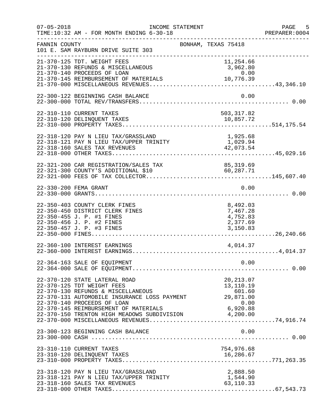| $07 - 05 - 2018$      | INCOME STATEMENT<br>TIME:10:32 AM - FOR MONTH ENDING 6-30-18                                                                                                                                                                                                                               |                                                          | PAGE 5<br>PREPARER:0004 |
|-----------------------|--------------------------------------------------------------------------------------------------------------------------------------------------------------------------------------------------------------------------------------------------------------------------------------------|----------------------------------------------------------|-------------------------|
| FANNIN COUNTY         | 101 E. SAM RAYBURN DRIVE SUITE 303<br>---------------------                                                                                                                                                                                                                                | BONHAM, TEXAS 75418<br>________________________          |                         |
|                       | 21-370-125 TDT. WEIGHT FEES<br>21-370-130 REFUNDS & MISCELLANEOUS<br>21-370-140 PROCEEDS OF LOAN                                                                                                                                                                                           | 11,254.66<br>3,962.80<br>0.00                            |                         |
|                       | 22-300-122 BEGINNING CASH BALANCE                                                                                                                                                                                                                                                          | 0.00                                                     |                         |
|                       | 22-310-110 CURRENT TAXES                                                                                                                                                                                                                                                                   | 503, 317.82                                              |                         |
|                       | 22-318-120 PAY N LIEU TAX/GRASSLAND<br>22-318-121 PAY N LIEU TAX/UPPER TRINITY<br>22-318-160 SALES TAX REVENUES                                                                                                                                                                            | 1,925.68<br>1,029.94<br>42,073.54                        |                         |
|                       | 22-321-200 CAR REGISTRATION/SALES TAX<br>22-321-300 COUNTY'S ADDITIONAL \$10                                                                                                                                                                                                               | AX 85,319.69<br>60,287.71                                |                         |
| 22-330-200 FEMA GRANT |                                                                                                                                                                                                                                                                                            | 0.00                                                     |                         |
|                       | 22-350-403 COUNTY CLERK FINES<br>22-350-450 DISTRICT CLERK FINES<br>22-350-455 J. P. #1 FINES<br>22-350-456 J. P. #2 FINES<br>22-350-457 J. P. #3 FINES                                                                                                                                    | 8,492.03<br>7,467.28<br>4,752.83<br>2,377.69<br>3,150.83 |                         |
|                       | 22-360-100 INTEREST EARNINGS                                                                                                                                                                                                                                                               | 4,014.37                                                 |                         |
|                       | 22-364-163 SALE OF EQUIPMENT                                                                                                                                                                                                                                                               | 0.00                                                     |                         |
|                       | 22-370-120 STATE LATERAL ROAD<br>22-370-125 TDT WEIGHT FEES<br>22-370-130 REFUNDS & MISCELLANEOUS<br>22-370-131 AUTOMOBILE INSURANCE LOSS PAYMENT<br>22-370-140 PROCEEDS OF LOAN<br>22-370-145 REIMBURSEMENT OF MATERIALS 6,920.88<br>22-370-150 TRENTON HIGH MEADOWS SUBDIVISION 4,200.00 | 20, 213.07<br>13,110.19<br>601.60<br>29,871.00<br>0.00   |                         |
|                       | 23-300-123 BEGINNING CASH BALANCE                                                                                                                                                                                                                                                          | 0.00                                                     |                         |
|                       | 23-310-110 CURRENT TAXES                                                                                                                                                                                                                                                                   | 754,976.68                                               |                         |
|                       | 23-318-120 PAY N LIEU TAX/GRASSLAND<br>23-318-121 PAY N LIEU TAX/UPPER TRINITY<br>23-318-160 SALES TAX REVENUES                                                                                                                                                                            | 2,888.50<br>1,544.90<br>63, 110. 33                      |                         |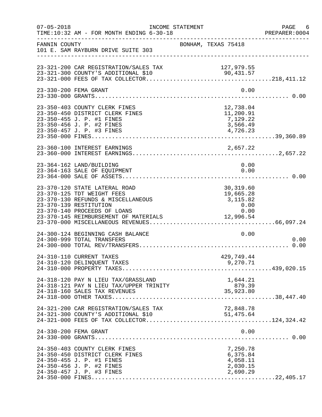| $07 - 05 - 2018$ | TIME:10:32 AM - FOR MONTH ENDING 6-30-18                                                                                                                                                             | INCOME STATEMENT                                                 | PAGE 6<br>PREPARER: 0004 |
|------------------|------------------------------------------------------------------------------------------------------------------------------------------------------------------------------------------------------|------------------------------------------------------------------|--------------------------|
| FANNIN COUNTY    | 101 E. SAM RAYBURN DRIVE SUITE 303                                                                                                                                                                   | ----------------------------------<br>BONHAM, TEXAS 75418        |                          |
|                  | 23-321-200 CAR REGISTRATION/SALES TAX<br>23-321-300 COUNTY'S ADDITIONAL \$10                                                                                                                         | 127,979.55                                                       |                          |
|                  | 23-330-200 FEMA GRANT                                                                                                                                                                                | 0.00                                                             |                          |
|                  | 23-350-403 COUNTY CLERK FINES<br>23-350-450 DISTRICT CLERK FINES<br>23-350-455 J. P. #1 FINES                                                                                                        | 12,738.04<br>11,200.91<br>7,129.22                               |                          |
|                  | 23-360-100 INTEREST EARNINGS                                                                                                                                                                         |                                                                  |                          |
|                  | 23-364-162 LAND/BUILDING<br>23-364-163 SALE OF EQUIPMENT                                                                                                                                             | 0.00<br>0.00                                                     |                          |
|                  | 23-370-120 STATE LATERAL ROAD<br>23-370-125 TDT WEIGHT FEES<br>23-370-130 REFUNDS & MISCELLANEOUS<br>23-370-139 RESTITUTION<br>23-370-140 PROCEEDS OF LOANS<br>23-370-145 REIMBURSEMENT OF MATERIALS | 30,319.60<br>19,665.28<br>3, 115.82<br>0.00<br>0.00<br>12,996.54 |                          |
|                  | 24-300-124 BEGINNING CASH BALANCE<br>24-300-999 TOTAL TRANSFERS                                                                                                                                      | 0.00                                                             | 0.00                     |
|                  | 24-310-110 CURRENT TAXES<br>24-310-120 DELINQUENT TAXES                                                                                                                                              | 429,749.44<br>9,270.71                                           |                          |
|                  | 24-318-120 PAY N LIEU TAX/GRASSLAND<br>24-318-121 PAY N LIEU TAX/UPPER TRINITY<br>24-318-160 SALES TAX REVENUES                                                                                      | 1,644.21<br>879.39<br>35,923.80                                  |                          |
|                  | 24-321-200 CAR REGISTRATION/SALES TAX<br>24-321-300 COUNTY'S ADDITIONAL \$10                                                                                                                         | 72,848.78<br>51,475.64                                           |                          |
|                  | 24-330-200 FEMA GRANT                                                                                                                                                                                | 0.00                                                             |                          |
|                  | 24-350-403 COUNTY CLERK FINES<br>24-350-450 DISTRICT CLERK FINES<br>24-350-455 J. P. #1 FINES<br>24-350-456 J. P. #2 FINES<br>24-350-457 J. P. #3 FINES                                              | 7,250.78<br>6,375.84<br>4,058.11<br>2,030.15<br>2,690.29         |                          |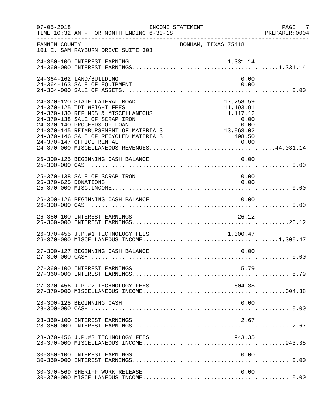| $07 - 05 - 2018$     | INCOME STATEMENT<br>TIME:10:32 AM - FOR MONTH ENDING 6-30-18                                                                                                                                                                                        |                                                                                     | PAGE<br>7<br>PREPARER: 0004 |
|----------------------|-----------------------------------------------------------------------------------------------------------------------------------------------------------------------------------------------------------------------------------------------------|-------------------------------------------------------------------------------------|-----------------------------|
| FANNIN COUNTY        | 101 E. SAM RAYBURN DRIVE SUITE 303                                                                                                                                                                                                                  | BONHAM, TEXAS 75418                                                                 |                             |
|                      | 24-360-100 INTEREST EARNING                                                                                                                                                                                                                         |                                                                                     |                             |
|                      | 24-364-162 LAND/BUILDING<br>24-364-163 SALE OF EQUIPMENT                                                                                                                                                                                            | 0.00<br>0.00                                                                        |                             |
|                      | 24-370-120 STATE LATERAL ROAD<br>24-370-125 TDT WEIGHT FEES<br>24-370-130 REFUNDS & MISCELLANEOUS<br>24-370-138 SALE OF SCRAP IRON<br>24-370-140 PROCEEDS OF LOAN<br>24-370-145 REIMBURSEMENT OF MATERIALS<br>24-370-146 SALE OF RECYCLED MATERIALS | 17,258.59<br>11,193.91<br>1,117.12<br>0.00<br>$0.00$<br>0.00<br>13,963.02<br>498.50 |                             |
|                      | 25-300-125 BEGINNING CASH BALANCE                                                                                                                                                                                                                   | 0.00                                                                                |                             |
| 25-370-625 DONATIONS | 25-370-138 SALE OF SCRAP IRON                                                                                                                                                                                                                       | 0.00<br>0.00                                                                        |                             |
|                      | 26-300-126 BEGINNING CASH BALANCE                                                                                                                                                                                                                   | 0.00                                                                                |                             |
|                      | 26-360-100 INTEREST EARNINGS                                                                                                                                                                                                                        | 26.12                                                                               |                             |
|                      | 26-370-455 J.P.#1 TECHNOLOGY FEES                                                                                                                                                                                                                   | 1,300.47                                                                            |                             |
|                      | 27-300-127 BEGINNING CASH BALANCE                                                                                                                                                                                                                   | 0.00                                                                                |                             |
|                      | 27-360-100 INTEREST EARNINGS                                                                                                                                                                                                                        | 5.79                                                                                |                             |
|                      | 27-370-456 J.P.#2 TECHNOLOGY FEES                                                                                                                                                                                                                   | 604.38                                                                              |                             |
|                      | 28-300-128 BEGINNING CASH                                                                                                                                                                                                                           | 0.00                                                                                |                             |
|                      | 28-360-100 INTEREST EARNINGS                                                                                                                                                                                                                        | 2.67                                                                                |                             |
|                      | 28-370-456 J.P.#3 TECHNOLOGY FEES                                                                                                                                                                                                                   | 943.35                                                                              |                             |
|                      | 30-360-100 INTEREST EARNINGS                                                                                                                                                                                                                        | 0.00                                                                                |                             |
|                      | 30-370-569 SHERIFF WORK RELEASE                                                                                                                                                                                                                     | 0.00                                                                                |                             |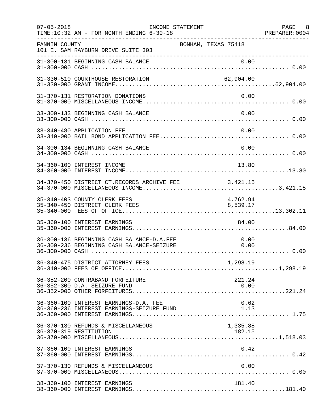| $07 - 05 - 2018$ | INCOME STATEMENT<br>TIME:10:32 AM - FOR MONTH ENDING 6-30-18                           | ------------------------------------- | PAGE 8<br>PREPARER:0004 |
|------------------|----------------------------------------------------------------------------------------|---------------------------------------|-------------------------|
| FANNIN COUNTY    | 101 E. SAM RAYBURN DRIVE SUITE 303<br>---------------------------------                | BONHAM, TEXAS 75418                   |                         |
|                  | 31-300-131 BEGINNING CASH BALANCE                                                      | 0.00                                  |                         |
|                  | 31-330-510 COURTHOUSE RESTORATION                                                      | 62,904.00                             |                         |
|                  | 31-370-131 RESTORATION DONATIONS                                                       | 0.00                                  |                         |
|                  | 33-300-133 BEGINNING CASH BALANCE                                                      | 0.00                                  |                         |
|                  | 33-340-480 APPLICATION FEE                                                             | 0.00                                  |                         |
|                  | 34-300-134 BEGINNING CASH BALANCE                                                      | 0.00                                  |                         |
|                  | 34-360-100 INTEREST INCOME                                                             | 13.80                                 |                         |
|                  | 34-370-450 DISTRICT CT.RECORDS ARCHIVE FEE 3,421.15                                    |                                       |                         |
|                  | 35-340-403 COUNTY CLERK FEES<br>35-340-450 DISTRICT CLERK FEES                         | 4,762.94<br>8,539.17                  |                         |
|                  | 35-360-100 INTEREST EARNINGS                                                           | 84.00                                 |                         |
|                  | 36-300-136 BEGINNING CASH BALANCE-D.A.FEE<br>36-300-236 BEGINNING CASH BALANCE-SEIZURE | 0.00<br>0.00                          |                         |
|                  |                                                                                        |                                       |                         |
|                  | 36-352-200 CONTRABAND FORFEITURE<br>36-352-300 D.A. SEIZURE FUND                       | 221.24<br>0.00                        |                         |
|                  | 36-360-100 INTEREST EARNINGS-D.A. FEE<br>36-360-236 INTEREST EARNINGS-SEIZURE FUND     | 0.62<br>1.13                          |                         |
|                  | 36-370-130 REFUNDS & MISCELLANEOUS<br>36-370-319 RESTITUTION                           | 1,335.88<br>182.15                    |                         |
|                  | 37-360-100 INTEREST EARNINGS                                                           | 0.42                                  |                         |
|                  | 37-370-130 REFUNDS & MISCELLANEOUS                                                     | 0.00                                  |                         |
|                  | 38-360-100 INTEREST EARNINGS                                                           | 181.40                                |                         |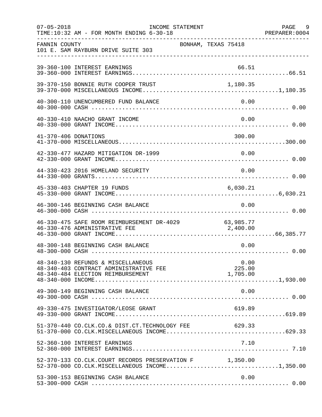| $07 - 05 - 2018$     | INCOME STATEMENT<br>TIME:10:32 AM - FOR MONTH ENDING 6-30-18                                                      |                     |                            | PAGE 9<br>PREPARER: 0004 |
|----------------------|-------------------------------------------------------------------------------------------------------------------|---------------------|----------------------------|--------------------------|
| FANNIN COUNTY        | 101 E. SAM RAYBURN DRIVE SUITE 303                                                                                | BONHAM, TEXAS 75418 |                            |                          |
|                      | 39-360-100 INTEREST EARNINGS                                                                                      |                     | 66.51                      |                          |
|                      | 39-370-150 BONNIE RUTH COOPER TRUST                                                                               |                     | 1,180.35                   |                          |
|                      | 40-300-110 UNENCUMBERED FUND BALANCE                                                                              |                     | 0.00                       |                          |
|                      | 40-330-410 NAACHO GRANT INCOME                                                                                    |                     | 0.00                       |                          |
| 41-370-406 DONATIONS |                                                                                                                   |                     | 300.00                     |                          |
|                      | 42-330-477 HAZARD MITIGATION DR-1999                                                                              |                     | 0.00                       |                          |
|                      | 44-330-423 2016 HOMELAND SECURITY                                                                                 |                     | 0.00                       |                          |
|                      | 45-330-403 CHAPTER 19 FUNDS                                                                                       |                     | 6,030.21                   |                          |
|                      | 46-300-146 BEGINNING CASH BALANCE                                                                                 |                     | 0.00                       |                          |
|                      | 46-330-475 SAFE ROOM REIMBURSEMENT DR-4029 63,985.77<br>46-330-476 ADMINISTRATIVE FEE 2,400.00                    |                     |                            |                          |
|                      | 48-300-148 BEGINNING CASH BALANCE                                                                                 |                     | 0.00                       |                          |
|                      | 48-340-130 REFUNDS & MISCELLANEOUS<br>48-340-403 CONTRACT ADMINISTRATIVE FEE<br>48-340-484 ELECTION REIMBURSEMENT |                     | 0.00<br>225.00<br>1,705.00 |                          |
|                      | 49-300-149 BEGINNING CASH BALANCE                                                                                 |                     | 0.00                       |                          |
|                      | 49-330-475 INVESTIGATOR/LEOSE GRANT                                                                               |                     | 619.89                     |                          |
|                      | 51-370-440 CO.CLK.CO.& DIST.CT.TECHNOLOGY FEE 629.33                                                              |                     |                            |                          |
|                      | 52-360-100 INTEREST EARNINGS                                                                                      |                     | 7.10                       |                          |
|                      | 52-370-133 CO.CLK.COURT RECORDS PRESERVATION F 1,350.00<br>52-370-000 CO.CLK.MISCELLANEOUS INCOME1,350.00         |                     |                            |                          |
|                      | 53-300-153 BEGINNING CASH BALANCE                                                                                 |                     | 0.00                       |                          |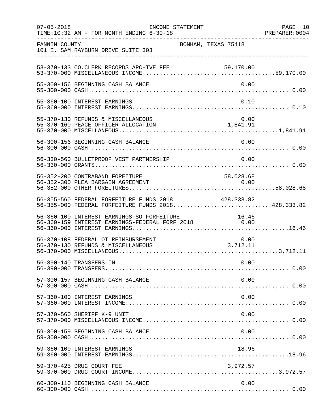| $07 - 05 - 2018$ | INCOME STATEMENT<br>TIME:10:32 AM - FOR MONTH ENDING 6-30-18                                                                                          |                                                              | PAGE 10<br>PREPARER:0004 |
|------------------|-------------------------------------------------------------------------------------------------------------------------------------------------------|--------------------------------------------------------------|--------------------------|
| FANNIN COUNTY    | 101 E. SAM RAYBURN DRIVE SUITE 303                                                                                                                    | BONHAM, TEXAS 75418                                          |                          |
|                  |                                                                                                                                                       |                                                              |                          |
|                  | 55-300-156 BEGINNING CASH BALANCE                                                                                                                     | 0.00                                                         |                          |
|                  | 55-360-100 INTEREST EARNINGS                                                                                                                          | 0.10                                                         |                          |
|                  | 55-370-130 REFUNDS & MISCELLANEOUS<br>55-370-160 PEACE OFFICER ALLOCATION                                                                             | 0.00<br>$\begin{smallmatrix}0.00\\1,841.91\end{smallmatrix}$ |                          |
|                  | 56-300-156 BEGINNING CASH BALANCE                                                                                                                     | 0.00                                                         |                          |
|                  | 56-330-560 BULLETPROOF VEST PARTNERSHIP                                                                                                               | 0.00                                                         |                          |
|                  | 56-352-200 CONTRABAND FOREITURE                                                                                                                       | 58,028.68                                                    |                          |
|                  | 56-355-560 FEDERAL FORFEITURE FUNDS 2018 428,333.82<br>56-355-000 FEDERAL FORFEITURE FUNDS 2018428,333.82                                             |                                                              |                          |
|                  | 56-360-100 INTEREST EARNINGS-SO FORFEITURE<br>56-360-100 INTEREST EARNINGS-SO FORFEITURE 16.46<br>56-360-159 INTEREST EARNINGS-FEDERAL FORF 2018 0.00 |                                                              |                          |
|                  | 56-370-108 FEDERAL OT REIMBURSEMENT<br>56-370-130 REFUNDS & MISCELLANEOUS                                                                             | 0.00<br>3,712.11                                             |                          |
|                  | 56-390-140 TRANSFERS IN                                                                                                                               | 0.00                                                         |                          |
|                  | 57-300-157 BEGINNING CASH BALANCE                                                                                                                     | 0.00                                                         |                          |
|                  | 57-360-100 INTEREST EARNINGS                                                                                                                          | 0.00                                                         |                          |
|                  | 57-370-560 SHERIFF K-9 UNIT                                                                                                                           | 0.00                                                         |                          |
|                  | 59-300-159 BEGINNING CASH BALANCE                                                                                                                     | 0.00                                                         |                          |
|                  | 59-360-100 INTEREST EARNINGS                                                                                                                          | 18.96                                                        |                          |
|                  | 59-370-425 DRUG COURT FEE                                                                                                                             | 3,972.57                                                     |                          |
|                  | 60-300-110 BEGINNING CASH BALANCE                                                                                                                     | 0.00                                                         |                          |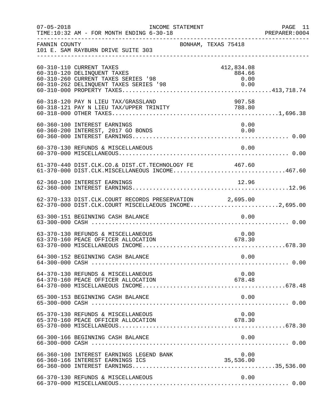| $07 - 05 - 2018$ | INCOME STATEMENT<br>TIME:10:32 AM - FOR MONTH ENDING 6-30-18                                                                                                                |                                      | PAGE 11<br>PREPARER: 0004 |
|------------------|-----------------------------------------------------------------------------------------------------------------------------------------------------------------------------|--------------------------------------|---------------------------|
| FANNIN COUNTY    | 101 E. SAM RAYBURN DRIVE SUITE 303                                                                                                                                          | BONHAM, TEXAS 75418                  |                           |
|                  | 60-310-110 CURRENT TAXES<br>60-310-120 DELINQUENT TAXES<br>60-310-260 CURRENT TAXES SERIES '98<br>60-310-262 DELINQUENT TAXES SERIES '98                                    | 412,834.08<br>884.66<br>0.00<br>0.00 |                           |
|                  | 60-318-120 PAY N LIEU TAX/GRASSLAND                                                                                                                                         | 907.58                               |                           |
|                  | 60-360-100 INTEREST EARNINGS<br>60-360-200 INTEREST, 2017 GO BONDS                                                                                                          | 0.00<br>0.00                         |                           |
|                  | 60-370-130 REFUNDS & MISCELLANEOUS                                                                                                                                          | 0.00                                 |                           |
|                  | 61-370-440 DIST.CLK.CO.& DIST.CT.TECHNOLOGY FE 467.60<br>61-370-000 DIST.CLK.MISCELLANEOUS INCOME467.60                                                                     |                                      |                           |
|                  | 62-360-100 INTEREST EARNINGS                                                                                                                                                | 12.96                                |                           |
|                  | 62-370-133 DIST.CLK.COURT RECORDS PRESERVATION 2,695.00<br>02-370-133 DIST.CLR.COORT RECORDS PRESERVATION 2,099.00<br>62-370-000 DIST.CLK.COURT MISCELLAEOUS INCOME2,695.00 |                                      |                           |
|                  | 63-300-151 BEGINNING CASH BALANCE                                                                                                                                           | 0.00                                 |                           |
|                  | 63-370-130 REFUNDS & MISCELLANEOUS<br>63-370-160 PEACE OFFICER ALLOCATION                                                                                                   | 0.00<br>678.30                       |                           |
|                  | 64-300-152 BEGINNING CASH BALANCE                                                                                                                                           | 0.00                                 |                           |
|                  | 64-370-130 REFUNDS & MISCELLANEOUS<br>64-370-160 PEACE OFFICER ALLOCATION                                                                                                   | 0.00<br>678.48                       |                           |
|                  | 65-300-153 BEGINNING CASH BALANCE                                                                                                                                           | 0.00                                 |                           |
|                  | 65-370-130 REFUNDS & MISCELLANEOUS<br>65-370-160 PEACE OFFICER ALLOCATION                                                                                                   | 0.00<br>678.30                       |                           |
|                  | 66-300-166 BEGINNING CASH BALANCE                                                                                                                                           | 0.00                                 |                           |
|                  | 66-360-100 INTEREST EARNINGS LEGEND BANK<br>66-360-166 INTEREST EARNINGS ICS                                                                                                | 0.00<br>35,536.00                    |                           |
|                  | 66-370-130 REFUNDS & MISCELLANEOUS                                                                                                                                          | 0.00                                 |                           |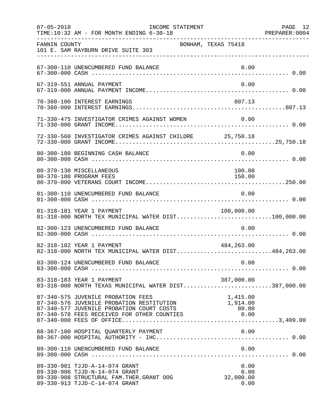| $07 - 05 - 2018$ | INCOME STATEMENT<br>TIME:10:32 AM - FOR MONTH ENDING 6-30-18                                                                                   |                                   | PAGE 12<br>PREPARER: 0004 |
|------------------|------------------------------------------------------------------------------------------------------------------------------------------------|-----------------------------------|---------------------------|
| FANNIN COUNTY    | 101 E. SAM RAYBURN DRIVE SUITE 303                                                                                                             | BONHAM, TEXAS 75418               |                           |
|                  | 67-300-110 UNENCUMBERED FUND BALANCE                                                                                                           | 0.00                              |                           |
|                  | 67-319-551 ANNUAL PAYMENT                                                                                                                      | 0.00                              |                           |
|                  | 70-360-100 INTEREST EARNINGS                                                                                                                   | 807.13                            |                           |
|                  | 71-330-475 INVESTIGATOR CRIMES AGAINST WOMEN                                                                                                   | 0.00                              |                           |
|                  | 72-330-560 INVESTIGATOR CRIMES AGAINST CHILDRE 25,750.18                                                                                       |                                   |                           |
|                  | 80-300-180 BEGINNING CASH BALANCE                                                                                                              | 0.00                              |                           |
|                  | 80-370-130 MISCELLANEOUS<br>80-370-180 PROGRAM FEES                                                                                            | 100.00<br>150.00                  |                           |
|                  | 81-300-110 UNENCUMBERED FUND BALANCE                                                                                                           | 0.00                              |                           |
|                  | 81-318-181 YEAR 1 PAYMENT<br>81-318-000 NORTH TEX MUNICIPAL WATER DIST100,000.00                                                               | 100,000.00                        |                           |
|                  | 82-300-123 UNENCUMBERED FUND BALANCE                                                                                                           | 0.00                              |                           |
|                  | 82-318-182 YEAR 1 PAYMENT<br>82-318-000 NORTH TEX MUNICIPAL WATER DIST484,263.00                                                               | 484,263.00                        |                           |
|                  |                                                                                                                                                |                                   |                           |
|                  | 83-318-183 YEAR 1 PAYMENT<br>83-318-000 NORTH TEXAS MUNICIPAL WATER DIST387,000.00                                                             | 387,000.00                        |                           |
|                  | 87-340-575 JUVENILE PROBATION FEES<br>87-340-576 JUVENILE PROBATION RESTITUTION                                                                | 1,415.00<br>1,914.00<br>80.00     |                           |
|                  | 88-367-100 HOSPITAL QUARTERLY PAYMENT                                                                                                          | 0.00                              |                           |
|                  | 89-300-110 UNENCUMBERED FUND BALANCE                                                                                                           | 0.00                              |                           |
|                  | 89-330-901 TJJD-A-14-074 GRANT<br>89-330-906 TJJD-N-14-074 GRANT<br>89-330-908 STRUCTURAL FAM.THER.GRANT OOG<br>89-330-913 TJJD-C-14-074 GRANT | 0.00<br>0.00<br>32,000.00<br>0.00 |                           |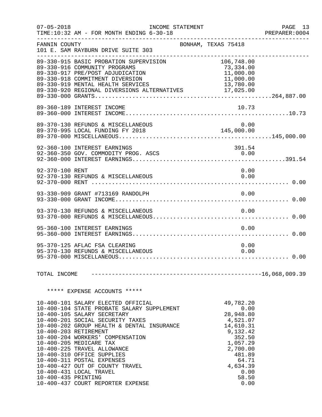| $07 - 05 - 2018$    | TIME:10:32 AM - FOR MONTH ENDING 6-30-18                                                                                                                                                                                                                                                                                                                                                                                                                                                | INCOME STATEMENT    |                                                                                                                                                               | PAGE 13<br>PREPARER: 0004 |
|---------------------|-----------------------------------------------------------------------------------------------------------------------------------------------------------------------------------------------------------------------------------------------------------------------------------------------------------------------------------------------------------------------------------------------------------------------------------------------------------------------------------------|---------------------|---------------------------------------------------------------------------------------------------------------------------------------------------------------|---------------------------|
| FANNIN COUNTY       | 101 E. SAM RAYBURN DRIVE SUITE 303                                                                                                                                                                                                                                                                                                                                                                                                                                                      | BONHAM, TEXAS 75418 |                                                                                                                                                               |                           |
|                     | 89-330-915 BASIC PROBATION SUPERVISION<br>89-330-916 COMMUNITY PROGRAMS<br>89-330-917 PRE/POST ADJUDICATION<br>89-330-918 COMMITMENT DIVERSION<br>89-330-919 MENTAL HEALTH SERVICES<br>09-330-919 MENTAL HEALTH SERVICES<br>09-330-920 REGIONAL DIVERSIONS ALTERNATIVES 17,025.00                                                                                                                                                                                                       |                     | 106,748.00<br>73,334.00<br>11,000.00<br>11,000.00<br>13,780.00                                                                                                |                           |
|                     | 89-360-189 INTEREST INCOME                                                                                                                                                                                                                                                                                                                                                                                                                                                              |                     | 10.73                                                                                                                                                         |                           |
|                     | 89-370-130 REFUNDS & MISCELLANEOUS                                                                                                                                                                                                                                                                                                                                                                                                                                                      |                     | 0.00                                                                                                                                                          |                           |
|                     | 92-360-100 INTEREST EARNINGS<br>92-360-350 GOV. COMMODITY PROG. ASCS                                                                                                                                                                                                                                                                                                                                                                                                                    |                     | 391.54<br>0.00                                                                                                                                                |                           |
| 92-370-100 RENT     | 92-370-130 REFUNDS & MISCELLANEOUS                                                                                                                                                                                                                                                                                                                                                                                                                                                      |                     | 0.00<br>0.00                                                                                                                                                  |                           |
|                     | 93-330-909 GRANT #713169 RANDOLPH                                                                                                                                                                                                                                                                                                                                                                                                                                                       |                     | 0.00                                                                                                                                                          |                           |
|                     | 93-370-130 REFUNDS & MISCELLANEOUS                                                                                                                                                                                                                                                                                                                                                                                                                                                      |                     | 0.00                                                                                                                                                          |                           |
|                     | 95-360-100 INTEREST EARNINGS                                                                                                                                                                                                                                                                                                                                                                                                                                                            |                     | 0.00                                                                                                                                                          |                           |
|                     | 95-370-125 AFLAC FSA CLEARING<br>95-370-130 REFUNDS & MISCELLANEOUS                                                                                                                                                                                                                                                                                                                                                                                                                     |                     | 0.00<br>0.00                                                                                                                                                  |                           |
| TOTAL INCOME        |                                                                                                                                                                                                                                                                                                                                                                                                                                                                                         |                     |                                                                                                                                                               |                           |
|                     | ***** EXPENSE ACCOUNTS *****                                                                                                                                                                                                                                                                                                                                                                                                                                                            |                     |                                                                                                                                                               |                           |
| 10-400-435 PRINTING | 10-400-101 SALARY ELECTED OFFICIAL<br>10-400-104 STATE PROBATE SALARY SUPPLEMENT<br>10-400-105 SALARY SECRETARY<br>10-400-201 SOCIAL SECURITY TAXES<br>10-400-202 GROUP HEALTH & DENTAL INSURANCE<br>10-400-203 RETIREMENT<br>10-400-204 WORKERS' COMPENSATION<br>10-400-205 MEDICARE TAX<br>10-400-225 TRAVEL ALLOWANCE<br>10-400-310 OFFICE SUPPLIES<br>10-400-311 POSTAL EXPENSES<br>10-400-427 OUT OF COUNTY TRAVEL<br>10-400-431 LOCAL TRAVEL<br>10-400-437 COURT REPORTER EXPENSE |                     | 49,782.20<br>0.00<br>28,948.80<br>4,521.07<br>14,610.31<br>9,132.42<br>352.50<br>1,057.29<br>2,700.00<br>481.89<br>64.71<br>4,634.39<br>0.00<br>58.50<br>0.00 |                           |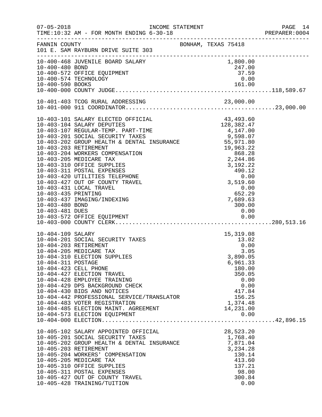| $07 - 05 - 2018$                                          | TIME:10:32 AM - FOR MONTH ENDING 6-30-18                                                                                                                                                                                                                                                                                                                                                                                              |                                                                                                                                          | PAGE 14<br>PREPARER:0004 |
|-----------------------------------------------------------|---------------------------------------------------------------------------------------------------------------------------------------------------------------------------------------------------------------------------------------------------------------------------------------------------------------------------------------------------------------------------------------------------------------------------------------|------------------------------------------------------------------------------------------------------------------------------------------|--------------------------|
| FANNIN COUNTY                                             | 101 E. SAM RAYBURN DRIVE SUITE 303                                                                                                                                                                                                                                                                                                                                                                                                    | BONHAM, TEXAS 75418                                                                                                                      |                          |
|                                                           | ---------------------<br>10-400-468 JUVENILE BOARD SALARY<br>10-400-572 OFFICE EQUIPMENT<br>10-400-574 TECHNOLOGY                                                                                                                                                                                                                                                                                                                     | 1,800.00<br>247.00<br>37.59<br>0.00                                                                                                      |                          |
|                                                           |                                                                                                                                                                                                                                                                                                                                                                                                                                       |                                                                                                                                          |                          |
| 10-403-435 PRINTING<br>10-403-480 BOND<br>10-403-481 DUES | 10-403-431 LOCAL TRAVEL<br>10-403-437 IMAGING/INDEXING                                                                                                                                                                                                                                                                                                                                                                                | 0.00<br>652.29<br>7,689.63<br>300.00<br>0.00                                                                                             |                          |
| 10-404-109 SALARY<br>10-404-311 POSTAGE                   | 10-404-201 SOCIAL SECURITY TAXES<br>10-404-203 RETIREMENT<br>10-404-205 MEDICARE TAX<br>10-404-310 ELECTION SUPPLIES<br>10-404-423 CELL PHONE<br>10-404-427 ELECTION TRAVEL<br>10-404-428 EMPLOYEE TRAINING<br>10-404-429 DPS BACKGROUND CHECK<br>10-404-430 BIDS AND NOTICES<br>10-404-442 PROFESSIONAL SERVICE/TRANSLATOR<br>10-404-483 VOTER REGISTRATION<br>10-404-485 ELECTION MAINT. AGREEMENT<br>10-404-573 ELECTION EQUIPMENT | $13.02$<br>0.00<br>0.00<br>3.05<br>3,890.05<br>6,961.33<br>180.00<br>350.05<br>0.00<br>0.00<br>417.84<br>156.25<br>1,374.48<br>14,231.00 |                          |
|                                                           | 10-405-102 SALARY APPOINTED OFFICIAL<br>10-405-201 SOCIAL SECURITY TAXES<br>10-405-202 GROUP HEALTH & DENTAL INSURANCE<br>10-405-203 RETIREMENT & DENTAL INSURANCE<br>10-405-203 RETIREMENT<br>10-405-204 WORKERS' COMPENSATION<br>10-405-205 MEDICARE TAX<br>10-405-310 OFFICE SUPPLIES<br>10-405-311 POSTAL EXPENSES<br>10-405-427 OUT OF COUNTY TRAVEL<br>10-405-428 TRAINING/TUITION                                              | 28,523.20<br>1,768.40<br>7,871.04<br>3,234.28<br>130.14<br>413.60<br>137.21<br>98.00<br>300.84<br>0.00                                   |                          |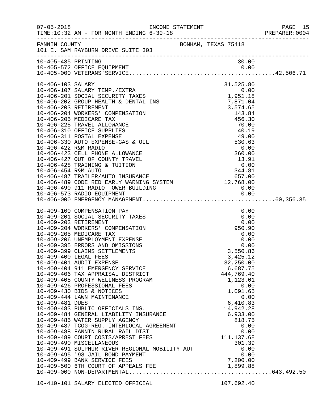|                     |                                                                                                                                                                                                                                                                                                                                                                                                                                                                                                                                                                                                                                                                                                                                                                                                                                                                                                                          |                                                                                                                                                                                                                                                                                     | PAGE 15<br>PREPARER: 0004 |
|---------------------|--------------------------------------------------------------------------------------------------------------------------------------------------------------------------------------------------------------------------------------------------------------------------------------------------------------------------------------------------------------------------------------------------------------------------------------------------------------------------------------------------------------------------------------------------------------------------------------------------------------------------------------------------------------------------------------------------------------------------------------------------------------------------------------------------------------------------------------------------------------------------------------------------------------------------|-------------------------------------------------------------------------------------------------------------------------------------------------------------------------------------------------------------------------------------------------------------------------------------|---------------------------|
|                     | FANNIN COUNTY<br>101 E. SAM RAYBURN DRIVE SUITE 303                                                                                                                                                                                                                                                                                                                                                                                                                                                                                                                                                                                                                                                                                                                                                                                                                                                                      |                                                                                                                                                                                                                                                                                     |                           |
| 10-405-435 PRINTING |                                                                                                                                                                                                                                                                                                                                                                                                                                                                                                                                                                                                                                                                                                                                                                                                                                                                                                                          | 30.00                                                                                                                                                                                                                                                                               |                           |
| 10-406-103 SALARY   | 10-406-103 SALARY<br>10-406-107 SALARY TEMP./EXTRA<br>10-406-201 SOCIAL SECURITY TAXES<br>10-406-202 GROUP HEALTH & DENTAL INS<br>10-406-203 RETIREMENT<br>10-406-203 RETIREMENT<br>10-406-204 WORKERS' COMPENSATION<br>10-406-205 MEDICARE<br>10-406-311 POSTAL EXPENSE<br>10-406-330 AUTO EXPENSE-GAS & OIL<br>10-406-422 R&M RADIO 0.00<br>10-406-422 R&M RADIO 0.00<br>10-406-423 CELL PHONE ALLOWANCE 360.00<br>10-406-427 OUT OF COUNTY TRAVEL 13.91<br>10-406-428 TRAINING & TUITION 0.00<br>10-406-454 R&M AUTO 344.81<br>10-406-487 TRAILER/AUTO I<br>10-406-490 911 RADIO TOWER BUILDING                                                                                                                                                                                                                                                                                                                       | 31,525.80<br>$\frac{49.00}{530.63}$                                                                                                                                                                                                                                                 |                           |
| 10-409-481 DUES     | 10-409-100 COMPENSATION PAY<br>10-409-201 SOCIAL SECURITY TAXES<br>10-409-203 RETIREMENT<br>10-409-204 WORKERS' COMPENSATION<br>10-409-205 MEDICARE TAX<br>10-409-206 UNEMPLOYMENT EXPENSE<br>10-409-395 ERRORS AND OMISSIONS<br>10-409-399 CLAIMS SETTLEMENTS<br>10-409-400 LEGAL FEES<br>10-409-401 AUDIT EXPENSE<br>10-409-404 911 EMERGENCY SERVICE<br>10-409-406 TAX APPRAISAL DISTRICT<br>10-409-408 COUNTY WELLNESS PROGRAM<br>10-409-426 PROFESSIONAL FEES<br>10-409-430 BIDS & NOTICES<br>10-409-444 LAWN MAINTENANCE<br>10-409-483 PUBLIC OFFICIALS INS.<br>10-409-484 GENERAL LIABILITY INSURANCE<br>10-409-485 WATER SUPPLY AGENCY<br>10-409-487 TCOG-REG. INTERLOCAL AGREEMENT<br>10-409-488 FANNIN RURAL RAIL DIST<br>10-409-489 COURT COSTS/ARREST FEES<br>10-409-490 MISCELLANEOUS<br>10-409-491 SULPHUR RIVER REGIONAL MOBILITY AUT<br>10-409-495 '98 JAIL BOND PAYMENT<br>10-409-499 BANK SERVICE FEES | 0.00<br>0.00<br>0.00<br>950.90<br>0.00<br>$0.00$<br>0.00<br>3,550.86<br>3,425.12<br>32,250.00<br>6,687.75<br>444,769.40<br>1,123.01<br>0.00<br>1,091.65<br>0.00<br>6,410.83<br>14,942.28<br>6,933.00<br>818.75<br>0.00<br>0.00<br>111, 137.68<br>301.39<br>0.00<br>0.00<br>7,200.00 |                           |
|                     | 10-410-101 SALARY ELECTED OFFICIAL                                                                                                                                                                                                                                                                                                                                                                                                                                                                                                                                                                                                                                                                                                                                                                                                                                                                                       | 107,692.40                                                                                                                                                                                                                                                                          |                           |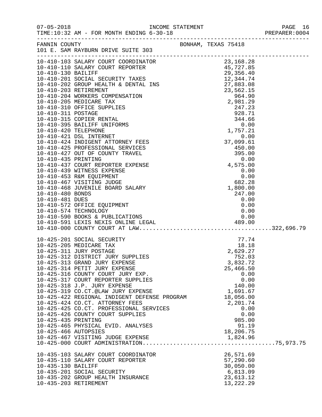|                       | FANNIN COUNTY<br>101 E. SAM RAYBURN DRIVE SUITE 303                                                                                                                |  | BONHAM, TEXAS 75418 |  |
|-----------------------|--------------------------------------------------------------------------------------------------------------------------------------------------------------------|--|---------------------|--|
|                       |                                                                                                                                                                    |  |                     |  |
|                       |                                                                                                                                                                    |  |                     |  |
|                       |                                                                                                                                                                    |  |                     |  |
|                       |                                                                                                                                                                    |  |                     |  |
|                       |                                                                                                                                                                    |  |                     |  |
|                       |                                                                                                                                                                    |  |                     |  |
|                       |                                                                                                                                                                    |  |                     |  |
|                       |                                                                                                                                                                    |  |                     |  |
|                       |                                                                                                                                                                    |  |                     |  |
|                       |                                                                                                                                                                    |  |                     |  |
|                       |                                                                                                                                                                    |  |                     |  |
|                       |                                                                                                                                                                    |  |                     |  |
|                       |                                                                                                                                                                    |  |                     |  |
|                       |                                                                                                                                                                    |  |                     |  |
|                       |                                                                                                                                                                    |  |                     |  |
|                       |                                                                                                                                                                    |  |                     |  |
|                       |                                                                                                                                                                    |  |                     |  |
|                       |                                                                                                                                                                    |  |                     |  |
|                       |                                                                                                                                                                    |  |                     |  |
|                       |                                                                                                                                                                    |  |                     |  |
|                       |                                                                                                                                                                    |  |                     |  |
|                       |                                                                                                                                                                    |  |                     |  |
|                       |                                                                                                                                                                    |  |                     |  |
|                       |                                                                                                                                                                    |  |                     |  |
|                       |                                                                                                                                                                    |  |                     |  |
|                       |                                                                                                                                                                    |  |                     |  |
|                       |                                                                                                                                                                    |  |                     |  |
|                       |                                                                                                                                                                    |  |                     |  |
|                       | $10-425-201$ SOCIAL SECURITY<br>$10-425-205$ MEDICARE TAX<br>$10-425-311$ JURY POSTAGE<br>$10-425-312$ DISTRICT JURY SUPPLIES<br>$10-425-313$ CRAND TURY EVERVENCE |  | 77.74               |  |
|                       |                                                                                                                                                                    |  | 18.18               |  |
|                       |                                                                                                                                                                    |  | 2,629.27            |  |
|                       | 10-425-313 GRAND JURY EXPENSE                                                                                                                                      |  | 752.03<br>3,832.72  |  |
|                       | 10-425-314 PETIT JURY EXPENSE                                                                                                                                      |  | 25,466.50           |  |
|                       | 10-425-316 COUNTY COURT JURY EXP.                                                                                                                                  |  | 0.00                |  |
|                       | 10-425-317 COURT REPORTER SUPPLIES                                                                                                                                 |  | 0.00                |  |
|                       | 10-425-318 J.P. JURY EXPENSE                                                                                                                                       |  | 140.00              |  |
|                       | 10-425-319 CO.CT.@LAW JURY EXPENSE                                                                                                                                 |  | 1,691.67            |  |
|                       | 10-425-422 REGIONAL INDIGENT DEFENSE PROGRAM                                                                                                                       |  | 18,056.00           |  |
|                       | 10-425-424 CO.CT. ATTORNEY FEES                                                                                                                                    |  | 2,201.74            |  |
|                       | 10-425-425 CO.CT. PROFESSIONAL SERVICES                                                                                                                            |  | 0.00                |  |
|                       | 10-425-426 COUNTY COURT SUPPLIES                                                                                                                                   |  | 0.00                |  |
| 10-425-435 PRINTING   | 10-425-465 PHYSICAL EVID. ANALYSES                                                                                                                                 |  | 985.00<br>91.19     |  |
| 10-425-466 AUTOPSIES  |                                                                                                                                                                    |  | 18,206.75           |  |
|                       | 10-425-467 VISITING JUDGE EXPENSE                                                                                                                                  |  | 1,824.96            |  |
|                       |                                                                                                                                                                    |  |                     |  |
|                       | 10-435-103 SALARY COURT COORDINATOR                                                                                                                                |  | 26,571.69           |  |
|                       | 10-435-110 SALARY COURT REPORTER                                                                                                                                   |  | 57,290.60           |  |
| 10-435-130 BAILIFF    |                                                                                                                                                                    |  | 30,050.00           |  |
|                       | 10-435-201 SOCIAL SECURITY                                                                                                                                         |  | 6,813.09            |  |
|                       | 10-435-202 GROUP HEALTH INSURANCE                                                                                                                                  |  | 23,613.12           |  |
| 10-435-203 RETIREMENT |                                                                                                                                                                    |  | 13, 222. 29         |  |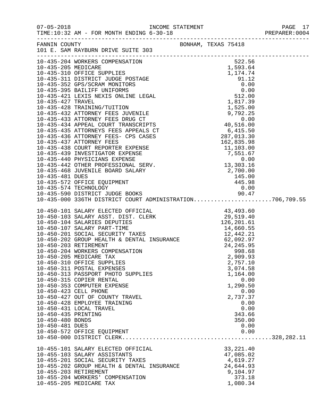| $07 - 05 - 2018$      | TIME:10:32 AM - FOR MONTH ENDING 6-30-18            |                     |                  | PAGE 17 |
|-----------------------|-----------------------------------------------------|---------------------|------------------|---------|
|                       | FANNIN COUNTY<br>101 E. SAM RAYBURN DRIVE SUITE 303 | BONHAM, TEXAS 75418 |                  |         |
|                       |                                                     |                     |                  |         |
|                       |                                                     |                     |                  |         |
|                       |                                                     |                     |                  |         |
|                       |                                                     |                     |                  |         |
|                       |                                                     |                     |                  |         |
|                       |                                                     |                     |                  |         |
|                       |                                                     |                     |                  |         |
|                       |                                                     |                     |                  |         |
|                       |                                                     |                     |                  |         |
|                       |                                                     |                     |                  |         |
|                       |                                                     |                     |                  |         |
|                       |                                                     |                     |                  |         |
|                       |                                                     |                     |                  |         |
|                       |                                                     |                     |                  |         |
|                       |                                                     |                     |                  |         |
|                       |                                                     |                     |                  |         |
|                       |                                                     |                     |                  |         |
|                       |                                                     |                     |                  |         |
|                       |                                                     |                     |                  |         |
|                       |                                                     |                     |                  |         |
|                       |                                                     |                     |                  |         |
|                       |                                                     |                     |                  |         |
|                       |                                                     |                     |                  |         |
|                       |                                                     |                     |                  |         |
|                       |                                                     |                     |                  |         |
|                       |                                                     |                     |                  |         |
|                       |                                                     |                     |                  |         |
|                       |                                                     |                     |                  |         |
|                       |                                                     |                     |                  |         |
|                       |                                                     |                     |                  |         |
|                       |                                                     |                     |                  |         |
|                       | 10-450-310 OFFICE SUPPLIES                          |                     | 2,757.10         |         |
|                       | 10-450-311 POSTAL EXPENSES                          |                     | 3,074.58         |         |
|                       | 10-450-313 PASSPORT PHOTO SUPPLIES                  |                     | 1,164.00         |         |
|                       | 10-450-315 COPIER RENTAL                            |                     | 0.00             |         |
|                       | 10-450-353 COMPUTER EXPENSE                         |                     | 1,290.50         |         |
| 10-450-423 CELL PHONE | 10-450-427 OUT OF COUNTY TRAVEL                     |                     | 0.00             |         |
|                       | 10-450-428 EMPLOYEE TRAINING                        |                     | 2,737.37<br>0.00 |         |
|                       | 10-450-431 LOCAL TRAVEL                             |                     | 0.00             |         |
| 10-450-435 PRINTING   |                                                     |                     | 343.66           |         |
| 10-450-480 BONDS      |                                                     |                     | 350.00           |         |
| 10-450-481 DUES       |                                                     |                     | 0.00             |         |
|                       | 10-450-572 OFFICE EQUIPMENT                         |                     | 0.00             |         |
|                       |                                                     |                     |                  |         |
|                       | 10-455-101 SALARY ELECTED OFFICIAL                  |                     | 33, 221.40       |         |
|                       | 10-455-103 SALARY ASSISTANTS                        |                     | 47,085.02        |         |
|                       | 10-455-201 SOCIAL SECURITY TAXES                    |                     | 4,619.27         |         |
|                       | 10-455-202 GROUP HEALTH & DENTAL INSURANCE          |                     | 24,644.93        |         |
|                       | 10-455-203 RETIREMENT                               |                     | 9,104.97         |         |
|                       | 10-455-204 WORKERS' COMPENSATION                    |                     | 373.18           |         |
|                       | 10-455-205 MEDICARE TAX                             |                     | 1,080.34         |         |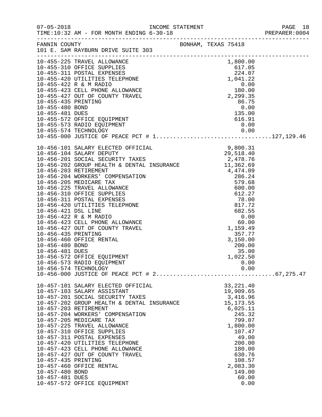|                     |                                                                                                                                                          |                     |                          | PAGE 18<br>PREPARER: 0004 |  |
|---------------------|----------------------------------------------------------------------------------------------------------------------------------------------------------|---------------------|--------------------------|---------------------------|--|
|                     | FANNIN COUNTY<br>101 E. SAM RAYBURN DRIVE SUITE 303                                                                                                      | BONHAM, TEXAS 75418 |                          |                           |  |
|                     | 10-455-225 TRAVEL ALLOWANCE<br>10-455-225 TRAVEL ALLOWANCE<br>10-455-310 OFFICE SUPPLIES<br>10-455-311 POSTAL EXPENSES<br>10-455-420 UTILITIES TELEPHONE |                     | 1,800.00                 |                           |  |
|                     |                                                                                                                                                          |                     | 617.05                   |                           |  |
|                     |                                                                                                                                                          |                     | 224.07                   |                           |  |
|                     | 10-455-422 R & M RADIO                                                                                                                                   |                     | 1,041.22<br>0.00         |                           |  |
|                     | 10-455-423 CELL PHONE ALLOWANCE                                                                                                                          |                     | 180.00                   |                           |  |
|                     | 10-455-427 OUT OF COUNTY TRAVEL                                                                                                                          |                     | 2,299.35                 |                           |  |
| 10-455-435 PRINTING |                                                                                                                                                          |                     | 86.75                    |                           |  |
| 10-455-480 BOND     |                                                                                                                                                          |                     | 0.00                     |                           |  |
| 10-455-481 DUES     |                                                                                                                                                          |                     | 0.00<br>135.00<br>616.91 |                           |  |
|                     | 10-455-572 OFFICE EQUIPMENT                                                                                                                              |                     |                          |                           |  |
|                     | 10-455-573 RADIO EQUIPMENT                                                                                                                               |                     | 0.00                     |                           |  |
|                     |                                                                                                                                                          |                     |                          |                           |  |
|                     |                                                                                                                                                          |                     |                          |                           |  |
|                     |                                                                                                                                                          |                     |                          |                           |  |
|                     |                                                                                                                                                          |                     |                          |                           |  |
|                     |                                                                                                                                                          |                     |                          |                           |  |
|                     |                                                                                                                                                          |                     |                          |                           |  |
|                     |                                                                                                                                                          |                     |                          |                           |  |
|                     |                                                                                                                                                          |                     |                          |                           |  |
|                     |                                                                                                                                                          |                     |                          |                           |  |
|                     |                                                                                                                                                          |                     |                          |                           |  |
|                     |                                                                                                                                                          |                     |                          |                           |  |
|                     |                                                                                                                                                          |                     |                          |                           |  |
|                     |                                                                                                                                                          |                     |                          |                           |  |
|                     |                                                                                                                                                          |                     |                          |                           |  |
|                     |                                                                                                                                                          |                     |                          |                           |  |
|                     |                                                                                                                                                          |                     |                          |                           |  |
|                     | 10-456-460 OFFICE RENTAL                                                                                                                                 |                     | 3,150.00                 |                           |  |
| 10-456-480 BOND     |                                                                                                                                                          |                     | 200.00                   |                           |  |
| 10-456-481 DUES     |                                                                                                                                                          |                     | 35.00                    |                           |  |
|                     | 10-456-572 OFFICE EQUIPMENT                                                                                                                              |                     | 1,022.50                 |                           |  |
|                     | 10-456-573 RADIO EQUIPMENT<br>10-456-574 TECHNOLOGY                                                                                                      |                     | 0.00<br>0.00             |                           |  |
|                     |                                                                                                                                                          |                     |                          |                           |  |
|                     | 10-457-101 SALARY ELECTED OFFICIAL                                                                                                                       |                     | 33, 221.40               |                           |  |
|                     | 10-457-103 SALARY ASSISTANT                                                                                                                              |                     | 19,909.65                |                           |  |
|                     | 10-457-201 SOCIAL SECURITY TAXES                                                                                                                         |                     | 3,416.96                 |                           |  |
|                     | 10-457-202 GROUP HEALTH & DENTAL INSURANCE                                                                                                               |                     | 15, 173.55               |                           |  |
|                     | 10-457-203 RETIREMENT                                                                                                                                    |                     | 6,025.11                 |                           |  |
|                     | 10-457-204 WORKERS' COMPENSATION                                                                                                                         |                     | 245.32                   |                           |  |
|                     | 10-457-205 MEDICARE TAX                                                                                                                                  |                     | 799.07                   |                           |  |
|                     | 10-457-225 TRAVEL ALLOWANCE<br>10-457-310 OFFICE SUPPLIES                                                                                                |                     | 1,800.00<br>107.47       |                           |  |
|                     | 10-457-311 POSTAL EXPENSES                                                                                                                               |                     | 49.00                    |                           |  |
|                     | 10-457-420 UTILITIES TELEPHONE                                                                                                                           |                     | 200.00                   |                           |  |
|                     | 10-457-423 CELL PHONE ALLOWANCE                                                                                                                          |                     | 180.00                   |                           |  |
|                     | 10-457-427 OUT OF COUNTY TRAVEL                                                                                                                          |                     | 630.76                   |                           |  |
| 10-457-435 PRINTING |                                                                                                                                                          |                     | 108.57                   |                           |  |
|                     | 10-457-460 OFFICE RENTAL                                                                                                                                 |                     | 2,083.30                 |                           |  |
| 10-457-480 BOND     |                                                                                                                                                          |                     | 149.00                   |                           |  |
| 10-457-481 DUES     |                                                                                                                                                          |                     | 60.00                    |                           |  |
|                     | 10-457-572 OFFICE EQUIPMENT                                                                                                                              |                     | 0.00                     |                           |  |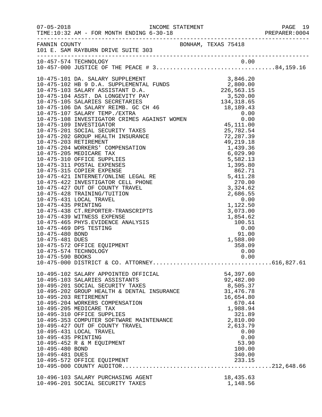|                       |                                                                         |                     | PREPARER:0004 |
|-----------------------|-------------------------------------------------------------------------|---------------------|---------------|
|                       | FANNIN COUNTY BONHAM, TEXAS 75418<br>101 E. SAM RAYBURN DRIVE SUITE 303 |                     |               |
|                       | 10-457-574 TECHNOLOGY                                                   |                     |               |
|                       |                                                                         |                     |               |
|                       |                                                                         |                     |               |
|                       |                                                                         |                     |               |
|                       |                                                                         |                     |               |
|                       |                                                                         |                     |               |
|                       |                                                                         |                     |               |
|                       |                                                                         |                     |               |
|                       |                                                                         |                     |               |
|                       |                                                                         |                     |               |
|                       |                                                                         |                     |               |
|                       |                                                                         |                     |               |
|                       |                                                                         |                     |               |
|                       |                                                                         |                     |               |
|                       |                                                                         |                     |               |
|                       |                                                                         |                     |               |
|                       |                                                                         |                     |               |
|                       |                                                                         |                     |               |
|                       |                                                                         |                     |               |
|                       |                                                                         |                     |               |
|                       |                                                                         |                     |               |
|                       |                                                                         |                     |               |
|                       |                                                                         |                     |               |
|                       |                                                                         |                     |               |
|                       |                                                                         |                     |               |
|                       |                                                                         |                     |               |
|                       |                                                                         |                     |               |
|                       |                                                                         |                     |               |
|                       |                                                                         |                     |               |
|                       |                                                                         |                     |               |
|                       |                                                                         |                     |               |
|                       | 10-495-102 SALARY APPOINTED OFFICIAL                                    | 54,397.60           |               |
|                       | 10-495-103 SALARIES ASSISTANTS                                          | 92,482.00           |               |
|                       | 10-495-201 SOCIAL SECURITY TAXES                                        | 8,505.37            |               |
|                       | 10-495-202 GROUP HEALTH & DENTAL INSURANCE                              | 31,476.78           |               |
| 10-495-203 RETIREMENT | 10-495-204 WORKERS COMPENSATION                                         | 16,654.80<br>670.44 |               |
|                       | 10-495-205 MEDICARE TAX                                                 | 1,988.94            |               |
|                       | 10-495-310 OFFICE SUPPLIES                                              | 321.89              |               |
|                       | 10-495-353 COMPUTER SOFTWARE MAINTENANCE                                | 2,810.00            |               |
|                       | 10-495-427 OUT OF COUNTY TRAVEL                                         | 2,613.79            |               |
|                       | 10-495-431 LOCAL TRAVEL                                                 | 0.00                |               |
| 10-495-435 PRINTING   |                                                                         | 0.00                |               |
|                       | 10-495-452 R & M EQUIPMENT                                              | 53.90               |               |
| 10-495-480 BOND       |                                                                         | 100.00              |               |
| 10-495-481 DUES       |                                                                         | 340.00              |               |
|                       | 10-495-572 OFFICE EQUIPMENT                                             | 233.15              |               |
|                       |                                                                         |                     |               |
|                       | 10-496-103 SALARY PURCHASING AGENT                                      | 18,435.63           |               |
|                       | 10-496-201 SOCIAL SECURITY TAXES                                        | 1,148.56            |               |
|                       |                                                                         |                     |               |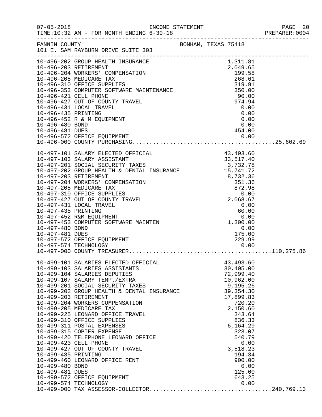| $07 - 05 - 2018$                                          | INCOME STATEMENT<br>TIME:10:32 AM - FOR MONTH ENDING 6-30-18<br>------------------------------------                                                                                                                                                                                                                                                                                                                                                                                                                                                                                                            |  |                                                                                           |                                                                                                                                            | PAGE 20<br>PREPARER:0004 |
|-----------------------------------------------------------|-----------------------------------------------------------------------------------------------------------------------------------------------------------------------------------------------------------------------------------------------------------------------------------------------------------------------------------------------------------------------------------------------------------------------------------------------------------------------------------------------------------------------------------------------------------------------------------------------------------------|--|-------------------------------------------------------------------------------------------|--------------------------------------------------------------------------------------------------------------------------------------------|--------------------------|
| FANNIN COUNTY                                             | 101 E. SAM RAYBURN DRIVE SUITE 303                                                                                                                                                                                                                                                                                                                                                                                                                                                                                                                                                                              |  | BONHAM, TEXAS 75418                                                                       |                                                                                                                                            |                          |
| 10-496-480 BOND<br>10-496-481 DUES                        | -----------------------------<br>10-496-202 GROUP HEALTH INSURANCE<br>10-496-203 RETIREMENT<br>10-496-203 WORKERS' COMPENSATION<br>10-496-310 OFFICE SUPPLIES<br>199.58<br>199.58<br>199.58<br>268.61<br>10-496-353 COMPUTER SOFTWARE MAINTENANCE<br>199.53<br>268.61<br>10-496-421 CELL PHONE<br>10-496-427 OUT OF COUNTY TRAVEL<br>10-496-431 LOCAL TRAVEL<br>10-496-435 PRINTING<br>27<br>10-496-572 OFFICE EQUIPMENT                                                                                                                                                                                        |  | 1,311.81                                                                                  | 0.00<br>454.00                                                                                                                             |                          |
| 10-497-480 BOND<br>10-497-481 DUES                        | 10-497-452 R&M EQUIPMENT<br>10-497-453 COMPUTER SOFTWARE MAINTEN<br>10-497-572 OFFICE EQUIPMENT<br>10-497-574 TECHNOLOGY                                                                                                                                                                                                                                                                                                                                                                                                                                                                                        |  | $0.00$<br>1,300.00<br>175.00<br>229.99                                                    | 0.00<br>0.00                                                                                                                               |                          |
| 10-499-435 PRINTING<br>10-499-480 BOND<br>10-499-481 DUES | 10-497-000 COUNIT INSTERNED<br>10-499-101 SALARIES ELECTED OFFICIAL<br>10-499-103 SALARIES ASSISTANTS<br>10-499-104 SALARIES DEPUTIES<br>10-499-201 SOCIAL SECURITY TAXES<br>10-499-202 GROUP HEALTH & DENTAL INSURANCE<br>10-499-203 RETIREMENT<br>10-499-204 WORKERS COMPENSATION<br>10-499-205 MEDICARE TAX<br>10-499-225 LEONARD OFFICE TRAVEL<br>10-499-310 OFFICE SUPPLIES<br>10-499-311 POSTAL EXPENSES<br>10-499-315 COPIER EXPENSE<br>10-499-420 TELEPHONE LEONARD OFFICE<br>10-499-423 CELL PHONE<br>10-499-427 OUT OF COUNTY TRAVEL<br>10-499-460 LEONARD OFFICE RENT<br>10-499-572 OFFICE EQUIPMENT |  | 43, 493.60<br>30,405.00<br>72,999.40<br>10,962.00<br>9,195.26<br>39, 354. 30<br>17,899.83 | 720.20<br>2,150.60<br>343.64<br>836.33<br>6,164.29<br>323.07<br>540.79<br>0.00<br>3,518.23<br>194.34<br>900.00<br>0.00<br>125.00<br>643.25 |                          |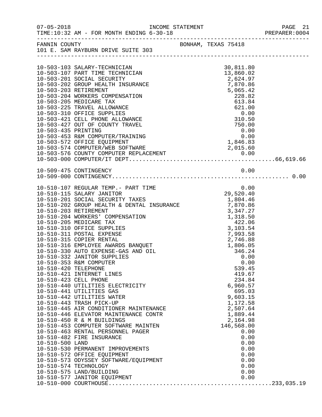| $07 - 05 - 2018$      | INCOME STATEMENT<br>TIME:10:32 AM - FOR MONTH ENDING 6-30-18                                                                                                                                  |  |                                                                                          |              | PAGE 21<br>PREPARER: 0004 |
|-----------------------|-----------------------------------------------------------------------------------------------------------------------------------------------------------------------------------------------|--|------------------------------------------------------------------------------------------|--------------|---------------------------|
|                       | FANNIN COUNTY<br>101 E. SAM RAYBURN DRIVE SUITE 303                                                                                                                                           |  |                                                                                          |              |                           |
|                       |                                                                                                                                                                                               |  |                                                                                          |              |                           |
|                       |                                                                                                                                                                                               |  |                                                                                          |              |                           |
|                       |                                                                                                                                                                                               |  |                                                                                          |              |                           |
|                       | 10-503-103 SALARY-TECHNICIAN<br>10-503-107 PART TIME TECHNICIAN                                                                                                                               |  | 30,811.80                                                                                |              |                           |
|                       | 10-503-201 SOCIAL SECURITY                                                                                                                                                                    |  | 13,860.02<br>2,624.97                                                                    |              |                           |
|                       | 10-503-202 GROUP HEALTH INSURANCE                                                                                                                                                             |  | 7,870.86                                                                                 |              |                           |
| 10-503-203 RETIREMENT |                                                                                                                                                                                               |  | 5,065.42                                                                                 |              |                           |
|                       | 10-503-204 WORKERS COMPENSATION                                                                                                                                                               |  | 228.82                                                                                   |              |                           |
|                       | 10-503-205 MEDICARE TAX                                                                                                                                                                       |  | 613.84                                                                                   |              |                           |
|                       | 10-503-225 TRAVEL ALLOWANCE                                                                                                                                                                   |  | 621.00                                                                                   |              |                           |
|                       | 10-503-310 OFFICE SUPPLIES                                                                                                                                                                    |  |                                                                                          |              |                           |
|                       | 10-503-421 CELL PHONE ALLOWANCE                                                                                                                                                               |  | 0.00<br>310.50<br>750.00                                                                 |              |                           |
|                       | 10-503-427 OUT OF COUNTY TRAVEL                                                                                                                                                               |  |                                                                                          |              |                           |
| 10-503-435 PRINTING   |                                                                                                                                                                                               |  |                                                                                          |              |                           |
|                       | 10-503-453 R&M COMPUTER/TRAINING                                                                                                                                                              |  | $0.00$<br>0.00<br>1,846.83<br>015.60                                                     |              |                           |
|                       |                                                                                                                                                                                               |  |                                                                                          |              |                           |
|                       |                                                                                                                                                                                               |  |                                                                                          |              |                           |
|                       |                                                                                                                                                                                               |  |                                                                                          |              |                           |
|                       |                                                                                                                                                                                               |  |                                                                                          |              |                           |
|                       | 10-509-475 CONTINGENCY                                                                                                                                                                        |  |                                                                                          | 0.00         |                           |
|                       |                                                                                                                                                                                               |  |                                                                                          |              |                           |
|                       |                                                                                                                                                                                               |  |                                                                                          |              |                           |
|                       |                                                                                                                                                                                               |  |                                                                                          |              |                           |
|                       | 10-510-107 REGULAR TEMP.- PART TIME<br>10-510-115 SALARY JANITOR<br>10-510-115 SALARY JANITOR                                                                                                 |  | 0.00<br>29 , 520 . 40                                                                    |              |                           |
|                       |                                                                                                                                                                                               |  |                                                                                          |              |                           |
|                       | 10-510-201 SOCIAL SECURITY TAXES<br>10-510-202 GROUP HEALTH & DENTAL INSURANCE 7,870.86                                                                                                       |  |                                                                                          |              |                           |
| 10-510-203 RETIREMENT |                                                                                                                                                                                               |  | 3,347.27<br>$3,347.27$<br>$1,318.50$<br>$422.06$<br>$3,103.54$<br>$7,993.58$<br>2 746.88 |              |                           |
|                       | 10-510-204 WORKERS' COMPENSATION                                                                                                                                                              |  |                                                                                          |              |                           |
|                       | 10-510-205 MEDICARE TAX                                                                                                                                                                       |  |                                                                                          |              |                           |
|                       | 10-510-310 OFFICE SUPPLIES                                                                                                                                                                    |  |                                                                                          |              |                           |
|                       | 10-510-311 POSTAL EXPENSE                                                                                                                                                                     |  |                                                                                          |              |                           |
|                       | 10-510-316 EMPLOYEE AWARDS BANQUET<br>10-510-330 AUTO EXPENSE-GAS AND OIL<br>10-510-332 JANITOR SUPPLIES<br>10-510-332 JANITOR SUPPLIES<br>10-510-353 R&M COMPUTER<br>10-510-353 R&M COMPUTER |  |                                                                                          |              |                           |
|                       |                                                                                                                                                                                               |  |                                                                                          |              |                           |
|                       |                                                                                                                                                                                               |  |                                                                                          |              |                           |
|                       |                                                                                                                                                                                               |  |                                                                                          | 0.00         |                           |
| 10-510-420 TELEPHONE  |                                                                                                                                                                                               |  |                                                                                          | 539.45       |                           |
|                       | 10-510-421 INTERNET LINES                                                                                                                                                                     |  |                                                                                          | 419.67       |                           |
|                       |                                                                                                                                                                                               |  |                                                                                          | 234.84       |                           |
|                       | 10-510-421 INTERNET LINES<br>10-510-423 CELL PHONE<br>10-510-440 UTILITIES ELECTRICITY                                                                                                        |  | 6,960.57                                                                                 |              |                           |
|                       | 10-510-441 UTILITIES GAS                                                                                                                                                                      |  |                                                                                          | 695.03       |                           |
|                       | 10-510-442 UTILITIES WATER                                                                                                                                                                    |  | 9,603.15                                                                                 |              |                           |
|                       | 10-510-443 TRASH PICK-UP                                                                                                                                                                      |  | 1,172.58                                                                                 |              |                           |
|                       | 10-510-445 AIR CONDITIONER MAINTENANCE<br>10-510-446 ELEVATOR MAINTENANCE CONTR                                                                                                               |  | 2,507.64                                                                                 |              |                           |
|                       | 10-510-446 ELEVATOR MAINTENANCE CONTR                                                                                                                                                         |  | 1,889.44                                                                                 |              |                           |
|                       | 10-510-450 R & M BUILDINGS                                                                                                                                                                    |  | 2,164.98                                                                                 |              |                           |
|                       | 10-510-453 COMPUTER SOFTWARE MAINTEN                                                                                                                                                          |  | 146,568.00                                                                               |              |                           |
|                       | 10-510-463 RENTAL PERSONNEL PAGER                                                                                                                                                             |  |                                                                                          | 0.00         |                           |
|                       | 10-510-482 FIRE INSURANCE                                                                                                                                                                     |  |                                                                                          | 0.00         |                           |
| 10-510-500 LAND       |                                                                                                                                                                                               |  |                                                                                          | 0.00         |                           |
|                       | 10-510-530 PERMANENT IMPROVEMENTS                                                                                                                                                             |  |                                                                                          | 0.00         |                           |
|                       | 10-510-572 OFFICE EQUIPMENT                                                                                                                                                                   |  |                                                                                          | 0.00<br>0.00 |                           |
|                       | 10-510-573 ODYSSEY SOFTWARE/EQUIPMENT<br>10-510-574 TECHNOLOGY                                                                                                                                |  |                                                                                          | 0.00         |                           |
|                       |                                                                                                                                                                                               |  |                                                                                          |              |                           |
|                       |                                                                                                                                                                                               |  |                                                                                          |              |                           |
|                       |                                                                                                                                                                                               |  |                                                                                          |              |                           |
|                       |                                                                                                                                                                                               |  |                                                                                          |              |                           |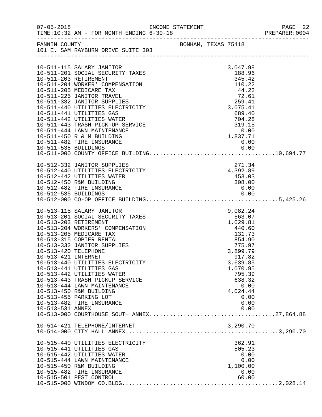| $07 - 05 - 2018$                            | TIME:10:32 AM - FOR MONTH ENDING 6-30-18                     | INCOME STATEMENT |                     |                    | PAGE 22<br>PREPARER: 0004 |
|---------------------------------------------|--------------------------------------------------------------|------------------|---------------------|--------------------|---------------------------|
|                                             | FANNIN COUNTY                                                |                  | BONHAM, TEXAS 75418 |                    |                           |
|                                             | 101 E. SAM RAYBURN DRIVE SUITE 303                           |                  |                     |                    |                           |
|                                             |                                                              |                  |                     |                    |                           |
|                                             | 10-511-115 SALARY JANITOR                                    |                  |                     | 3,047.98           |                           |
|                                             | 10-511-201 SOCIAL SECURITY TAXES                             |                  |                     | 188.96             |                           |
|                                             | 10-511-203 RETIREMENT                                        |                  |                     | 345.42             |                           |
|                                             | 10-511-204 WORKER' COMPENSATION                              |                  |                     | 110.22             |                           |
|                                             | 10-511-205 MEDICARE TAX                                      |                  |                     | 44.22              |                           |
|                                             | 10-511-225 JANITOR TRAVEL<br>10-511-332 JANITOR SUPPLIES     |                  |                     | 72.61<br>259.41    |                           |
|                                             | 10-511-440 UTILITIES ELECTRICITY                             |                  |                     | 3,075.41           |                           |
|                                             | 10-511-441 UTILITIES GAS                                     |                  |                     | 689.40             |                           |
|                                             | 10-511-442 UTILITIES WATER                                   |                  |                     | 704.28             |                           |
|                                             | 10-511-443 TRASH PICK-UP SERVICE                             |                  |                     | $319.15$<br>0.00   |                           |
|                                             | 10-511-444 LAWN MAINTENANCE                                  |                  |                     |                    |                           |
|                                             | 10-511-450 R & M BUILDING                                    |                  |                     | 1,837.71           |                           |
|                                             | 10-511-482 FIRE INSURANCE                                    |                  |                     | 0.00               |                           |
|                                             |                                                              |                  |                     |                    |                           |
|                                             |                                                              |                  |                     |                    |                           |
|                                             |                                                              |                  |                     |                    |                           |
|                                             | 10-512-332 JANITOR SUPPLIES                                  |                  |                     | 271.34             |                           |
|                                             | 10-512-440 UTILITIES ELECTRICITY                             |                  |                     | 4,392.89           |                           |
|                                             | 10-512-442 UTILITIES WATER                                   |                  |                     | 453.03             |                           |
|                                             | 10-512-450 R&M BUILDING<br>10-512-482 FIRE INSURANCE         |                  |                     | 308.00<br>0.00     |                           |
|                                             |                                                              |                  |                     |                    |                           |
|                                             |                                                              |                  |                     |                    |                           |
|                                             |                                                              |                  |                     |                    |                           |
|                                             | 10-513-115 SALARY JANITOR                                    |                  |                     | 9,082.24           |                           |
|                                             | 10-513-201 SOCIAL SECURITY TAXES                             |                  |                     | 563.07             |                           |
|                                             | 10-513-203 RETIREMENT                                        |                  |                     | 1,029.81           |                           |
|                                             | 10-513-204 WORKERS' COMPENSATION                             |                  |                     | 440.60             |                           |
|                                             | 10-513-205 MEDICARE TAX                                      |                  |                     | 131.73             |                           |
|                                             | 10-513-315 COPIER RENTAL                                     |                  |                     | 854.90             |                           |
|                                             | 10-513-332 JANITOR SUPPLIES                                  |                  |                     | 775.97             |                           |
| 10-513-420 TELEPHONE<br>10-513-421 INTERNET |                                                              |                  |                     | 3,899.79           |                           |
|                                             |                                                              |                  |                     | 917.82<br>3,639.85 |                           |
|                                             | 10-513-440 UTILITIES ELECTRICITY<br>10-513-441 UTILITIES GAS |                  |                     | 1,070.95           |                           |
|                                             | 10-513-442 UTILITIES WATER                                   |                  |                     | 795.39             |                           |
|                                             | 10-513-443 TRASH PICKUP SERVICE                              |                  |                     | 638.32             |                           |
|                                             | 10-513-444 LAWN MAINTENANCE                                  |                  |                     | 0.00               |                           |
|                                             | 10-513-450 R&M BUILDING                                      |                  |                     | 4,024.44           |                           |
|                                             | 10-513-455 PARKING LOT                                       |                  |                     | 0.00               |                           |
|                                             | 10-513-482 FIRE INSURANCE                                    |                  |                     | 0.00               |                           |
| 10-513-531 ANNEX                            |                                                              |                  |                     | 0.00               |                           |
|                                             |                                                              |                  |                     |                    |                           |
|                                             |                                                              |                  |                     |                    |                           |
|                                             | 10-514-421 TELEPHONE/INTERNET                                |                  |                     | 3,290.70           |                           |
|                                             |                                                              |                  |                     |                    |                           |
|                                             | 10-515-440 UTILITIES ELECTRICITY                             |                  |                     | 362.91             |                           |
|                                             | 10-515-441 UTILITIES GAS                                     |                  |                     | 505.23             |                           |
|                                             | 10-515-442 UTILITIES WATER                                   |                  |                     | 0.00               |                           |
|                                             | 10-515-444 LAWN MAINTENANCE                                  |                  |                     | 0.00               |                           |
|                                             | 10-515-450 R&M BUILDING                                      |                  |                     | 1,100.00           |                           |
|                                             | 10-515-482 FIRE INSURANCE                                    |                  |                     | 0.00               |                           |
|                                             | 10-515-501 PEST CONTROL                                      |                  |                     | 60.00              |                           |
|                                             |                                                              |                  |                     |                    |                           |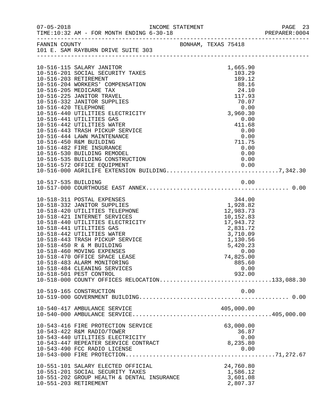| $07 - 05 - 2018$     | TIME:10:32 AM - FOR MONTH ENDING 6-30-18                                                                                   | INCOME STATEMENT |  |                                        | PAGE 23<br>PREPARER: 0004 |
|----------------------|----------------------------------------------------------------------------------------------------------------------------|------------------|--|----------------------------------------|---------------------------|
|                      | FANNIN COUNTY<br>101 E. SAM RAYBURN DRIVE SUITE 303                                                                        |                  |  |                                        |                           |
|                      |                                                                                                                            |                  |  |                                        |                           |
|                      | 10-516-115 SALARY JANITOR<br>10-516-201 SOCIAL SECURITY TAXES<br>10-516-203 RETIREMENT<br>10-516-204 WORKERS' COMPENSATION |                  |  | 1,665.90<br>103.29<br>189.12<br>88.16  |                           |
|                      | 10-516-205 MEDICARE TAX<br>10-516-225 JANITOR TRAVEL<br>10-516-332 JANITOR SUPPLIES                                        |                  |  | 24.10<br>117.93<br>70.07               |                           |
| 10-516-420 TELEPHONE | 10-516-440 UTILITIES ELECTRICITY<br>10-516-441 UTILITIES GAS                                                               |                  |  | 0.00<br>3,960.30                       |                           |
|                      | 10-516-442 UTILITIES WATER<br>10-516-443 TRASH PICKUP SERVICE<br>10-516-444 LAWN MAINTENANCE                               |                  |  | 0.00<br>411.68<br>0.00                 |                           |
|                      | 10-516-450 R&M BUILDING<br>10-516-482 FIRE INSURANCE<br>10-516-530 BUILDING REMODEL                                        |                  |  | 0.00<br>0.00<br>711.75<br>0.00<br>0.00 |                           |
|                      | 10-516-535 BUILDING CONSTRUCTION<br>10-516-572 OFFICE EOUIPMENT                                                            | <b>ION</b>       |  | 0.00<br>0.00                           |                           |
|                      |                                                                                                                            |                  |  |                                        |                           |
|                      |                                                                                                                            |                  |  |                                        |                           |
|                      | 10-518-311 POSTAL EXPENSES<br>10-518-332 JANITOR SUPPLIES                                                                  |                  |  | 344.00<br>1,928.82                     |                           |
|                      | 10-518-420 UTILITIES TELEPHONE<br>10-518-421 INTERNET SERVICES                                                             |                  |  | 12,983.73<br>10,152.83                 |                           |
|                      | 10-518-440 UTILITIES ELECTRICITY<br>10-518-441 UTILITIES GAS<br>10-518-442 UTILITIES WATER                                 |                  |  | 17,943.72<br>2,831.72<br>3,710.09      |                           |
|                      | 10-518-443 TRASH PICKUP SERVICE<br>10-518-450 R & M BUILDING<br>10-518-460 MOVING EXPENSES                                 |                  |  | 1,130.56<br>5,420.23<br>0.00           |                           |
|                      | 10-518-470 OFFICE SPACE LEASE<br>10-518-483 ALARM MONITORING<br>10-518-484 CLEANING SERVICES                               |                  |  | 74,825.00<br>885.60<br>0.00            |                           |
|                      | 10-518-501 PEST CONTROL<br>10-518-000 COUNTY OFFICES RELOCATION133,088.30                                                  |                  |  | 932.00                                 |                           |
|                      | 10-519-165 CONSTRUCTION                                                                                                    |                  |  | 0.00                                   |                           |
|                      | 10-540-417 AMBULANCE SERVICE                                                                                               |                  |  | 405,000.00                             |                           |
|                      | 10-543-416 FIRE PROTECTION SERVICE<br>10-543-422 R&M RADIO/TOWER                                                           |                  |  | 63,000.00<br>36.87                     |                           |
|                      | 10-543-440 UTILITIES ELECTRICITY<br>10-543-447 REPEATER SERVICE CONTRACT                                                   |                  |  | 0.00<br>8,235.80                       |                           |
|                      | 10-543-490 FCC RADIO LICENSE                                                                                               |                  |  | 0.00                                   |                           |
|                      | 10-551-101 SALARY ELECTED OFFICIAL<br>10-551-201 SOCIAL SECURITY TAXES                                                     |                  |  | 24,760.80<br>1,586.12                  |                           |
|                      | 10-551-202 GROUP HEALTH & DENTAL INSURANCE<br>10-551-203 RETIREMENT                                                        |                  |  | 3,601.08<br>2,807.37                   |                           |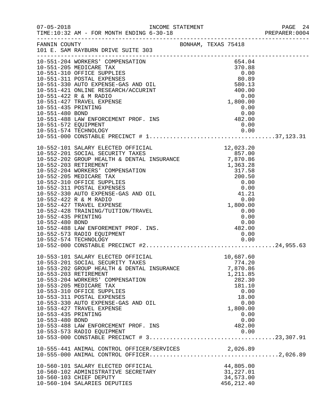|                                        |                                                                                                                                                                                                                                                                                                                                                                                                                    |                     |                                                                                                |                                      | PREPARER: 0004 |
|----------------------------------------|--------------------------------------------------------------------------------------------------------------------------------------------------------------------------------------------------------------------------------------------------------------------------------------------------------------------------------------------------------------------------------------------------------------------|---------------------|------------------------------------------------------------------------------------------------|--------------------------------------|----------------|
|                                        | FANNIN COUNTY<br>101 E. SAM RAYBURN DRIVE SUITE 303                                                                                                                                                                                                                                                                                                                                                                | BONHAM, TEXAS 75418 |                                                                                                |                                      |                |
|                                        |                                                                                                                                                                                                                                                                                                                                                                                                                    |                     |                                                                                                |                                      |                |
|                                        | 10-551-488 LAW ENFORCEMENT PROF. INS<br>10-551-572 EQUIPMENT<br>10-551-572 EQUIPMENT<br>10-551-574 TECHNOLOGY                                                                                                                                                                                                                                                                                                      |                     |                                                                                                |                                      |                |
| 10-552-435 PRINTING<br>10-552-480 BOND | 10-552-488 LAW ENFOREMENT PROF. INS.<br>10-552-573 RADIO EQUIPMENT<br>10-552-574 TECHNOLOGY                                                                                                                                                                                                                                                                                                                        | $0.00$<br>482.00    | 0.00<br>0.00                                                                                   | 0.00                                 |                |
| 10-553-435 PRINTING<br>10-553-480 BOND | 10-553-101 SALARY ELECTED OFFICIAL<br>10-553-201 SOCIAL SECURITY TAXES<br>10-553-202 GROUP HEALTH & DENTAL INSURANCE<br>10-553-203 RETIREMENT<br>10-553-204 WORKERS' COMPENSATION<br>10-553-205 MEDICARE TAX<br>10-553-310 OFFICE SUPPLIES<br>10-553-311 POSTAL EXPENSES<br>10-553-330 AUTO EXPENSE-GAS AND OIL<br>10-553-427 TRAVEL EXPENSE<br>10-553-488 LAW ENFORCEMENT PROF. INS<br>10-553-573 RADIO EQUIPMENT |                     | 10,687.60<br>774.20<br>7,870.86<br>1,211.85<br>282.30<br>181.10<br>18.00<br>1,800.00<br>482.00 | 0.00<br>0.00<br>0.00<br>0.00<br>0.00 |                |
|                                        |                                                                                                                                                                                                                                                                                                                                                                                                                    |                     |                                                                                                |                                      |                |
|                                        | 10-560-101 SALARY ELECTED OFFICIAL<br>10-560-101 SALARI ELECIED OFFICIAL<br>10-560-102 ADMINISTRATIVE SECRETARY<br>10-560-103 CHIEF DEPUTY<br>10-560-104 SALARIES DEPUTIES                                                                                                                                                                                                                                         |                     | 44,805.00<br>31,227.01<br>34,573.00<br>456, 212.40                                             |                                      |                |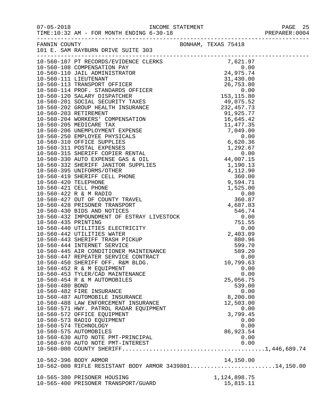07-05-2018 INCOME STATEMENT PAGE 25

|                 | TIME:10:32 AM - FOR MONTH ENDING 6-30-18                                                                                                                                                                                                   |                     | PREPARER: 0004 |
|-----------------|--------------------------------------------------------------------------------------------------------------------------------------------------------------------------------------------------------------------------------------------|---------------------|----------------|
|                 | FANNIN COUNTY                                                                                                                                                                                                                              | BONHAM, TEXAS 75418 |                |
|                 | 101 E. SAM RAYBURN DRIVE SUITE 303                                                                                                                                                                                                         |                     |                |
|                 |                                                                                                                                                                                                                                            |                     |                |
|                 |                                                                                                                                                                                                                                            |                     |                |
|                 |                                                                                                                                                                                                                                            |                     |                |
|                 |                                                                                                                                                                                                                                            |                     |                |
|                 |                                                                                                                                                                                                                                            |                     |                |
|                 |                                                                                                                                                                                                                                            |                     |                |
|                 |                                                                                                                                                                                                                                            |                     |                |
|                 |                                                                                                                                                                                                                                            |                     |                |
|                 |                                                                                                                                                                                                                                            |                     |                |
|                 |                                                                                                                                                                                                                                            |                     |                |
|                 |                                                                                                                                                                                                                                            |                     |                |
|                 |                                                                                                                                                                                                                                            |                     |                |
|                 |                                                                                                                                                                                                                                            |                     |                |
|                 |                                                                                                                                                                                                                                            |                     |                |
|                 |                                                                                                                                                                                                                                            |                     |                |
|                 |                                                                                                                                                                                                                                            |                     |                |
|                 |                                                                                                                                                                                                                                            |                     |                |
|                 |                                                                                                                                                                                                                                            |                     |                |
|                 |                                                                                                                                                                                                                                            |                     |                |
|                 |                                                                                                                                                                                                                                            |                     |                |
|                 |                                                                                                                                                                                                                                            |                     |                |
|                 |                                                                                                                                                                                                                                            |                     |                |
|                 |                                                                                                                                                                                                                                            |                     |                |
|                 |                                                                                                                                                                                                                                            |                     |                |
|                 |                                                                                                                                                                                                                                            |                     |                |
|                 | 10-560-430 BIDS AND NOTICES                                                                                                                                                                                                                | 546.74              |                |
|                 | 10-560-432 IMPOUNDMENT OF ESTRAY LIVESTOCK<br>10-560-435 PRINTING                                                                                                                                                                          | 0.00                |                |
|                 | 10-560-440 UTILITIES ELECTRICITY<br>10-560-442 UTILITIES WATER<br>10-560-442 UTILITIES WATER<br>10-560-443 SHERIFF TRASH PICKUP<br>10-560-444 INTERNET SERVICE<br>10-560-445 AIR CONDITIONER MAINTENANCE<br>10-560-450 AERIFF OFF. R&M BLD | 751.55              |                |
|                 |                                                                                                                                                                                                                                            | 0.00                |                |
|                 |                                                                                                                                                                                                                                            | 2,403.09            |                |
|                 |                                                                                                                                                                                                                                            | 880.96              |                |
|                 |                                                                                                                                                                                                                                            | 599.70              |                |
|                 |                                                                                                                                                                                                                                            | 589.20              |                |
|                 |                                                                                                                                                                                                                                            | 0.00                |                |
|                 |                                                                                                                                                                                                                                            | 10,799.63           |                |
|                 | 10-560-453 TYLER/CAD MAINTENANCE                                                                                                                                                                                                           | 0.00<br>0.00        |                |
|                 | 10-560-454 R & M AUTOMOBILES                                                                                                                                                                                                               | 25,056.75           |                |
| 10-560-480 BOND |                                                                                                                                                                                                                                            | 539.00              |                |
|                 | 10-560-482 FIRE INSURANCE                                                                                                                                                                                                                  | 0.00                |                |
|                 | 10-560-487 AUTOMOBILE INSURANCE                                                                                                                                                                                                            | 8,200.00            |                |
|                 | 10-560-488 LAW ENFORCEMENT INSURANCE                                                                                                                                                                                                       | 12,503.00           |                |
|                 | 10-560-571 HWY. PATROL RADAR EQUIPMENT                                                                                                                                                                                                     | 0.00                |                |
|                 | 10-560-572 OFFICE EQUIPMENT                                                                                                                                                                                                                | 3,799.45            |                |
|                 | 10-560-573 RADIO EQUIPMENT                                                                                                                                                                                                                 | 0.00                |                |
|                 | 10-560-574 TECHNOLOGY                                                                                                                                                                                                                      | 0.00                |                |
|                 | 10-560-575 AUTOMOBILES                                                                                                                                                                                                                     | 86,923.54           |                |
|                 | 10-560-630 AUTO NOTE PMT-PRINCIPAL                                                                                                                                                                                                         | 0.00                |                |
|                 | 10-560-670 AUTO NOTE PMT-INTEREST                                                                                                                                                                                                          | 0.00                |                |
|                 |                                                                                                                                                                                                                                            |                     |                |
|                 |                                                                                                                                                                                                                                            |                     |                |
|                 | 10-562-396 BODY ARMOR<br>10-562-000 RIFLE RESISTANT BODY ARMOR 343980114,150.00                                                                                                                                                            | 14,150.00           |                |
|                 |                                                                                                                                                                                                                                            |                     |                |
|                 | 10-565-380 PRISONER HOUSING                                                                                                                                                                                                                | 1, 124, 898. 75     |                |
|                 | 10-565-400 PRISONER TRANSPORT/GUARD                                                                                                                                                                                                        | 15,815.11           |                |
|                 |                                                                                                                                                                                                                                            |                     |                |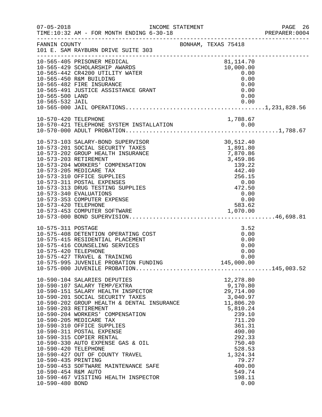| $07 - 05 - 2018$                                                                      | TIME:10:32 AM - FOR MONTH ENDING 6-30-18<br>------------------------------------                                                                                                                                                                                                                                                                                                                                                                                                                                                                                |                                                                                                                                                                                                          | PAGE 26<br>PREPARER:0004 |
|---------------------------------------------------------------------------------------|-----------------------------------------------------------------------------------------------------------------------------------------------------------------------------------------------------------------------------------------------------------------------------------------------------------------------------------------------------------------------------------------------------------------------------------------------------------------------------------------------------------------------------------------------------------------|----------------------------------------------------------------------------------------------------------------------------------------------------------------------------------------------------------|--------------------------|
| FANNIN COUNTY                                                                         | 101 E. SAM RAYBURN DRIVE SUITE 303                                                                                                                                                                                                                                                                                                                                                                                                                                                                                                                              | BONHAM, TEXAS 75418                                                                                                                                                                                      |                          |
| 10-565-500 LAND                                                                       | 10-565-405 PRISONER MEDICAL<br>10-565-429 SCHOLARSHIP AWARDS<br>10-565-442 CR4200 UTILITY WATER<br>10-565-450 R&M BUILDING<br>10-565-482 FIRE INSURANCE<br>10-565-491 JUSTICE ASSISTANCE GRANT                                                                                                                                                                                                                                                                                                                                                                  | 81,114.70<br>10,000.00<br>0.00<br>0.00<br>0.00<br>0.00<br>0.00                                                                                                                                           |                          |
| 10-565-532 JAIL                                                                       |                                                                                                                                                                                                                                                                                                                                                                                                                                                                                                                                                                 | 0.00                                                                                                                                                                                                     |                          |
| 10-570-420 TELEPHONE                                                                  |                                                                                                                                                                                                                                                                                                                                                                                                                                                                                                                                                                 | 1,788.67                                                                                                                                                                                                 |                          |
| 10-573-420 TELEPHONE                                                                  | 10-573-103 SALARY-BOND SUPERVISOR<br>10-573-201 SOCIAL SECURITY TAXES<br>10-573-202 GROUP HEALTH INSURANCE<br>10-573-203 RETIREMENT<br>10-573-204 WORKERS' COMPENSATION<br>10-573-205 MEDICARE TAX<br>10-573-310 OFFICE SUPPLIES<br>10-573-311 POSTAL EXPENSES<br>10-573-313 DRUG TESTING SUPPLIES<br>10-573-340 EVALUATIONS<br>10-573-353 COMPUTER EXPENSE                                                                                                                                                                                                     | 30,512.40<br>1,891.80<br>7,870.86<br>3,459.86<br>139.22<br>442.40<br>$442.40$<br>$256.15$<br>$0.00$<br>$472.50$<br>0.00<br>0.00<br>583.62                                                                |                          |
| 10-575-311 POSTAGE<br>10-575-420 TELEPHONE                                            | 10-575-408 DETENTION OPERATING COST<br>10-575-415 RESIDENTIAL PLACEMENT<br>10-575-416 COUNSELING SERVICES<br>10-575-427 TRAVEL & TRAINING                                                                                                                                                                                                                                                                                                                                                                                                                       | 3.52<br>0.00<br>0.00<br>0.00<br>0.00<br>0.00                                                                                                                                                             |                          |
| 10-590-420 TELEPHONE<br>10-590-435 PRINTING<br>10-590-454 R&M AUTO<br>10-590-480 BOND | 10-590-104 SALARIES DEPUTIES<br>10-590-107 SALARY TEMP/EXTRA<br>10-590-151 SALARY HEALTH INSPECTOR<br>10-590-201 SOCIAL SECURITY TAXES<br>10-590-201 SOCIAL SECURITY TAXES<br>10-590-202 GROUP HEALTH & DENTAL INSURANCE<br>10-590-203 RETIREMENT<br>10-590-204 WORKERS' COMPENSATION<br>10-590-205 MEDICARE TAX<br>10-590-310 OFFICE SUPPLIES<br>10-590-311 POSTAL EXPENSE<br>10-590-315 COPIER RENTAL<br>10-590-330 AUTO EXPENSE GAS & OIL<br>10-590-427 OUT OF COUNTY TRAVEL<br>10-590-453 SOFTWARE MAINTENANCE SAFE<br>10-590-467 VISITING HEALTH INSPECTOR | 12,278.80<br>9,170.80<br>29,714.00<br>3,040.97<br>11,806.20<br>5,810.24<br>239.10<br>711.20<br>361.31<br>490.00<br>292.33<br>750.40<br>528.53<br>1,324.34<br>79.27<br>400.00<br>549.74<br>198.11<br>0.00 |                          |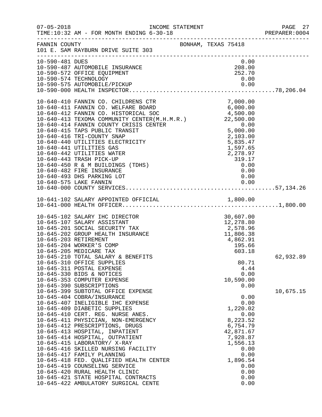| $07 - 05 - 2018$ | INCOME STATEMENT<br>TIME:10:32 AM - FOR MONTH ENDING 6-30-18                                                                                                                                                                                                                                                                                                                                                                                                                                                                                                 |                                                                                                                                                   | PAGE 27<br>PREPARER:0004 |
|------------------|--------------------------------------------------------------------------------------------------------------------------------------------------------------------------------------------------------------------------------------------------------------------------------------------------------------------------------------------------------------------------------------------------------------------------------------------------------------------------------------------------------------------------------------------------------------|---------------------------------------------------------------------------------------------------------------------------------------------------|--------------------------|
| FANNIN COUNTY    | 101 E. SAM RAYBURN DRIVE SUITE 303                                                                                                                                                                                                                                                                                                                                                                                                                                                                                                                           | BONHAM, TEXAS 75418                                                                                                                               |                          |
| 10-590-481 DUES  | 10-590-487 AUTOMOBILE INSURANCE<br>10-590-572 OFFICE EQUIPMENT<br>10-590-574 TECHNOLOGY                                                                                                                                                                                                                                                                                                                                                                                                                                                                      | 0.00<br>208.00<br>252.70<br>0.00                                                                                                                  |                          |
|                  | 10-640-410 FANNIN CO. CHILDRENS CTR<br>10-640-411 FANNIN CO. WELFARE BOARD 6,000.00<br>10-640-412 FANNIN CO. HISTORICAL SOC 4,500.00<br>10-640-413 TEXOMA COMMUNITY CENTER(M.H.M.R.) 22,500.00<br>10-640-414 FANNIN COUNTY CRISIS CENTER<br>10-640-415 TAPS PUBLIC TRANSIT<br>10-640-416 TRI-COUNTY SNAP<br>10-640-440 UTILITIES ELECTRICITY<br>10-640-441 UTILITIES GAS<br>10-640-442 UTILITIES WATER<br>10-640-443 TRASH PICK-UP<br>10-640-450 R & M BUILDINGS (TDHS)<br>10-640-482 FIRE INSURANCE<br>10-640-493 DHS PARKING LOT<br>10-640-575 LAKE FANNIN | $0.00$<br>5,000.00<br>2,103.00<br>5,835.47<br>1,597.65<br>2,278.97<br>319.17<br>0.00<br>0.00<br>0.00<br>0.00                                      |                          |
|                  |                                                                                                                                                                                                                                                                                                                                                                                                                                                                                                                                                              |                                                                                                                                                   |                          |
|                  | 10-645-102 SALARY IHC DIRECTOR<br>10-645-107 SALARY ASSISTANT<br>10-645-201 SOCIAL SECURITY TAX<br>10-645-202 GROUP HEALTH INSURANCE<br>10-645-203 RETIREMENT<br>10-645-204 WORKER'S COMP<br>10-645-205 MEDICARE TAX<br>10-645-210 TOTAL SALARY & BENEFITS<br>10-645-310 OFFICE SUPPLIES<br>10-645-311 POSTAL EXPENSE<br>10-645-330 BIDS & NOTICES<br>10-645-353 COMPUTER EXPENSE<br>10-645-390 SUBSCRIPTIONS<br>10-645-399 SUBTOTAL OFFICE EXPENSE<br>10-645-404 COBRA/INSURANCE                                                                            | 30,607.00<br>12,278.80<br>2,578.96<br>11,806.38<br>4,862.91<br>195.66<br>603.18<br>80.71<br>4.44<br>0.00<br>10,590.00<br>0.00<br>0.00             | 62,932.89<br>10,675.15   |
|                  | 10-645-407 INELIGIBLE IHC EXPENSE<br>10-645-409 DIABETIC SUPPLIES<br>10-645-410 CERT. REG. NURSE ANES.<br>10-645-411 PHYSICIAN, NON-EMERGENCY<br>10-645-412 PRESCRIPTIONS, DRUGS<br>10-645-413 HOSPITAL, INPATIENT<br>10-645-414 HOSPITAL, OUTPATIENT<br>10-645-415 LABORATORY/ X-RAY<br>10-645-416 SKILLED NURSING FACILITY<br>10-645-417 FAMILY PLANNING<br>10-645-418 FED. QUALIFIED HEALTH CENTER<br>10-645-419 COUNSELING SERVICE<br>10-645-420 RURAL HEALTH CLINIC<br>10-645-421 STATE HOSPITAL CONTRACTS<br>10-645-422 AMBULATORY SURGICAL CENTE      | 0.00<br>1,220.02<br>0.00<br>8,223.52<br>6,754.79<br>42,871.67<br>7,928.87<br>1,556.13<br>0.00<br>0.00<br>1,896.54<br>0.00<br>0.00<br>0.00<br>0.00 |                          |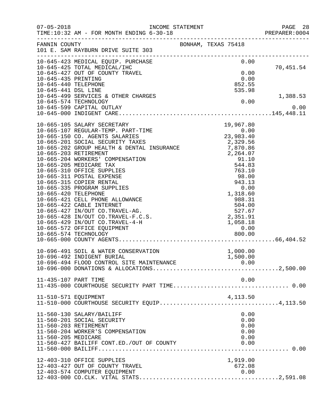| $07 - 05 - 2018$     |                                                                                                                                  | INCOME STATEMENT                                                                                                                             | PAGE 28        |
|----------------------|----------------------------------------------------------------------------------------------------------------------------------|----------------------------------------------------------------------------------------------------------------------------------------------|----------------|
|                      |                                                                                                                                  |                                                                                                                                              | PREPARER: 0004 |
| FANNIN COUNTY        |                                                                                                                                  | BONHAM, TEXAS 75418                                                                                                                          |                |
|                      | 101 E. SAM RAYBURN DRIVE SUITE 303                                                                                               |                                                                                                                                              |                |
|                      | 10-645-423 MEDICAL EQUIP. PURCHASE                                                                                               | 0.00                                                                                                                                         |                |
|                      | 10-645-425 TOTAL MEDICAL/IHC                                                                                                     |                                                                                                                                              | 70,451.54      |
|                      | 10-645-427 OUT OF COUNTY TRAVEL                                                                                                  | 0.00                                                                                                                                         |                |
| 10-645-435 PRINTING  |                                                                                                                                  | 0.00                                                                                                                                         |                |
| 10-645-440 TELEPHONE |                                                                                                                                  | 852.55                                                                                                                                       |                |
| 10-645-441 DSL LINE  |                                                                                                                                  | 535.98                                                                                                                                       |                |
|                      | 10-645-499 SERVICES & OTHER CHARGES                                                                                              |                                                                                                                                              | 1,388.53       |
|                      | 10-645-574 TECHNOLOGY                                                                                                            | 0.00                                                                                                                                         |                |
|                      | 10-645-599 CAPITAL OUTLAY                                                                                                        |                                                                                                                                              | 0.00           |
|                      |                                                                                                                                  |                                                                                                                                              |                |
|                      | 10-665-105 SALARY SECRETARY                                                                                                      | 19,967.80                                                                                                                                    |                |
|                      | 10-665-107 REGULAR-TEMP. PART-TIME                                                                                               | 19,967.80<br>0.00<br>23,983.40                                                                                                               |                |
|                      | 10-665-150 CO. AGENTS SALARIES                                                                                                   |                                                                                                                                              |                |
|                      | 10-000-100 CO. AUNTE CHANGES<br>10-665-201 SOCIAL SECURITY TAXES 2,329.56<br>10-665-202 GROUP HEALTH & DENTAL INSURANCE 7,870.86 |                                                                                                                                              |                |
|                      |                                                                                                                                  |                                                                                                                                              |                |
|                      | 10-665-203 RETIREMENT                                                                                                            |                                                                                                                                              |                |
|                      | 10-665-204 WORKERS' COMPENSATION                                                                                                 |                                                                                                                                              |                |
|                      | 10-665-205 MEDICARE TAX                                                                                                          | ANCE<br>7,870.86<br>2,264.07<br>91.10<br>544.83<br>763.10<br>98.00<br>943.13<br>0.00<br>1,318.60<br>988.31<br>504.00<br>2,351.91<br>1,058.18 |                |
|                      | 10-665-310 OFFICE SUPPLIES                                                                                                       |                                                                                                                                              |                |
|                      | 10-665-311 POSTAL EXPENSE                                                                                                        |                                                                                                                                              |                |
|                      | 10-665-315 COPIER RENTAL                                                                                                         |                                                                                                                                              |                |
|                      | 10-665-335 PROGRAM SUPPLIES                                                                                                      |                                                                                                                                              |                |
| 10-665-420 TELEPHONE | 10-665-421 CELL PHONE ALLOWANCE                                                                                                  |                                                                                                                                              |                |
|                      | 10-665-422 CABLE INTERNET                                                                                                        |                                                                                                                                              |                |
|                      | 10-665-427 IN/OUT CO.TRAVEL-AG.                                                                                                  |                                                                                                                                              |                |
|                      | 10-665-428 IN/OUT CO.TRAVEL-F.C.S.                                                                                               |                                                                                                                                              |                |
|                      | 10-665-429 IN/OUT CO.TRAVEL-4-H                                                                                                  | 1,058.18                                                                                                                                     |                |
|                      | 10-665-572 OFFICE EQUIPMENT                                                                                                      | 0.00                                                                                                                                         |                |
|                      | 10-665-574 TECHNOLOGY                                                                                                            | 800.00                                                                                                                                       |                |
|                      |                                                                                                                                  |                                                                                                                                              |                |
|                      |                                                                                                                                  |                                                                                                                                              |                |
|                      | 10-696-491 SOIL & WATER CONSERVATION                                                                                             | 1,000.00                                                                                                                                     |                |
|                      | 10-696-492 INDIGENT BURIAL                                                                                                       | 1,500.00                                                                                                                                     |                |
|                      |                                                                                                                                  |                                                                                                                                              |                |
|                      |                                                                                                                                  |                                                                                                                                              |                |
| 11-435-107 PART TIME |                                                                                                                                  | 0.00                                                                                                                                         |                |
|                      |                                                                                                                                  |                                                                                                                                              |                |
|                      |                                                                                                                                  |                                                                                                                                              |                |
| 11-510-571 EQUIPMENT | 11-510-571 EQUIPMENT<br>11-510-000 COURTHOUSE SECURITY EQUIP4,113.50                                                             |                                                                                                                                              |                |
|                      |                                                                                                                                  |                                                                                                                                              |                |
|                      |                                                                                                                                  |                                                                                                                                              |                |
|                      | 11-560-130 SALARY/BAILIFF                                                                                                        | 0.00                                                                                                                                         |                |
|                      | 11-560-201 SOCIAL SECURITY                                                                                                       | 0.00                                                                                                                                         |                |
|                      | 11-560-203 RETIREMENT<br>11-560-204 WORKER'S COMPENSATION                                                                        | 0.00<br>0.00                                                                                                                                 |                |
| 11-560-205 MEDICARE  |                                                                                                                                  | 0.00                                                                                                                                         |                |
|                      | 11-560-427 BAILIFF CONT.ED./OUT OF COUNTY                                                                                        | 0.00                                                                                                                                         |                |
|                      |                                                                                                                                  |                                                                                                                                              |                |
|                      |                                                                                                                                  |                                                                                                                                              |                |
|                      | 12-403-310 OFFICE SUPPLIES                                                                                                       | 1,919.00                                                                                                                                     |                |
|                      | 12-403-427 OUT OF COUNTY TRAVEL                                                                                                  | 672.08                                                                                                                                       |                |
|                      | 12-403-574 COMPUTER EQUIPMENT                                                                                                    | 0.00                                                                                                                                         |                |
|                      |                                                                                                                                  |                                                                                                                                              |                |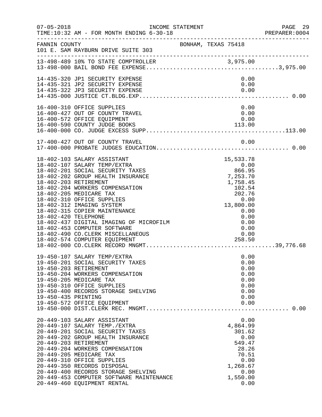| $07 - 05 - 2018$                              | INCOME STATEMENT<br>TIME:10:32 AM - FOR MONTH ENDING 6-30-18                                                                                                                                                                                                                                                                                                                                                    |                     |                                             |                                                                                           |                                                                      | PAGE 29<br>PREPARER:0004 |
|-----------------------------------------------|-----------------------------------------------------------------------------------------------------------------------------------------------------------------------------------------------------------------------------------------------------------------------------------------------------------------------------------------------------------------------------------------------------------------|---------------------|---------------------------------------------|-------------------------------------------------------------------------------------------|----------------------------------------------------------------------|--------------------------|
| FANNIN COUNTY                                 | 101 E. SAM RAYBURN DRIVE SUITE 303                                                                                                                                                                                                                                                                                                                                                                              | BONHAM, TEXAS 75418 |                                             |                                                                                           |                                                                      |                          |
|                                               |                                                                                                                                                                                                                                                                                                                                                                                                                 |                     |                                             |                                                                                           |                                                                      |                          |
|                                               | 14-435-320 JP1 SECURITY EXPENSE<br>14-435-321 JP2 SECURITY EXPENSE<br>14-435-322 JP3 SECURITY EXPENSE                                                                                                                                                                                                                                                                                                           |                     |                                             | 0.00<br>0.00                                                                              | 0.00                                                                 |                          |
|                                               | 16-400-310 OFFICE SUPPLIES<br>16-400-427 OUT OF COUNTY TRAVEL<br>16-400-572 OFFICE EQUIPMENT<br>16-400-590 COUNTY JUDGE BOOKS                                                                                                                                                                                                                                                                                   |                     | 113.00                                      | 0.00<br>0.00                                                                              | 0.00                                                                 |                          |
|                                               |                                                                                                                                                                                                                                                                                                                                                                                                                 |                     |                                             |                                                                                           |                                                                      |                          |
| 18-402-203 RETIREMENT<br>18-402-420 TELEPHONE | 18-402-103 SALARY ASSISTANT<br>18-402-107 SALARY TEMP/EXTRA<br>18-402-201 SOCIAL SECURITY TAXES<br>18-402-202 GROUP HEALTH INSURANCE<br>18-402-204 WORKERS COMPENSATION<br>18-402-205 MEDICARE TAX<br>18-402-310 OFFICE SUPPLIES<br>18-402-312 IMAGING SYSTEM<br>18-402-315 COPIER MAINTENANCE<br>18-402-437 DIGITAL IMAGING OF MICROFILM<br>18-402-453 COMPUTER SOFTWARE<br>18-402-490 CO. CLERK MISCELLANEOUS |                     | 15, 533. 78<br>0.00<br>866.95<br>7, 253. 70 | 1,758.45<br>102.54<br>202.76<br>0.00<br>13,800.00<br>0.00<br>0.00<br>0.00<br>0.00<br>0.00 |                                                                      |                          |
| 19-450-435 PRINTING                           | 19-450-107 SALARY TEMP/EXTRA<br>19-450-201 SOCIAL SECURITY TAXES<br>19-450-203 RETIREMENT<br>19-450-204 WORKERS COMPENSATION<br>19-450-205 MEDICARE TAX<br>19-450-310 OFFICE SUPPLIES<br>19-450-400 RECORDS STORAGE SHELVING<br>19-450-572 OFFICE EQUIPMENT                                                                                                                                                     |                     |                                             |                                                                                           | 0.00<br>0.00<br>0.00<br>0.00<br>0.00<br>0.00<br>0.00<br>0.00<br>0.00 |                          |
|                                               | 20-449-103 SALARY ASSISTANT<br>20-449-107 SALARY TEMP./EXTRA<br>20-449-201 SOCIAL SECURITY TAXES<br>20-449-202 GROUP HEALTH INSURANCE<br>20-449-203 RETIREMENT<br>20-449-204 WORKERS COMPENSATION<br>20-449-205 MEDICARE TAX<br>20-449-310 OFFICE SUPPLIES<br>20-449-350 RECORDS DISPOSAL<br>20-449-400 RECORDS STORAGE SHELVING<br>20-449-453 COMPUTER SOFTWARE MAINTENANCE<br>20-449-460 EQUIPMENT RENTAL     |                     |                                             | 4,864.99<br>301.62<br>549.47<br>28.26<br>70.51<br>1,268.67<br>1,550.00                    | 0.00<br>0.00<br>0.00<br>0.00<br>0.00                                 |                          |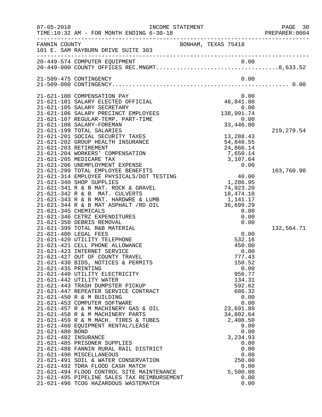| $07 - 05 - 2018$                                                                        | TIME:10:32 AM - FOR MONTH ENDING 6-30-18                                                                                                                                                                                                                                                                                                                                                                                                                                                                                                                                                                                                                                                                                                                                                                                                                                                      | INCOME STATEMENT                                                                                                                                                                                                                                                                  | PAGE 30<br>PREPARER:0004  |
|-----------------------------------------------------------------------------------------|-----------------------------------------------------------------------------------------------------------------------------------------------------------------------------------------------------------------------------------------------------------------------------------------------------------------------------------------------------------------------------------------------------------------------------------------------------------------------------------------------------------------------------------------------------------------------------------------------------------------------------------------------------------------------------------------------------------------------------------------------------------------------------------------------------------------------------------------------------------------------------------------------|-----------------------------------------------------------------------------------------------------------------------------------------------------------------------------------------------------------------------------------------------------------------------------------|---------------------------|
| FANNIN COUNTY                                                                           | 101 E. SAM RAYBURN DRIVE SUITE 303                                                                                                                                                                                                                                                                                                                                                                                                                                                                                                                                                                                                                                                                                                                                                                                                                                                            | BONHAM, TEXAS 75418                                                                                                                                                                                                                                                               |                           |
|                                                                                         | 20-449-574 COMPUTER EQUIPMENT                                                                                                                                                                                                                                                                                                                                                                                                                                                                                                                                                                                                                                                                                                                                                                                                                                                                 |                                                                                                                                                                                                                                                                                   |                           |
|                                                                                         | 21-509-475 CONTINGENCY                                                                                                                                                                                                                                                                                                                                                                                                                                                                                                                                                                                                                                                                                                                                                                                                                                                                        | 0.00                                                                                                                                                                                                                                                                              |                           |
| 21-621-345 CHEMICALS                                                                    | 21-621-100 COMPENSATION PAY<br>21-621-101 SALARY ELECTED OFFICIAL<br>21-621-105 SALARY SECRETARY<br>21-621-106 SALARY PRECINCT EMPLOYEES<br>21-621-107 REGULAR-TEMP. PART-TIME<br>21-621-108 SALARY-FOREMAN<br>21-621-199 TOTAL SALARIES<br>21-621-201 SOCIAL SECURITY TAXES<br>21-621-202 GROUP HEALTH INSURANCE<br>21-621-203 RETIREMENT<br>21-621-204 WORKERS' COMPENSATION<br>21-621-205 MEDICARE TAX<br>21-621-206 UNEMPLOYMENT EXPENSE<br>21-621-299 TOTAL EMPLOYEE BENEFITS<br>21-621-314 EMPLOYEE PHYSICALS/DOT TESTING<br>21-621-340 SHOP SUPPLIES<br>21-621-341 R & B MAT. ROCK & GRAVEL<br>21-621-342 R & B MAT. CULVERTS<br>21-621-343 R & B MAT. HARDWRE & LUMB<br>21-621-344 R & B MAT ASPHALT /RD OIL<br>21-621-346 CETRZ EXPENDITURES<br>21-621-350 DEBRIS REMOVAL                                                                                                            | 0.00<br>$0.00$<br>$46,841.80$<br>$0.00$<br>$138,991.74$<br>$\begin{matrix} 0.00 \end{matrix}$<br>33,446.00<br>13,288.43<br>54,848.55<br>24,866.14<br>7,650.14<br>3,107.64<br>0.00<br>40.00<br>1,286.95<br>74,923.20<br>18,474.10<br>1,141.17<br>36,699.29<br>0.00<br>0.00<br>0.00 | 219, 279.54<br>103,760.90 |
| 21-621-400 LEGAL FEES<br>21-621-435 PRINTING<br>21-621-480 BOND<br>21-621-482 INSURANCE | 21-621-399 TOTAL R&B MATERIAL<br>21-621-420 UTILITY TELEPHONE<br>21-621-421 CELL PHONE ALLOWANCE<br>21-621-423 INTERNET SERVICE<br>21-621-427 OUT OF COUNTY TRAVEL<br>21-621-430 BIDS, NOTICES & PERMITS<br>21-621-440 UTILITY ELECTRICITY<br>21-621-442 UTILITY WATER<br>21-621-443 TRASH DUMPSTER PICKUP<br>21-621-447 REPEATER SERVICE CONTRACT<br>21-621-450 R & M BUILDING<br>21-621-453 COMPUTER SOFTWARE<br>21-621-457 R & M MACHINERY GAS & OIL<br>21-621-458 R & M MACHINERY PARTS<br>21-621-459 R & M MACH. TIRES & TUBES<br>21-621-460 EQUIPMENT RENTAL/LEASE<br>21-621-485 PRISONER SUPPLIES<br>21-621-488 FANNIN RURAL RAIL DISTRICT<br>21-621-490 MISCELLANEOUS<br>21-621-491 SOIL & WATER CONSERVATION<br>21-621-492 TDRA FLOOD CASH MATCH<br>21-621-494 FLOOD CONTROL SITE MAINTENANCE<br>21-621-495 PIPELINE SALES TAX REIMBURSEMENT<br>21-621-496 TCOG HAZARDOUS WASTEMATCH | 0.00<br>532.16<br>450.00<br>0.00<br>777.43<br>150.52<br>0.00<br>956.77<br>134.31<br>592.62<br>686.32<br>0.00<br>0.00<br>23,691.89<br>34,802.64<br>2,408.50<br>0.00<br>0.00<br>3,234.93<br>0.00<br>0.00<br>0.00<br>250.00<br>0.00<br>5,500.00<br>0.00<br>0.00                      | 132,564.71                |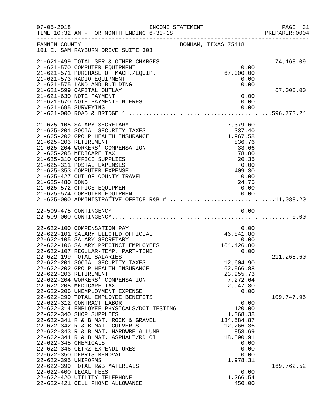| $07 - 05 - 2018$     | INCOME STATEMENT<br>TIME:10:32 AM - FOR MONTH ENDING 6-30-18           |                     | PAGE 31<br>PREPARER:0004 |
|----------------------|------------------------------------------------------------------------|---------------------|--------------------------|
| FANNIN COUNTY        | 101 E. SAM RAYBURN DRIVE SUITE 303                                     | BONHAM, TEXAS 75418 |                          |
|                      | 21-621-499 TOTAL SER. & OTHER CHARGES                                  | 0.00                | 74,168.09                |
|                      | 21-621-570 COMPUTER EQUIPMENT<br>21-621-571 PURCHASE OF MACH./EQUIP.   | 67,000.00           |                          |
|                      | 21-621-573 RADIO EQUIPMENT                                             | 0.00                |                          |
|                      | 21-621-575 LAND AND BUILDING                                           | 0.00                |                          |
|                      | 21-621-599 CAPITAL OUTLAY                                              |                     | 67,000.00                |
|                      | 21-621-630 NOTE PAYMENT                                                | 0.00                |                          |
|                      | 21-621-670 NOTE PAYMENT-INTEREST                                       | 0.00                |                          |
| 21-621-695 SURVEYING |                                                                        | 0.00                |                          |
|                      |                                                                        |                     |                          |
|                      | 21-625-105 SALARY SECRETARY<br>21-625-201 SOCIAL SECURITY TAXES        | 7,379.60<br>337.40  |                          |
|                      | 21-625-202 GROUP HEALTH INSURANCE                                      | 1,967.58            |                          |
|                      | 21-625-203 RETIREMENT                                                  | 836.76              |                          |
|                      | 21-625-204 WORKERS' COMPENSATION                                       | 33.66               |                          |
|                      | 21-625-205 MEDICARE TAX                                                | 78.80               |                          |
|                      | 21-625-310 OFFICE SUPPLIES                                             | 20.35               |                          |
|                      | 21-625-311 POSTAL EXPENSES                                             | 0.00                |                          |
|                      | 21-625-353 COMPUTER EXPENSE                                            | 409.30              |                          |
| 21-625-480 BOND      | 21-625-427 OUT OF COUNTY TRAVEL                                        | 0.00<br>24.75       |                          |
|                      | 21-625-572 OFFICE EQUIPMENT                                            | 0.00                |                          |
|                      | 21-625-574 COMPUTER EQUIPMENT                                          | 0.00                |                          |
|                      | 21-625-000 ADMINISTRATIVE OFFICE R&B #111,088.20                       |                     |                          |
|                      | 22-509-475 CONTINGENCY                                                 | 0.00                |                          |
|                      |                                                                        |                     |                          |
|                      | 22-622-100 COMPENSATION PAY                                            | 0.00                |                          |
|                      | 22-622-101 SALARY ELECTED OFFICIAL                                     | 46,841.80           |                          |
|                      | 22-622-105 SALARY SECRETARY                                            | 0.00                |                          |
|                      | 22-622-106 SALARY PRECINCT EMPLOYEES                                   | 164,426.80          |                          |
|                      | 22-622-107 REGULAR-TEMP. PART-TIME                                     | 0.00                | 211,268.60               |
|                      | 22-622-199 TOTAL SALARIES<br>22-622-201 SOCIAL SECURITY TAXES          | 12,604.90           |                          |
|                      | 22-622-202 GROUP HEALTH INSURANCE                                      | 62,966.88           |                          |
|                      | 22-622-203 RETIREMENT                                                  | 23,955.73           |                          |
|                      | 22-622-204 WORKERS' COMPENSATION                                       | 7,272.64            |                          |
|                      | 22-622-205 MEDICARE TAX                                                | 2,947.80            |                          |
|                      | 22-622-206 UNEMPLOYMENT EXPENSE                                        | 0.00                |                          |
|                      | 22-622-299 TOTAL EMPLOYEE BENEFITS                                     |                     | 109,747.95               |
|                      | 22-622-312 CONTRACT LABOR<br>22-622-314 EMPLOYEE PHYSICALS/DOT TESTING | 0.00<br>120.00      |                          |
|                      | 22-622-340 SHOP SUPPLIES                                               | 1,368.38            |                          |
|                      | 22-622-341 R & B MAT. ROCK & GRAVEL                                    | 134,584.87          |                          |
|                      | 22-622-342 R & B MAT. CULVERTS                                         | 12,266.36           |                          |
|                      | 22-622-343 R & B MAT. HARDWRE & LUMB                                   | 853.69              |                          |
|                      | 22-622-344 R & B MAT. ASPHALT/RD OIL                                   | 18,590.91           |                          |
| 22-622-345 CHEMICALS |                                                                        | 0.00                |                          |
|                      | 22-622-346 CETRZ EXPENDITURES                                          | 0.00                |                          |
| 22-622-395 UNIFORMS  | 22-622-350 DEBRIS REMOVAL                                              | 0.00<br>1,978.31    |                          |
|                      | 22-622-399 TOTAL R&B MATERIALS                                         |                     | 169,762.52               |
|                      | 22-622-400 LEGAL FEES                                                  | 0.00                |                          |
|                      | 22-622-420 UTILITY TELEPHONE                                           | 1,266.54            |                          |
|                      | 22-622-421 CELL PHONE ALLOWANCE                                        | 450.00              |                          |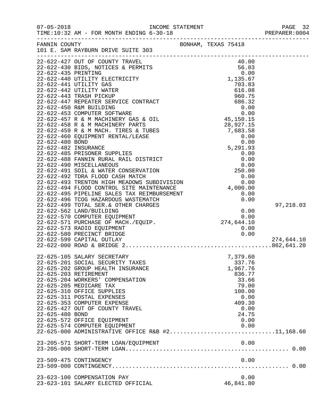| $07 - 05 - 2018$      | TIME:10:32 AM - FOR MONTH ENDING 6-30-18                                                                                                                                                                                                  |                     | PREPARER: 0004 |
|-----------------------|-------------------------------------------------------------------------------------------------------------------------------------------------------------------------------------------------------------------------------------------|---------------------|----------------|
|                       | FANNIN COUNTY<br>101 E. SAM RAYBURN DRIVE SUITE 303                                                                                                                                                                                       | BONHAM, TEXAS 75418 |                |
|                       | 101 E. SAM RAYBURN DRIVE SUITE 301<br>22-622-427 OUT OF COUNTY TRAVEL<br>22-622-427 OUTH TRAVEL ELECTRICITY<br>22-622-439 BIDS, NOTICES & PENITS (900)<br>22-622-430 BIDS, NOTICES & PENITS (900)<br>22-622-440 UTILITY GAS<br>22-622-440 |                     |                |
|                       |                                                                                                                                                                                                                                           |                     |                |
|                       |                                                                                                                                                                                                                                           |                     |                |
|                       |                                                                                                                                                                                                                                           |                     |                |
|                       |                                                                                                                                                                                                                                           |                     |                |
|                       |                                                                                                                                                                                                                                           |                     |                |
|                       |                                                                                                                                                                                                                                           |                     |                |
|                       |                                                                                                                                                                                                                                           |                     |                |
|                       |                                                                                                                                                                                                                                           |                     |                |
|                       |                                                                                                                                                                                                                                           |                     |                |
|                       |                                                                                                                                                                                                                                           |                     |                |
|                       |                                                                                                                                                                                                                                           |                     |                |
|                       |                                                                                                                                                                                                                                           |                     |                |
|                       |                                                                                                                                                                                                                                           |                     |                |
|                       |                                                                                                                                                                                                                                           |                     |                |
|                       |                                                                                                                                                                                                                                           |                     |                |
|                       |                                                                                                                                                                                                                                           |                     |                |
|                       |                                                                                                                                                                                                                                           |                     |                |
|                       |                                                                                                                                                                                                                                           |                     |                |
|                       |                                                                                                                                                                                                                                           |                     |                |
|                       |                                                                                                                                                                                                                                           |                     |                |
|                       |                                                                                                                                                                                                                                           |                     |                |
|                       |                                                                                                                                                                                                                                           |                     |                |
|                       |                                                                                                                                                                                                                                           |                     | 97,218.03      |
|                       |                                                                                                                                                                                                                                           |                     |                |
|                       | 22-622-570 COMPUTER EQUIPMENT<br>22-622-571 PURCHASE OF MACH./EQUIP. 22-622-571 PURCHASE OF MACH./EQUIP.<br>274,644.10 22-622-573 RADIO EQUIPMENT                                                                                         |                     |                |
|                       |                                                                                                                                                                                                                                           |                     |                |
|                       |                                                                                                                                                                                                                                           |                     |                |
|                       | 22-622-580 PRECINCT BRIDGE                                                                                                                                                                                                                | 0.00                |                |
|                       | 22-622-599 CAPITAL OUTLAY                                                                                                                                                                                                                 |                     | 274,644.10     |
|                       |                                                                                                                                                                                                                                           |                     |                |
|                       | 22-625-105 SALARY SECRETARY                                                                                                                                                                                                               | 7,379.60            |                |
|                       | 22-625-201 SOCIAL SECURITY TAXES                                                                                                                                                                                                          | 337.76              |                |
|                       | 22-625-202 GROUP HEALTH INSURANCE                                                                                                                                                                                                         | 1,967.76            |                |
| 22-625-203 RETIREMENT |                                                                                                                                                                                                                                           | 836.77              |                |
|                       | 22-625-204 WORKERS' COMPENSATION                                                                                                                                                                                                          | 33.66               |                |
|                       | 22-625-205 MEDICARE TAX                                                                                                                                                                                                                   | 79.00               |                |
|                       | 22-625-310 OFFICE SUPPLIES<br>22-625-311 POSTAL EXPENSES                                                                                                                                                                                  | 100.00              |                |
|                       | 22-625-353 COMPUTER EXPENSE                                                                                                                                                                                                               | 0.00<br>409.30      |                |
|                       | 22-625-427 OUT OF COUNTY TRAVEL                                                                                                                                                                                                           | 0.00                |                |
| 22-625-480 BOND       |                                                                                                                                                                                                                                           | 24.75               |                |
|                       | 22-625-572 OFFICE EQUIPMENT                                                                                                                                                                                                               | 0.00                |                |
|                       | 22-625-574 COMPUTER EQUIPMENT                                                                                                                                                                                                             | 0.00                |                |
|                       | 22-625-000 ADMINISTRATIVE OFFICE R&B #211,168.60                                                                                                                                                                                          |                     |                |
|                       | 23-205-571 SHORT-TERM LOAN/EQUIPMENT                                                                                                                                                                                                      | 0.00                |                |
|                       |                                                                                                                                                                                                                                           |                     |                |
|                       | 23-509-475 CONTINGENCY                                                                                                                                                                                                                    | 0.00                |                |
|                       |                                                                                                                                                                                                                                           |                     |                |
|                       | 23-623-100 COMPENSATION PAY                                                                                                                                                                                                               | 0.00                |                |
|                       | 23-623-101 SALARY ELECTED OFFICIAL                                                                                                                                                                                                        | 46,841.80           |                |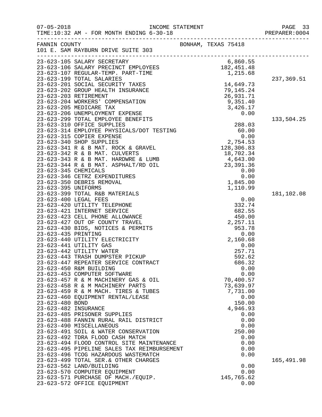| $07 - 05 - 2018$                                                                        | TIME:10:32 AM - FOR MONTH ENDING 6-30-18                                                                                                                                                                                                                                                                                                                                                                                                                                                                                                                                                                                                                                                                                                                                                                                                                                                                               | INCOME STATEMENT |                                                                                                                                                                  |                                                                                                      |                      |
|-----------------------------------------------------------------------------------------|------------------------------------------------------------------------------------------------------------------------------------------------------------------------------------------------------------------------------------------------------------------------------------------------------------------------------------------------------------------------------------------------------------------------------------------------------------------------------------------------------------------------------------------------------------------------------------------------------------------------------------------------------------------------------------------------------------------------------------------------------------------------------------------------------------------------------------------------------------------------------------------------------------------------|------------------|------------------------------------------------------------------------------------------------------------------------------------------------------------------|------------------------------------------------------------------------------------------------------|----------------------|
| FANNIN COUNTY                                                                           | 101 E. SAM RAYBURN DRIVE SUITE 303                                                                                                                                                                                                                                                                                                                                                                                                                                                                                                                                                                                                                                                                                                                                                                                                                                                                                     |                  | BONHAM, TEXAS 75418                                                                                                                                              |                                                                                                      | -------------------- |
|                                                                                         | ---<br>23-623-105 SALARY SECRETARY<br>23-623-106 SALARY PRECINCT EMPLOYEES<br>23-623-106 SALARY PRECINCT EMPLOYEES<br>23-623-199 TOTAL SALARIES                                                                                                                                                                                                                                                                                                                                                                                                                                                                                                                                                                                                                                                                                                                                                                        |                  | 6,860.55<br>182, 451.48<br>1,215.68                                                                                                                              |                                                                                                      |                      |
| 23-623-203 RETIREMENT                                                                   | 23-623-201 SOCIAL SECURITY TAXES<br>23-623-202 GROUP HEALTH INSURANCE                                                                                                                                                                                                                                                                                                                                                                                                                                                                                                                                                                                                                                                                                                                                                                                                                                                  |                  | 14,649.73<br>79,145.24<br>26,931.71                                                                                                                              |                                                                                                      | 237,369.51           |
|                                                                                         | 23-623-204 WORKERS' COMPENSATION<br>23-623-205 MEDICARE TAX<br>23-623-206 UNEMPLOYMENT EXPENSE<br>23-623-299 TOTAL EMPLOYEE BENEFITS                                                                                                                                                                                                                                                                                                                                                                                                                                                                                                                                                                                                                                                                                                                                                                                   |                  | 9,351.40<br>3,426.17                                                                                                                                             | 0.00                                                                                                 | 133,504.25           |
| 23-623-345 CHEMICALS<br>23-623-395 UNIFORMS                                             | -- 313 310 OFFICE SUPPLIES<br>23-623-314 EMPLOYEE PHYSICALS/DOT TESTING<br>23-623-315 COPIER EXPENSE<br>23-623-340 SHOP SUPPLIES<br>23-623-341 R & B MAT. ROCK & GRAVEL<br>23-623-342 R & B MAT. CULVERTS<br>23-623-343 R & B MAT. HARDWRE & LUMB<br>23-623-344 R & B MAT. ASPHALT/RD OIL<br>23-623-346 CETRZ EXPENDITURES<br>23-623-350 DEBRIS REMOVAL                                                                                                                                                                                                                                                                                                                                                                                                                                                                                                                                                                |                  | 288.03<br>60.00<br>0.00<br>$0.00$<br>2,754.53<br>128,306.83<br>18,702.34<br>18,702.34<br>4,643.00<br>23, 391.36<br>1,845.00<br>1,110.99                          | 0.00<br>0.00                                                                                         |                      |
| 23-623-400 LEGAL FEES<br>23-623-435 PRINTING<br>23-623-480 BOND<br>23-623-482 INSURANCE | 23-623-399 TOTAL R&B MATERIALS<br>23-623-420 UTILITY TELEPHONE<br>23-623-421 INTERNET SERVICE<br>23-623-423 CELL PHONE ALLOWANCE<br>23-623-427 OUT OF COUNTY TRAVEL<br>23-623-430 BIDS, NOTICES & PERMITS<br>23-623-440 UTILITY ELECTRICITY<br>23-623-441 UTILITY GAS<br>23-623-442 UTILITY WATER<br>23-623-443 TRASH DUMPSTER PICKUP<br>23-623-447 REPEATER SERVICE CONTRACT<br>23-623-450 R&M BUILDING<br>23-623-453 COMPUTER SOFTWARE<br>23-623-457 R & M MACHINERY GAS & OIL<br>23-623-458 R & M MACHINERY PARTS<br>23-623-459 R & M MACH. TIRES & TUBES<br>23-623-460 EQUIPMENT RENTAL/LEASE<br>23-623-485 PRISONER SUPPLIES<br>23-623-488 FANNIN RURAL RAIL DISTRICT<br>23-623-490 MISCELLANEOUS<br>23-623-491 SOIL & WATER CONSERVATION<br>23-623-492 TDRA FLOOD CASH MATCH<br>23-623-494 FLOOD CONTROL SITE MAINTENANCE<br>23-623-495 PIPELINE SALES TAX REIMBURSEMENT<br>23-623-496 TCOG HAZARDOUS WASTEMATCH |                  | 332.74<br>682.55<br>450.00<br>2,257.11<br>953.78<br>2,160.68<br>257.71<br>592.62<br>686.32<br>70,400.57<br>73,639.97<br>7,731.00<br>150.00<br>4,946.93<br>250.00 | 0.00<br>0.00<br>0.00<br>0.00<br>0.00<br>0.00<br>0.00<br>0.00<br>0.00<br>0.00<br>0.00<br>0.00<br>0.00 | 181,102.08           |
|                                                                                         | 23-623-499 TOTAL SER. & OTHER CHARGES<br>23-623-562 LAND/BUILDING<br>23-623-570 COMPUTER EQUIPMENT<br>23-623-571 PURCHASE OF MACH./EQUIP.<br>23-623-572 OFFICE EQUIPMENT                                                                                                                                                                                                                                                                                                                                                                                                                                                                                                                                                                                                                                                                                                                                               |                  | 145,765.62                                                                                                                                                       | 0.00<br>0.00<br>0.00                                                                                 | 165,491.98           |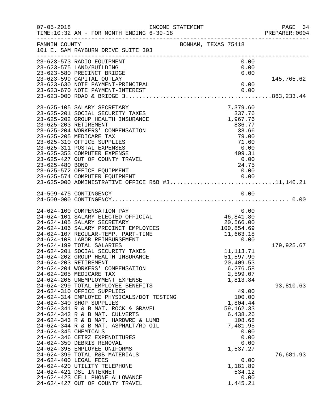| $07 - 05 - 2018$      | TIME:10:32 AM - FOR MONTH ENDING 6-30-18                                                                                                                                                                                                                                                                                            | INCOME STATEMENT    |                     |                                                                                              | PAGE 34<br>PREPARER: 0004<br>------------------------------------ |
|-----------------------|-------------------------------------------------------------------------------------------------------------------------------------------------------------------------------------------------------------------------------------------------------------------------------------------------------------------------------------|---------------------|---------------------|----------------------------------------------------------------------------------------------|-------------------------------------------------------------------|
| FANNIN COUNTY         | 101 E. SAM RAYBURN DRIVE SUITE 303                                                                                                                                                                                                                                                                                                  | BONHAM, TEXAS 75418 |                     |                                                                                              |                                                                   |
|                       | 23-623-573 RADIO EQUIPMENT<br>23-623-575 LAND/BUILDING<br>23-623-580 PRECINCT BRIDGE                                                                                                                                                                                                                                                |                     |                     | 0.00<br>0.00<br>0.00                                                                         |                                                                   |
|                       | 23-623-599 CAPITAL OUTLAY<br>23-623-630 NOTE PAYMENT-PRINCIPAL<br>23-623-670 NOTE PAYMENT-INTEREST                                                                                                                                                                                                                                  |                     |                     | 0.00<br>0.00                                                                                 | 145,765.62                                                        |
|                       | 23-625-105 SALARY SECRETARY<br>23-625-201 SOCIAL SECURITY TAXES                                                                                                                                                                                                                                                                     |                     |                     | 7,379.60<br>337.76                                                                           |                                                                   |
| 23-625-203 RETIREMENT | 23-625-202 GROUP HEALTH INSURANCE<br>23-625-204 WORKERS' COMPENSATION                                                                                                                                                                                                                                                               |                     |                     | 337.76<br>1,967.76<br>836.77<br>33.66                                                        |                                                                   |
|                       | 23-625-205 MEDICARE TAX<br>23-625-310 OFFICE SUPPLIES<br>23-625-311 POSTAL EXPENSES<br>23-625-353 COMPUTER EXPENSE<br>23-625-427 OUT OF COUNTY TRAVEL                                                                                                                                                                               |                     |                     | 79.00<br>71.60<br>0.00<br>409.31<br>0.00                                                     |                                                                   |
| 23-625-480 BOND       | 23-625-572 OFFICE EQUIPMENT<br>23-625-574 COMPUTER EQUIPMENT<br>23-625-574 COMPUTER EQUIPMENT 0.00<br>23-625-000 ADMINISTRATIVE OFFICE R&B #311,140.21                                                                                                                                                                              |                     |                     | 24.75<br>0.00<br>0.00                                                                        |                                                                   |
|                       |                                                                                                                                                                                                                                                                                                                                     |                     |                     | 0.00                                                                                         |                                                                   |
|                       | 24-624-100 COMPENSATION PAY<br>24-624-101 SALARY ELECTED OFFICIAL<br>24-624-105 SALARY SECRETARY<br>24-624-106 SALARY PRECINCT EMPLOYEES<br>24-624-107 REGULAR-TEMP. PART-TIME<br>24-624-108 LABOR REIMBURSEMENT                                                                                                                    |                     | $0.00$<br>46,841.80 | 100,854.69<br>11,663.18<br>0.00                                                              |                                                                   |
| 24-624-203 RETIREMENT | 24-624-199 TOTAL SALARIES<br>24-624-201 SOCIAL SECURITY TAXES<br>24-624-202 GROUP HEALTH INSURANCE<br>24-624-204 WORKERS' COMPENSATION<br>24-624-205 MEDICARE TAX<br>24-624-206 UNEMPLOYMENT EXPENSE                                                                                                                                |                     |                     | 11, 113. 71<br>51,597.90<br>20,409.53<br>6,276.58<br>2,599.07<br>1,813.84                    | 179,925.67                                                        |
| 24-624-345 CHEMICALS  | 24-624-299 TOTAL EMPLOYEE BENEFITS<br>24-624-310 OFFICE SUPPLIES<br>24-624-314 EMPLOYEE PHYSICALS/DOT TESTING<br>24-624-340 SHOP SUPPLIES<br>24-624-341 R & B MAT. ROCK & GRAVEL<br>24-624-342 R & B MAT. CULVERTS<br>24-624-343 R & B MAT. HARDWRE & LUMB<br>24-624-344 R & B MAT. ASPHALT/RD OIL<br>24-624-346 CETRZ EXPENDITURES |                     |                     | 49.00<br>100.00<br>1,804.44<br>59, 162. 33<br>6,438.26<br>108.68<br>7,481.95<br>0.00<br>0.00 | 93,810.63                                                         |
| 24-624-400 LEGAL FEES | 24-624-350 DEBRIS REMOVAL<br>24-624-395 EMPLOYEE UNIFORMS<br>24-624-399 TOTAL R&B MATERIALS<br>24-624-420 UTILITY TELEPHONE<br>24-624-421 DSL INTERNET<br>24-624-423 CELL PHONE ALLOWANCE<br>24-624-427 OUT OF COUNTY TRAVEL                                                                                                        |                     |                     | 0.00<br>1,537.27<br>0.00<br>1,181.89<br>534.12<br>0.00<br>1,445.21                           | 76,681.93                                                         |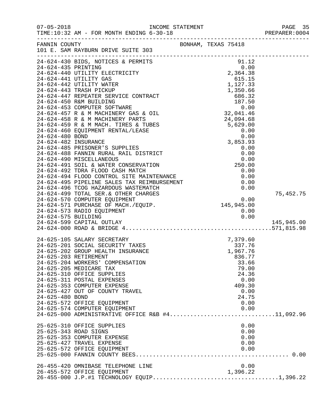| $07 - 05 - 2018$                                                  | TIME:10:32 AM - FOR MONTH ENDING 6-30-18                                                                                                                                                                                                                                                                                                                                                                                                                                                                                                                                        |                                                                                                                                                                       | PAGE 35<br>PREPARER:0004 |
|-------------------------------------------------------------------|---------------------------------------------------------------------------------------------------------------------------------------------------------------------------------------------------------------------------------------------------------------------------------------------------------------------------------------------------------------------------------------------------------------------------------------------------------------------------------------------------------------------------------------------------------------------------------|-----------------------------------------------------------------------------------------------------------------------------------------------------------------------|--------------------------|
| FANNIN COUNTY                                                     | 101 E. SAM RAYBURN DRIVE SUITE 303                                                                                                                                                                                                                                                                                                                                                                                                                                                                                                                                              | BONHAM, TEXAS 75418                                                                                                                                                   |                          |
|                                                                   | 24-624-492 TDRA FLOOD CASH MATCH<br>24-624-494 FLOOD CONTROL SITE MAINTENANCE<br>24-624-495 PIPELINE SALES TAX REIMBURSEMENT 0.00<br>24-624-495 PIPELINE SALES TAX REIMBURSEMENT 0.00<br>24-624-499 TOTAL SER.& OTHER CHARGES<br>24-624-570 COMPUTER EQUIPMENT 0.00<br>24-62<br>24-624-573 RADIO EQUIPMENT                                                                                                                                                                                                                                                                      | 0.00<br>0.00                                                                                                                                                          | 75,452.75                |
| 24-624-575 BUILDING                                               | 24-624-599 CAPITAL OUTLAY                                                                                                                                                                                                                                                                                                                                                                                                                                                                                                                                                       | 0.00                                                                                                                                                                  | 145,945.00               |
| 24-625-203 RETIREMENT<br>24-625-480 BOND<br>25-625-343 ROAD SIGNS | 24-625-105 SALARY SECRETARY<br>24-625-201 SOCIAL SECURITY TAXES<br>24-625-202 GROUP HEALTH INSURANCE<br>24-625-204 WORKERS' COMPENSATION<br>24-625-205 MEDICARE TAX<br>24-625-310 OFFICE SUPPLIES<br>24-625-311 POSTAL EXPENSES<br>24-625-353 COMPUTER EXPENSE<br>24-625-427 OUT OF COUNTY TRAVEL<br>24-625-572 OFFICE EQUIPMENT<br>24-625-574 COMPUTER EQUIPMENT<br>24-625-574 COMPUTER EQUIPMENT<br>24-625-000 ADMINISTRATIVE OFFICE R&B #411,092.96<br>25-625-310 OFFICE SUPPLIES<br>25-625-353 COMPUTER EXPENSE<br>25-625-427 TRAVEL EXPENSE<br>25-625-572 OFFICE EQUIPMENT | 7,379.60<br>337.76<br>237.76 1,967.76<br>836.77<br>33.66<br>79.00<br>24.36<br>0.00<br>409.30<br>0.00<br>24.75<br>0.00<br>0.00<br>0.00<br>0.00<br>0.00<br>0.00<br>0.00 |                          |
|                                                                   | 26-455-420 OMNIBASE TELEPHONE LINE<br>26-455-572 OFFICE EQUIPMENT                                                                                                                                                                                                                                                                                                                                                                                                                                                                                                               | 0.00<br>1,396.22                                                                                                                                                      |                          |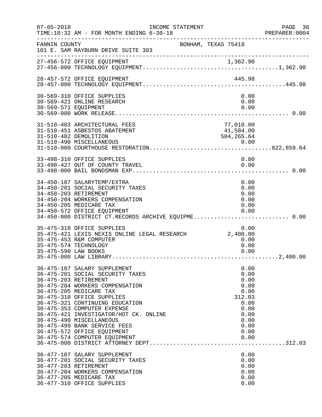| $07 - 05 - 2018$     | TIME:10:32 AM - FOR MONTH ENDING 6-30-18                                                                                                                                                                                                                                                                                                                                                                                      | INCOME STATEMENT |                                      |                                                                                              | PAGE 36<br>PREPARER:0004 |
|----------------------|-------------------------------------------------------------------------------------------------------------------------------------------------------------------------------------------------------------------------------------------------------------------------------------------------------------------------------------------------------------------------------------------------------------------------------|------------------|--------------------------------------|----------------------------------------------------------------------------------------------|--------------------------|
| FANNIN COUNTY        | 101 E. SAM RAYBURN DRIVE SUITE 303                                                                                                                                                                                                                                                                                                                                                                                            |                  | BONHAM, TEXAS 75418                  |                                                                                              |                          |
|                      |                                                                                                                                                                                                                                                                                                                                                                                                                               |                  |                                      |                                                                                              |                          |
|                      | 28-457-572 OFFICE EQUIPMENT                                                                                                                                                                                                                                                                                                                                                                                                   |                  | 445.98                               |                                                                                              |                          |
| 30-569-571 EQUIPMENT | 30-569-310 OFFICE SUPPLIES<br>30-569-421 ONLINE RESEARCH                                                                                                                                                                                                                                                                                                                                                                      |                  |                                      | 0.00<br>0.00<br>0.00                                                                         |                          |
|                      | 31-510-403 ARCHITECTURAL FEES<br>31-510-451 ASBESTOS ABATEMENT<br>31-510-482 DEMOLITION                                                                                                                                                                                                                                                                                                                                       |                  | 77,010.00<br>41,584.00<br>504,265.64 |                                                                                              |                          |
|                      | 33-498-310 OFFICE SUPPLIES<br>33-498-427 OUT OF COUNTY TRAVEL                                                                                                                                                                                                                                                                                                                                                                 |                  | 0.00                                 | 0.00                                                                                         |                          |
|                      | 34-450-107 SALARYTEMP/EXTRA<br>34-450-201 SOCIAL SECURITY TAXES<br>34-450-203 RETIREMENT<br>34-450-204 WORKERS COMPENSATION<br>34-450-205 MEDICARE TAX<br>34-450-572 OFFICE EQUIPMENT<br>34-450-000 DISTRICT CT.RECORDS ARCHIVE EQUIPME 0.00                                                                                                                                                                                  |                  |                                      | 0.00<br>0.00<br>0.00<br>0.00<br>0.00<br>0.00                                                 |                          |
| 35-475-590 LAW BOOKS | 35-475-310 OFFICE SUPPLIES<br>35-475-421 LEXIS NEXIS ONLINE LEGAL RESEARCH 2,400.00<br>35-475-453 R&M COMPUTER<br>35-475-574 TECHNOLOGY                                                                                                                                                                                                                                                                                       |                  |                                      | 0.00<br>0.00<br>0.00<br>0.00                                                                 |                          |
|                      | 36-475-107 SALARY SUPPLEMENT<br>36-475-201 SOCIAL SECURITY TAXES<br>36-475-203 RETIREMENT<br>36-475-204 WORKERS COMPENSATION<br>36-475-205 MEDICARE TAX<br>36-475-310 OFFICE SUPPLIES<br>36-475-321 CONTINUING EDUCATION<br>36-475-353 COMPUTER EXPENSE<br>36-475-421 INVESTIGATOR/HOT CK. ONLINE<br>36-475-490 MISCELLANEOUS<br>36-475-499 BANK SERVICE FEES<br>36-475-572 OFFICE EQUIPMENT<br>36-475-574 COMPUTER EQUIPMENT |                  | 312.03                               | 0.00<br>0.00<br>0.00<br>0.00<br>0.00<br>0.00<br>0.00<br>0.00<br>0.00<br>0.00<br>0.00<br>0.00 |                          |
|                      | 36-477-107 SALARY SUPPLEMENT<br>36-477-201 SOCIAL SECURITY TAXES<br>36-477-203 RETIREMENT<br>36-477-204 WORKERS COMPENSATION<br>36-477-205 MEDICARE TAX<br>36-477-310 OFFICE SUPPLIES                                                                                                                                                                                                                                         |                  |                                      | 0.00<br>0.00<br>0.00<br>0.00<br>0.00<br>0.00                                                 |                          |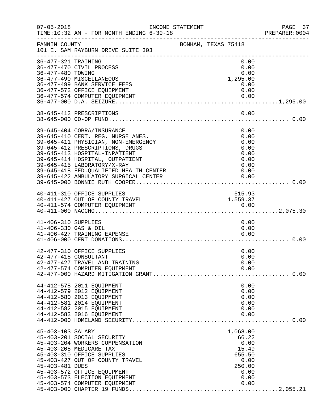| $07 - 05 - 2018$                            | INCOME STATEMENT<br>TIME:10:32 AM - FOR MONTH ENDING 6-30-18                                                                                                                                                                                                                                                                     |                     |                                                                                        | PAGE 37<br>PREPARER:0004 |
|---------------------------------------------|----------------------------------------------------------------------------------------------------------------------------------------------------------------------------------------------------------------------------------------------------------------------------------------------------------------------------------|---------------------|----------------------------------------------------------------------------------------|--------------------------|
| FANNIN COUNTY                               | 101 E. SAM RAYBURN DRIVE SUITE 303                                                                                                                                                                                                                                                                                               | BONHAM, TEXAS 75418 |                                                                                        |                          |
| 36-477-321 TRAINING<br>36-477-480 TOWING    | 36-477-470 CIVIL PROCESS<br>36-477-490 MISCELLANEOUS<br>36-477-499 BANK SERVICE FEES                                                                                                                                                                                                                                             |                     | 0.00<br>0.00<br>0.00<br>1,295.00<br>0.00                                               |                          |
|                                             | 36-477-572 OFFICE EQUIPMENT<br>36-477-574 COMPUTER EQUIPMENT                                                                                                                                                                                                                                                                     |                     | 0.00                                                                                   |                          |
|                                             | 38-645-412 PRESCRIPTIONS                                                                                                                                                                                                                                                                                                         |                     | 0.00                                                                                   |                          |
|                                             | 39-645-404 COBRA/INSURANCE<br>39-645-410 CERT. REG. NURSE ANES.<br>39-645-411 PHYSICIAN, NON-EMERGENCY<br>39-645-412 PRESCRIPTIONS, DRUGS<br>39-645-413 HOSPITAL-INPATIENT<br>39-645-414 HOSPITAL, OUTPATIENT<br>39-645-415 LABORATORY/X-RAY<br>39-645-418 FED. QUALIFIED HEALTH CENTER<br>39-645-422 AMBULATORY SURGICAL CENTER |                     | 0.00<br>0.00<br>0.00<br>0.00<br>0.00<br>0.00<br>0.00<br>0.00<br>0.00                   |                          |
|                                             | 40-411-310 OFFICE SUPPLIES<br>40-411-427 OUT OF COUNTY TRAVEL                                                                                                                                                                                                                                                                    |                     | 515.93<br>1,559.37                                                                     |                          |
| 41-406-310 SUPPLIES<br>41-406-330 GAS & OIL | 41-406-427 TRAINING EXPENSE                                                                                                                                                                                                                                                                                                      |                     | 0.00<br>0.00<br>0.00                                                                   |                          |
|                                             | 42-477-310 OFFICE SUPPLIES<br>42-477-415 CONSULTANT<br>42-477-427 TRAVEL AND TRAINING<br>42-477-574 COMPUTER EQUIPMENT                                                                                                                                                                                                           |                     | 0.00<br>0.00<br>0.00<br>0.00                                                           |                          |
|                                             | 44-412-578 2011 EQUIPMENT<br>44-412-579 2012 EQUIPMENT<br>44-412-580 2013 EQUIPMENT<br>44-412-581 2014 EQUIPMENT<br>44-412-582 2015 EQUIPMENT<br>44-412-583 2016 EQUIPMENT                                                                                                                                                       |                     | 0.00<br>0.00<br>0.00<br>0.00<br>0.00<br>0.00                                           |                          |
| 45-403-103 SALARY<br>45-403-481 DUES        | 45-403-201 SOCIAL SECURITY<br>45-403-204 WORKERS COMPENSATION<br>45-403-205 MEDICARE TAX<br>45-403-310 OFFICE SUPPLIES<br>45-403-427 OUT OF COUNTY TRAVEL<br>45-403-572 OFFICE EQUIPMENT<br>45-403-573 ELECTION EQUIPMENT<br>45-403-574 COMPUTER EQUIPMENT                                                                       |                     | 1,068.00<br>66.22<br>0.00<br>15.49<br>655.50<br>0.00<br>250.00<br>0.00<br>0.00<br>0.00 |                          |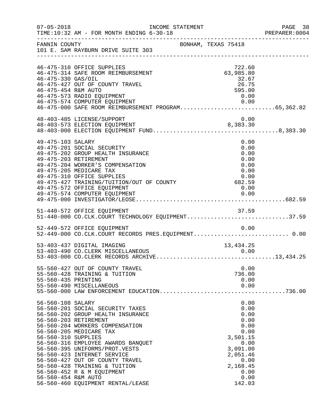| $07 - 05 - 2018$                                                | INCOME STATEMENT<br>TIME:10:32 AM - FOR MONTH ENDING 6-30-18                                                                                                                                                                                                                                                                                                                                               |                     |                                                                                                                                        | PAGE 38<br>PREPARER: 0004 |
|-----------------------------------------------------------------|------------------------------------------------------------------------------------------------------------------------------------------------------------------------------------------------------------------------------------------------------------------------------------------------------------------------------------------------------------------------------------------------------------|---------------------|----------------------------------------------------------------------------------------------------------------------------------------|---------------------------|
| FANNIN COUNTY                                                   | 101 E. SAM RAYBURN DRIVE SUITE 303                                                                                                                                                                                                                                                                                                                                                                         | BONHAM, TEXAS 75418 |                                                                                                                                        |                           |
| 46-475-330 GAS/OIL<br>46-475-454 R&M AUTO                       | 46-475-310 OFFICE SUPPLIES<br>46-475-314 SAFE ROOM REIMBURSEMENT<br>46-475-427 OUT OF COUNTY TRAVEL<br>46-475-573 RADIO EQUIPMENT                                                                                                                                                                                                                                                                          |                     | 722.60<br>63,985.80<br>32.67<br>26.75<br>595.00<br>0.00                                                                                |                           |
|                                                                 | 46-475-574 COMPUTER EQUIPMENT<br>46-475-000 SAFE ROOM REIMBURSEMENT PROGRAM65,362.82                                                                                                                                                                                                                                                                                                                       |                     |                                                                                                                                        |                           |
|                                                                 | 48-403-485 LICENSE/SUPPORT                                                                                                                                                                                                                                                                                                                                                                                 |                     | 0.00                                                                                                                                   |                           |
| 49-475-103 SALARY                                               | 49-475-201 SOCIAL SECURITY<br>49-475-202 GROUP HEALTH INSURANCE<br>49-475-203 RETIREMENT<br>49-475-204 WORKER'S COMPENSATION<br>49-475-205 MEDICARE TAX<br>49-475-310 OFFICE SUPPLIES<br>49-475-427 TRAINING/TUITION/OUT OF COUNTY<br>49-475-572 OFFICE EQUIPMENT<br>49-475-574 COMPUTER EQUIPMENT                                                                                                         |                     | 0.00<br>0.00<br>0.00<br>0.00<br>0.00<br>0.00<br>0.00<br>$0.00$<br>682.59<br>0.00<br>0.00                                               |                           |
|                                                                 | 51-440-572 OFFICE EQUIPMENT<br>51-440-000 CO.CLK.COURT TECHNOLOGY EQUIPMENT37.59                                                                                                                                                                                                                                                                                                                           |                     |                                                                                                                                        |                           |
|                                                                 | 52-449-572 OFFICE EQUIPMENT<br>52-449-000 CO.CLK.COURT RECORDS PRES.EQUIPMENT 0.00                                                                                                                                                                                                                                                                                                                         |                     | 0.00                                                                                                                                   |                           |
|                                                                 | 53-403-437 DIGITAL IMAGING                                                                                                                                                                                                                                                                                                                                                                                 |                     | 13,434.25                                                                                                                              |                           |
| 55-560-435 PRINTING                                             | 55-560-427 OUT OF COUNTY TRAVEL<br>55-560-428 TRAINING & TUITION<br>55-560-490 MISCELLANEOUS                                                                                                                                                                                                                                                                                                               |                     | 0.00<br>736.00<br>0.00<br>0.00                                                                                                         |                           |
| 56-560-108 SALARY<br>56-560-310 SUPPLIES<br>56-560-454 R&M AUTO | 56-560-201 SOCIAL SECURITY TAXES<br>56-560-202 GROUP HEALTH INSURANCE<br>56-560-203 RETIREMENT<br>56-560-204 WORKERS COMPENSATION<br>56-560-205 MEDICARE TAX<br>56-560-316 EMPLOYEE AWARDS BANQUET<br>56-560-395 UNIFORMS/PROT.VESTS<br>56-560-423 INTERNET SERVICE<br>56-560-427 OUT OF COUNTY TRAVEL<br>56-560-428 TRAINING & TUITION<br>56-560-452 R & M EQUIPMENT<br>56-560-460 EQUIPMENT RENTAL/LEASE |                     | 0.00<br>0.00<br>0.00<br>0.00<br>0.00<br>0.00<br>3,501.15<br>0.00<br>3,091.00<br>2,051.46<br>0.00<br>2,168.45<br>0.00<br>0.00<br>142.03 |                           |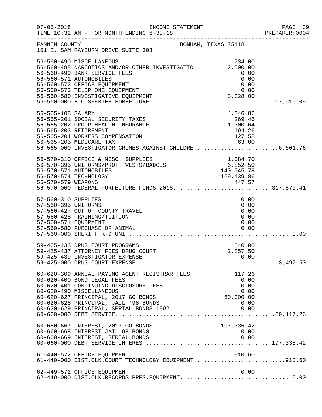| $07 - 05 - 2018$                                                   | INCOME STATEMENT<br>TIME:10:32 AM - FOR MONTH ENDING 6-30-18<br>______________________________________                                                                                                                                                                           |                                                             | PAGE 39<br>PREPARER:0004 |
|--------------------------------------------------------------------|----------------------------------------------------------------------------------------------------------------------------------------------------------------------------------------------------------------------------------------------------------------------------------|-------------------------------------------------------------|--------------------------|
| FANNIN COUNTY                                                      | BONHAM, TEXAS 75418<br>101 E. SAM RAYBURN DRIVE SUITE 303                                                                                                                                                                                                                        |                                                             |                          |
|                                                                    | 56-560-490 MISCELLANEOUS<br>56-560-495 MISCELLANEOUS<br>56-560-495 NARCOTICS AND/OR OTHER INVESTIGATIO 2,500.00<br>56-560-499 BANK SERVICE FEES<br>56-560-571 AUTOMOBILES<br>56-560-572 OFFICE EQUIPMENT<br>56-560-573 TELEPHONE EQUIPMENT<br>56-560-580 INVESTIGATIVE EQUIPMENT | 734.00<br>0.00<br>0.00<br>0.00<br>0.00<br>3,328.00          |                          |
| 56-565-108 SALARY                                                  | 56-565-201 SOCIAL SECURITY TAXES<br>56-565-202 GROUP HEALTH INSURANCE<br>56-565-203 RETIREMENT<br>56-565-204 WORKERS COMPENSATION<br>56-565-205 MEDICARE TAX<br>56-565-000 INVESTIGATOR CRIMES AGAINST CHILDRE6,601.76                                                           | 4,346.82<br>269.46<br>1,300.64<br>494.26<br>127.58<br>63.00 |                          |
|                                                                    | 56-570-310 OFFICE & MISC. SUPPLIES<br>56-570-310 OFFICE & MISC. SUPPLIES 1,084.70<br>56-570-395 UNIFORMS/PROT. VESTS/BADGES 6,852.50<br>56-570-571 AUTOMOBILES<br>56-570-574 TECHNOLOGY<br>56-570-579 WEAPONS<br>56-570-000 FEDERAL FORFEITURE FUNDS 2018317,870.41              | 140,045.78<br>169,439.86                                    |                          |
| 57-560-310 SUPPLIES<br>57-560-395 UNIFORMS<br>57-560-571 EQUIPMENT | 57-560-427 OUT OF COUNTY TRAVEL<br>57-560-428 TRAINING/TUITION<br>57-560-580 PURCHASE OF ANIMAL                                                                                                                                                                                  | 0.00<br>0.00<br>0.00<br>0.00<br>0.00<br>0.00                |                          |
|                                                                    | 59-425-433 DRUG COURT PROGRAMS<br>59-425-437 ATTORNEY FEES DRUG COURT<br>59-425-439 INVESTIGATOR EXPENSE                                                                                                                                                                         | 640.00<br>2,857.50<br>0.00                                  |                          |
|                                                                    | 60-620-309 ANNUAL PAYING AGENT REGISTRAR FEES<br>60-620-400 BOND LEGAL FEES<br>60-620-401 CONTINUING DISCLOSURE FEES<br>60-620-490 MISCELLANEOUS<br>60-620-627 PRINCIPAL, 2017 GO BONDS<br>60-620-628 PRINCIPAL, JAIL '98 BONDS<br>60-620-629 PRINCIPAL, SERIAL BONDS 1992       | 117.26<br>0.00<br>0.00<br>0.00<br>60,000.00<br>0.00<br>0.00 |                          |
|                                                                    | 60-660-667 INTEREST, 2017 GO BONDS<br>60-660-668 INTEREST JAIL'98 BONDS                                                                                                                                                                                                          | 197, 335.42<br>0.00                                         |                          |
|                                                                    | 61-440-572 OFFICE EQUIPMENT<br>61-440-000 DIST.CLK.COURT TECHNOLOGY EQUIPMENT910.60                                                                                                                                                                                              | 910.60                                                      |                          |
|                                                                    | 62-449-572 OFFICE EQUIPMENT<br>62-449-000 DIST.CLK.RECORDS PRES.EQUIPMENT 0.00                                                                                                                                                                                                   | 0.00                                                        |                          |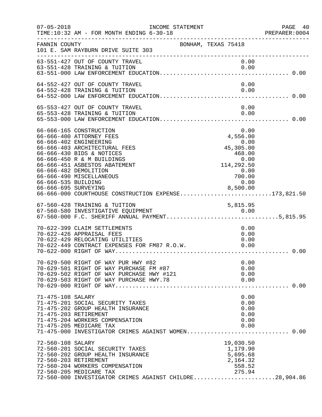| $07 - 05 - 2018$                            | TIME:10:32 AM - FOR MONTH ENDING 6-30-18<br>-----------------                                                                                                                                                                                                                                                           | INCOME STATEMENT | PREPARER<br>----------------------------------                                                                      | PAGE 40<br>PREPARER:0004 |
|---------------------------------------------|-------------------------------------------------------------------------------------------------------------------------------------------------------------------------------------------------------------------------------------------------------------------------------------------------------------------------|------------------|---------------------------------------------------------------------------------------------------------------------|--------------------------|
| FANNIN COUNTY                               | 101 E. SAM RAYBURN DRIVE SUITE 303                                                                                                                                                                                                                                                                                      |                  | BONHAM, TEXAS 75418                                                                                                 |                          |
|                                             | 63-551-427 OUT OF COUNTY TRAVEL<br>63-551-428 TRAINING & TUITION                                                                                                                                                                                                                                                        |                  | 0.00<br>0.00                                                                                                        |                          |
|                                             | 64-552-427 OUT OF COUNTY TRAVEL<br>64-552-428 TRAINING & TUITION                                                                                                                                                                                                                                                        |                  | 0.00<br>0.00                                                                                                        |                          |
|                                             |                                                                                                                                                                                                                                                                                                                         |                  |                                                                                                                     |                          |
|                                             | 65-553-427 OUT OF COUNTY TRAVEL<br>65-553-428 TRAINING & TUITION                                                                                                                                                                                                                                                        |                  | 0.00<br>0.00                                                                                                        |                          |
| 66-666-535 BUILDING<br>66-666-695 SURVEYING | 66-666-165 CONSTRUCTION<br>66-666-400 ATTORNEY FEES<br>66-666-402 ENGINEERING<br>66-666-403 ARCHITECTURAL FEES<br>66-666-430 BIDS & NOTICES<br>66-666-450 R & M BUILDINGS<br>66-666-451 ASBESTOS ABATEMENT<br>66-666-482 DEMOLITION<br>66-666-490 MISCELLANEOUS<br>66-666-000 COURTHOUSE CONSTRUCTION EXPENSE173,821.50 |                  | 0.00<br>4,556.00<br>0.00<br>0.00<br>45,305.00<br>468.00<br>0.00<br>114,292.50<br>0.00<br>700.00<br>0.00<br>8,500.00 |                          |
|                                             | 67-560-428 TRAINING & TUITION                                                                                                                                                                                                                                                                                           |                  | 5,815.95                                                                                                            |                          |
|                                             | 70-622-399 CLAIM SETTLEMENTS<br>70-622-426 APPRAISAL FEES<br>70-622-429 RELOCATING UTILITIES                                                                                                                                                                                                                            |                  | 0.00<br>0.00<br>0.00                                                                                                |                          |
|                                             | 70-629-500 RIGHT OF WAY PUR HWY #82<br>70-629-501 RIGHT OF WAY PURCHASE FM #87<br>70-629-502 RIGHT OF WAY PURCHASE HWY #121<br>70-629-503 RIGHT OF WAY PURCHASE HWY.78                                                                                                                                                  |                  | 0.00<br>0.00<br>0.00<br>0.00                                                                                        |                          |
| 71-475-108 SALARY                           | 71-475-201 SOCIAL SECURITY TAXES<br>71-475-202 GROUP HEALTH INSURANCE<br>71-475-203 RETIREMENT<br>71-475-204 WORKERS COMPENSATION<br>71-475-205 MEDICARE TAX<br>71-475-000 INVESTIGATOR CRIMES AGAINST WOMEN 0.00                                                                                                       |                  | 0.00<br>0.00<br>0.00<br>0.00<br>0.00<br>0.00                                                                        |                          |
| 72-560-108 SALARY                           | 72-560-201 SOCIAL SECURITY TAXES<br>72-560-202 GROUP HEALTH INSURANCE<br>72-560-203 RETIREMENT<br>72-560-204 WORKERS COMPENSATION<br>72-560-205 MEDICARE TAX<br>72-560-000 INVESTIGATOR CRIMES AGAINST CHILDRE28,904.86                                                                                                 |                  | 19,030.50<br>1,179.90<br>5,695.68<br>2,164.32<br>558.52<br>275.94                                                   |                          |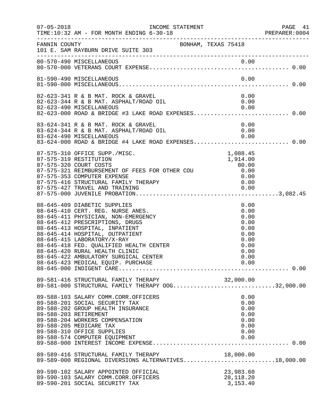| $07 - 05 - 2018$ | TIME:10:32 AM - FOR MONTH ENDING 6-30-18                                                                                                                                                                                                                                                                                                                              |                                                                              | PAGE 41<br>PREPARER:0004 |
|------------------|-----------------------------------------------------------------------------------------------------------------------------------------------------------------------------------------------------------------------------------------------------------------------------------------------------------------------------------------------------------------------|------------------------------------------------------------------------------|--------------------------|
|                  | FANNIN COUNTY<br>BONHAM, TEXAS 75418<br>101 E. SAM RAYBURN DRIVE SUITE 303                                                                                                                                                                                                                                                                                            |                                                                              |                          |
|                  | 80-570-490 MISCELLANEOUS                                                                                                                                                                                                                                                                                                                                              |                                                                              |                          |
|                  | 81-590-490 MISCELLANEOUS                                                                                                                                                                                                                                                                                                                                              |                                                                              |                          |
|                  | 82-623-341 R & B MAT. ROCK & GRAVEL<br>82-623-344 R & B MAT. ASPHALT/ROAD OIL<br>82-623-490 MISCELLANEOUS 0.00<br>82-623-000 ROAD & BRIDGE #3 LAKE ROAD EXPENSES0.00                                                                                                                                                                                                  | 0.00<br>0.00                                                                 |                          |
|                  | 83-624-341 R & B MAT. ROCK & GRAVEL<br>83-624-344 R & B MAT. ASPHALT/ROAD OIL<br>83-624-490 MISCELLANEOUS<br>83-624-000 ROAD & BRIDGE #4 LAKE ROAD EXPENSES 0.00                                                                                                                                                                                                      | 0.00<br>0.00<br>0.00                                                         |                          |
|                  | 87-575-310 OFFICE SUPP./MISC.<br>87-575-319 RESTITUTION<br>87-575-320 COURT COSTS<br>87-575-321 REIMBURSEMENT OF FEES FOR OTHER COU 6.00<br>87-575-353 COMPUTER EXPENSE<br>87-575-416 STRUCTURAL FAMILY THERAPY<br>87-575-427 TPAUFL AND THERAPY                                                                                                                      | 1,088.45<br>1,914.00<br>80.00                                                |                          |
|                  | 88-645-409 DIABETIC SUPPLIES<br>88-645-410 CERT. REG. NURSE ANES.<br>88-645-411 PHYSICIAN, NON-EMERGENCY<br>88-645-412 PRESCRIPTIONS, DRUGS<br>88-645-413 HOSPITAL, INPATIENT<br>88-645-414 HOSPITAL, OUTPATIENT<br>88-645-415 LABORATORY/X-RAY<br>88-645-418 FED. QUALIFIED HEALTH CENTER<br>88-645-420 RURAL HEALTH CLINIC<br>88-645-422 AMBULATORY SURGICAL CENTER | 0.00<br>0.00<br>0.00<br>0.00<br>0.00<br>0.00<br>0.00<br>0.00<br>0.00<br>0.00 |                          |
|                  | 89-581-416 STRUCTURAL FAMILY THERAPY 00G32,000.00<br>89-581-000 STRUCTURAL FAMILY THERAPY 00G32,000.00                                                                                                                                                                                                                                                                |                                                                              |                          |
|                  | 89-588-103 SALARY COMM.CORR.OFFICERS<br>89-588-201 SOCIAL SECURITY TAX<br>89-588-202 GROUP HEALTH INSURANCE<br>89-588-203 RETIREMENT<br>89-588-204 WORKERS COMPENSATION<br>89-588-205 MEDICARE TAX<br>89-588-310 OFFICE SUPPLIES<br>89-588-574 COMPUTER EQUIPMENT                                                                                                     | 0.00<br>0.00<br>0.00<br>0.00<br>0.00<br>0.00<br>0.00<br>0.00                 |                          |
|                  | 89-589-416 STRUCTURAL FAMILY THERAPY 18,000.00<br>89-589-000 REGIONAL DIVERSIONS ALTERNATIVES18,000.00                                                                                                                                                                                                                                                                |                                                                              |                          |
|                  | 89-590-102 SALARY APPOINTED OFFICIAL<br>89-590-103 SALARY COMM.CORR.OFFICERS<br>89-590-201 SOCIAL SECURITY TAX                                                                                                                                                                                                                                                        | 23,983.60<br>28, 118. 20<br>3,153.40                                         |                          |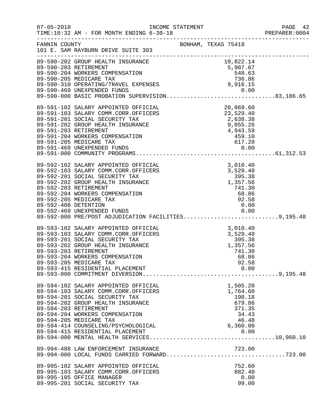|                      |                                                                                                                                                                                                                                                                                                                                    |                     |                                                                                  | PAGE 42<br>PREPARER: 0004 |
|----------------------|------------------------------------------------------------------------------------------------------------------------------------------------------------------------------------------------------------------------------------------------------------------------------------------------------------------------------------|---------------------|----------------------------------------------------------------------------------|---------------------------|
|                      | FANNIN COUNTY<br>101 E. SAM RAYBURN DRIVE SUITE 303                                                                                                                                                                                                                                                                                | BONHAM, TEXAS 75418 |                                                                                  |                           |
|                      | 89-590-202 GROUP HEALTH INSURANCE<br>89-590-202 GROUP HEALTH INSURANCE<br>89-590-203 RETIREMENT<br>89-590-204 WORKERS COMPENSATION<br>89-590-205 MEDICARE TAX<br>89-590-310 OPERATING/TRAVEL EXPENSES<br>89-590-310 OPERATING/TRAVEL EXPEN                                                                                         |                     |                                                                                  |                           |
|                      |                                                                                                                                                                                                                                                                                                                                    |                     |                                                                                  |                           |
|                      | 89-591-102 SALARY APPOINTED OFFICIAL<br>89-591-103 SALARY COMM.CORR.OFFICERS<br>89-591-201 SOCIAL SECURITY TAX<br>89-591-202 GROUP HEALTH INSURANCE<br>89-591-203 RETIREMENT<br>89-591-203 RETIREMENT<br>89-591-204 WORKERS COMPENSATION<br>                                                                                       |                     |                                                                                  |                           |
| 89-592-408 DETENTION | 89-592-102 SALARY APPOINTED OFFICIAL<br>89-592-103 SALARY COMM.CORR.OFFICERS<br>89-592-201 SOCIAL SECURITY TAX<br>89-592-202 GROUP HEALTH INSURANCE<br>89-592-203 RETIREMENT<br>89-592-203 RETIREMENT<br>89-592-204 WORKERS COMPENSATION<br><br>89-592-469 UNEXPENDED FUNDS<br>89-592-000 PRE/POST ADJUDICATION FACILITIES9,195.48 |                     | 0.00                                                                             |                           |
|                      | 89-593-102 SALARY APPOINTED OFFICIAL 3,010.40<br>89-593-103 SALARY COMM.CORR.OFFICERS 3,529.40<br>89-593-201 SOCIAL SECURITY TAX 395.38<br>89-593-202 GROUP HEALTH INSURANCE 1,357.56<br>89-593-203 RETIREMENT 741.30<br>89-593-203 RETIREMENT<br>89-593-204 WORKERS COMPENSATION<br>89-593-205 MEDICARE TAX                       |                     | 741.30<br>68.86<br>92.58                                                         |                           |
|                      | 89-594-102 SALARY APPOINTED OFFICIAL<br>89-594-103 SALARY COMM.CORR.OFFICERS<br>89-594-201 SOCIAL SECURITY TAX<br>89-594-202 GROUP HEALTH INSURANCE<br>89-594-203 RETIREMENT<br>89-594-204 WORKERS COMPENSATION<br>89-594-205 MEDICARE TAX<br>89-594-414 COUNSELING/PSYCHOLOGICAL                                                  |                     | 1,505.20<br>1,764.60<br>198.18<br>679.86<br>371.35<br>34.43<br>46.48<br>6,360.00 |                           |
|                      |                                                                                                                                                                                                                                                                                                                                    |                     |                                                                                  |                           |
|                      | 89-995-102 SALARY APPOINTED OFFICIAL<br>89-995-103 SALARY COMM.CORR.OFFICERS<br>89-995-105 OFFICE MANAGER<br>89-995-201 SOCIAL SECURITY TAX                                                                                                                                                                                        |                     | 752.60<br>882.40<br>0.00<br>99.00                                                |                           |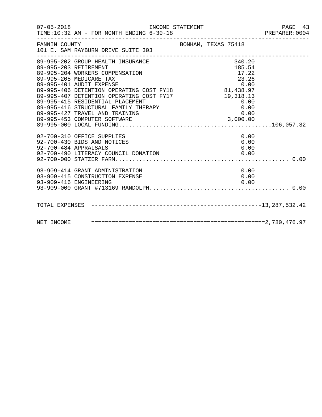| FANNIN COUNTY<br>101 E. SAM RAYBURN DRIVE SUITE 303                                                                                                                                                                                                                                                                                                                                            | BONHAM, TEXAS 75418                |  |
|------------------------------------------------------------------------------------------------------------------------------------------------------------------------------------------------------------------------------------------------------------------------------------------------------------------------------------------------------------------------------------------------|------------------------------------|--|
| --------------------<br>89-995-202 GROUP HEALTH INSURANCE<br>89-995-203 RETIREMENT<br>89-995-204 WORKERS COMPENSATION<br>89-995-205 MEDICARE TAX<br>89-995-401 AUDIT EXPENSE<br>89-995-406 DETENTION OPERATING COST FY18<br>89-995-406 DETENTION OPERATING COST FY18<br>89-995-407 DETENTION OPERATING COST FY17<br>89-995-415 RESIDENTIAL PLACEMENT<br>89-995-415 RESIDENTIAL PLACEMENT<br>89 | 340.20<br>185.54<br>17.22<br>23.26 |  |
| 92-700-310 OFFICE SUPPLIES<br>92-700-430 BIDS AND NOTICES<br>92-700-484 APPRAISALS                                                                                                                                                                                                                                                                                                             | 0.00<br>0.00<br>0.00               |  |
| 93-909-414 GRANT ADMINISTRATION<br>93-909-415 CONSTRUCTION EXPENSE<br>93-909-416 ENGINEERING<br>93-909-416 ENGINEERING                                                                                                                                                                                                                                                                         | 0.00<br>0.00<br>0.00               |  |
|                                                                                                                                                                                                                                                                                                                                                                                                |                                    |  |
|                                                                                                                                                                                                                                                                                                                                                                                                |                                    |  |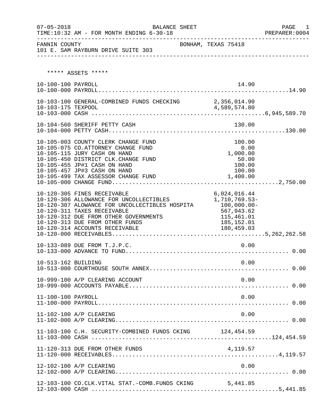| $07 - 05 - 2018$    | BALANCE SHEET<br>TIME:10:32 AM - FOR MONTH ENDING 6-30-18<br>__________________________                                                                                                                                                                               |                                                                                                         | PAGE<br>1<br>PREPARER: 0004 |
|---------------------|-----------------------------------------------------------------------------------------------------------------------------------------------------------------------------------------------------------------------------------------------------------------------|---------------------------------------------------------------------------------------------------------|-----------------------------|
| FANNIN COUNTY       | 101 E. SAM RAYBURN DRIVE SUITE 303                                                                                                                                                                                                                                    | BONHAM, TEXAS 75418                                                                                     |                             |
|                     | ***** ASSETS *****                                                                                                                                                                                                                                                    |                                                                                                         |                             |
| 10-100-100 PAYROLL  |                                                                                                                                                                                                                                                                       | 14.90                                                                                                   |                             |
|                     | 10-103-100 GENERAL-COMBINED FUNDS CHECKING 2,356,014.90                                                                                                                                                                                                               |                                                                                                         |                             |
|                     | 10-104-560 SHERIFF PETTY CASH                                                                                                                                                                                                                                         | 130.00                                                                                                  |                             |
|                     | 10-105-003 COUNTY CLERK CHANGE FUND<br>10-105-075 CO.ATTORNEY CHANGE FUND<br>10-105-115 JURY CASH ON HAND<br>10-105-450 DISTRICT CLK.CHANGE FUND<br>10-105-455 JP#1 CASH ON HAND<br>10-105-457 JP#3 CASH ON HAND<br>10-105-499 TAX ASSESSOR CHANGE FUND               | 100.00<br>0.00<br>1,000.00<br>50.00<br>100.00<br>100.00<br>1,400.00                                     |                             |
|                     | 10-120-305 FINES RECEIVABLE<br>10-120-306 ALLOWANCE FOR UNCOLLECTIBLES<br>10-120-307 ALOWANCE FOR UNCOLLECTIBLES HOSPITA<br>10-120-311 TAXES RECEIVABLE<br>10-120-312 DUE FROM OTHER GOVERNMENTS<br>10-120-313 DUE FROM OTHER FUNDS<br>10-120-314 ACCOUNTS RECEIVABLE | 6,024,016.44<br>1,710,769.53-<br>$100,000.00 -$<br>567,943.62<br>115,461.01<br>185,152.01<br>180,459.03 |                             |
|                     | 10-133-089 DUE FROM T.J.P.C.                                                                                                                                                                                                                                          | 0.00                                                                                                    |                             |
| 10-513-162 BUILDING |                                                                                                                                                                                                                                                                       | 0.00                                                                                                    |                             |
|                     | 10-999-100 A/P CLEARING ACCOUNT                                                                                                                                                                                                                                       | 0.00                                                                                                    |                             |
| 11-100-100 PAYROLL  |                                                                                                                                                                                                                                                                       | 0.00                                                                                                    |                             |
|                     | 11-102-100 A/P CLEARING                                                                                                                                                                                                                                               | 0.00                                                                                                    |                             |
|                     | 11-103-100 C.H. SECURITY-COMBINED FUNDS CKING 124,454.59                                                                                                                                                                                                              |                                                                                                         |                             |
|                     | 11-120-313 DUE FROM OTHER FUNDS                                                                                                                                                                                                                                       |                                                                                                         |                             |
|                     | 12-102-100 A/P CLEARING                                                                                                                                                                                                                                               | 0.00                                                                                                    |                             |
|                     | 12-103-100 CO.CLK.VITAL STAT.-COMB.FUNDS CKING                                                                                                                                                                                                                        | 5,441.85                                                                                                |                             |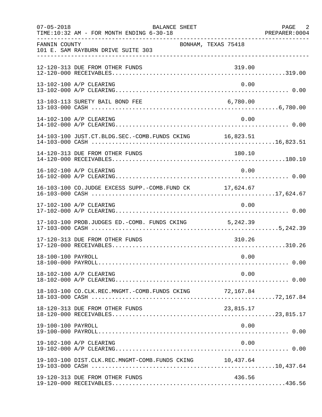| $07 - 05 - 2018$   | BALANCE SHEET<br>TIME:10:32 AM - FOR MONTH ENDING 6-30-18 |           | PAGE 2<br>PREPARER: 0004 |
|--------------------|-----------------------------------------------------------|-----------|--------------------------|
| FANNIN COUNTY      | BONHAM, TEXAS 75418<br>101 E. SAM RAYBURN DRIVE SUITE 303 |           |                          |
|                    | 12-120-313 DUE FROM OTHER FUNDS                           | 319.00    |                          |
|                    | 13-102-100 A/P CLEARING                                   | 0.00      |                          |
|                    | 13-103-113 SURETY BAIL BOND FEE                           | 6,780.00  |                          |
|                    | 14-102-100 A/P CLEARING                                   | 0.00      |                          |
|                    | 14-103-100 JUST.CT.BLDG.SEC.-COMB.FUNDS CKING 16,823.51   |           |                          |
|                    | 14-120-313 DUE FROM OTHER FUNDS                           | 180.10    |                          |
|                    | 16-102-100 A/P CLEARING                                   | 0.00      |                          |
|                    | 16-103-100 CO.JUDGE EXCESS SUPP.-COMB.FUND CK 17,624.67   |           |                          |
|                    | 17-102-100 A/P CLEARING                                   | 0.00      |                          |
|                    | 17-103-100 PROB.JUDGES ED.-COMB. FUNDS CKING 5,242.39     |           |                          |
|                    | 17-120-313 DUE FROM OTHER FUNDS                           | 310.26    |                          |
| 18-100-100 PAYROLL |                                                           | 0.00      |                          |
|                    | 18-102-100 A/P CLEARING                                   | 0.00      |                          |
|                    |                                                           |           |                          |
|                    | 18-120-313 DUE FROM OTHER FUNDS                           | 23,815.17 |                          |
| 19-100-100 PAYROLL |                                                           | 0.00      |                          |
|                    | 19-102-100 A/P CLEARING                                   | 0.00      |                          |
|                    | 19-103-100 DIST.CLK.REC.MNGMT-COMB.FUNDS CKING            | 10,437.64 |                          |
|                    | 19-120-313 DUE FROM OTHER FUNDS                           | 436.56    |                          |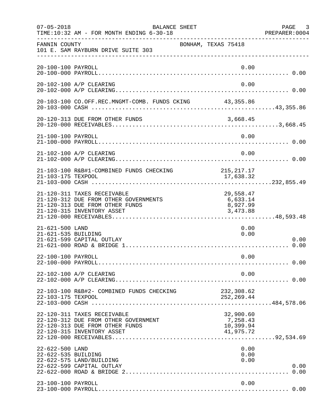| $07 - 05 - 2018$                       | BALANCE SHEET<br>TIME:10:32 AM - FOR MONTH ENDING 6-30-18                                                                             |                                                 | PAGE 3<br>PREPARER:0004 |
|----------------------------------------|---------------------------------------------------------------------------------------------------------------------------------------|-------------------------------------------------|-------------------------|
| FANNIN COUNTY                          | BONHAM, TEXAS 75418<br>101 E. SAM RAYBURN DRIVE SUITE 303                                                                             |                                                 |                         |
| 20-100-100 PAYROLL                     |                                                                                                                                       | 0.00                                            |                         |
|                                        | 20-102-100 A/P CLEARING                                                                                                               | 0.00                                            |                         |
|                                        | 20-103-100 CO.OFF.REC.MNGMT-COMB. FUNDS CKING 43,355.86                                                                               |                                                 |                         |
|                                        | 20-120-313 DUE FROM OTHER FUNDS                                                                                                       | 3,668.45                                        |                         |
| 21-100-100 PAYROLL                     |                                                                                                                                       | 0.00                                            |                         |
|                                        | 21-102-100 A/P CLEARING                                                                                                               | 0.00                                            |                         |
| 21-103-175 TEXPOOL                     | 21-103-100 R&B#1-COMBINED FUNDS CHECKING                                                                                              | 215, 217.17<br>17,638.32                        |                         |
|                                        | 21-120-311 TAXES RECEIVABLE<br>21-120-312 DUE FROM OTHER GOVERNMENTS<br>21-120-313 DUE FROM OTHER FUNDS<br>21-120-315 INVENTORY ASSET | 29,558.47<br>6,633.14<br>8,927.99<br>3,473.88   |                         |
| 21-621-500 LAND<br>21-621-535 BUILDING | 21-621-599 CAPITAL OUTLAY                                                                                                             | 0.00<br>0.00                                    | 0.00                    |
| 22-100-100 PAYROLL                     |                                                                                                                                       | 0.00                                            |                         |
|                                        | 22-102-100 A/P CLEARING                                                                                                               | 0.00                                            |                         |
| 22-103-175 TEXPOOL                     | 22-103-100 R&B#2- COMBINED FUNDS CHECKING                                                                                             | 232,308.62<br>252, 269.44                       |                         |
|                                        | 22-120-311 TAXES RECEIVABLE<br>22-120-312 DUE FROM OTHER GOVERNMENT<br>22-120-313 DUE FROM OTHER FUNDS<br>22-120-315 INVENTORY ASSET  | 32,900.60<br>7,258.43<br>10,399.94<br>41,975.72 |                         |
| 22-622-500 LAND<br>22-622-535 BUILDING | 22-622-575 LAND/BUILDING<br>22-622-599 CAPITAL OUTLAY                                                                                 | 0.00<br>0.00<br>0.00                            | 0.00<br>0.00            |
| 23-100-100 PAYROLL                     |                                                                                                                                       | 0.00                                            |                         |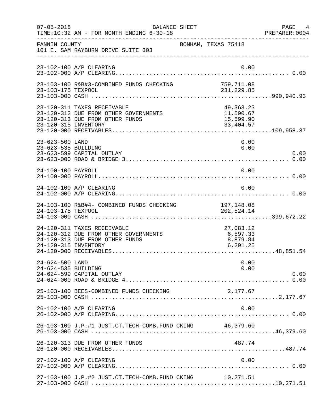| $07 - 05 - 2018$                       | BALANCE SHEET<br>TIME:10:32 AM - FOR MONTH ENDING 6-30-18                                               |                                                    | PAGE 4<br>PREPARER: 0004 |
|----------------------------------------|---------------------------------------------------------------------------------------------------------|----------------------------------------------------|--------------------------|
| FANNIN COUNTY                          | 101 E. SAM RAYBURN DRIVE SUITE 303                                                                      | BONHAM, TEXAS 75418                                |                          |
|                                        | 23-102-100 A/P CLEARING                                                                                 | 0.00                                               |                          |
| 23-103-175 TEXPOOL                     | 23-103-100 R&B#3-COMBINED FUNDS CHECKING                                                                | 759,711.08<br>231, 229.85                          |                          |
| 23-120-315 INVENTORY                   | 23-120-311 TAXES RECEIVABLE<br>23-120-312 DUE FROM OTHER GOVERNMENTS<br>23-120-313 DUE FROM OTHER FUNDS | 49, 363. 23<br>11,590.67<br>15,599.90<br>33,404.57 |                          |
| 23-623-500 LAND<br>23-623-535 BUILDING | 23-623-599 CAPITAL OUTLAY                                                                               | 0.00<br>0.00                                       | 0.00                     |
| 24-100-100 PAYROLL                     |                                                                                                         | 0.00                                               |                          |
|                                        | 24-102-100 A/P CLEARING                                                                                 | 0.00                                               |                          |
| 24-103-175 TEXPOOL                     | 24-103-100 R&B#4- COMBINED FUNDS CHECKING                                                               | 197,148.08<br>202, 524.14                          |                          |
| 24-120-315 INVENTORY                   | 24-120-311 TAXES RECEIVABLE<br>24-120-312 DUE FROM OTHER GOVERNMENTS<br>24-120-313 DUE FROM OTHER FUNDS | 27,083.12<br>6,597.33<br>8,879.84<br>6, 291.25     |                          |
| 24-624-500 LAND<br>24-624-535 BUILDING | 24-624-599 CAPITAL OUTLAY                                                                               | 0.00<br>0.00                                       | 0.00                     |
|                                        | 25-103-100 BEES-COMBINED FUNDS CHECKING                                                                 | 2,177.67                                           |                          |
|                                        | 26-102-100 A/P CLEARING                                                                                 | 0.00                                               |                          |
|                                        | 26-103-100 J.P.#1 JUST.CT.TECH-COMB.FUND CKING 46,379.60                                                |                                                    |                          |
|                                        | 26-120-313 DUE FROM OTHER FUNDS                                                                         | 487.74                                             |                          |
|                                        | 27-102-100 A/P CLEARING                                                                                 | 0.00                                               |                          |
|                                        | 27-103-100 J.P.#2 JUST.CT.TECH-COMB.FUND CKING 10,271.51                                                |                                                    |                          |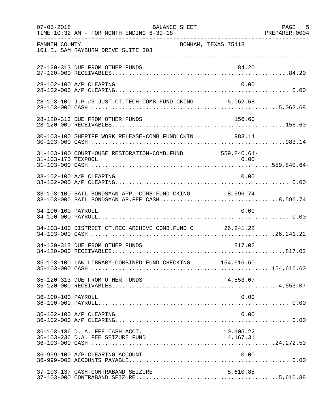| $07 - 05 - 2018$   | BALANCE SHEET<br>TIME:10:32 AM - FOR MONTH ENDING 6-30-18           |                          | PAGE 5 |
|--------------------|---------------------------------------------------------------------|--------------------------|--------|
| FANNIN COUNTY      | 101 E. SAM RAYBURN DRIVE SUITE 303                                  | BONHAM, TEXAS 75418      |        |
|                    | 27-120-313 DUE FROM OTHER FUNDS                                     | 84.20                    |        |
|                    | 28-102-100 A/P CLEARING                                             | 0.00                     |        |
|                    |                                                                     |                          |        |
|                    | 28-120-313 DUE FROM OTHER FUNDS                                     | 156.60                   |        |
|                    | 30-103-100 SHERIFF WORK RELEASE-COMB FUND CKIN 983.14               |                          |        |
| 31-103-175 TEXPOOL | 31-103-100 COURTHOUSE RESTORATION-COMB. FUND 559,840.64-            |                          |        |
|                    | 33-102-100 A/P CLEARING                                             | 0.00                     |        |
|                    | 33-103-100 BAIL BONDSMAN APP.-COMB FUND CKING 8,596.74              |                          |        |
| 34-100-100 PAYROLL |                                                                     | 0.00                     |        |
|                    | 34-103-100 DISTRICT CT.REC.ARCHIVE COMB.FUND C 26, 241.22           |                          |        |
|                    | 34-120-313 DUE FROM OTHER FUNDS                                     | 817.02                   |        |
|                    | 35-103-100 LAW LIBRARY-COMBINED FUND CHECKING 154,616.60            |                          |        |
|                    | 35-120-313 DUE FROM OTHER FUNDS                                     | 4,553.07                 |        |
| 36-100-100 PAYROLL |                                                                     | 0.00                     |        |
|                    | 36-102-100 A/P CLEARING                                             | 0.00                     |        |
|                    | 36-103-136 D. A. FEE CASH ACCT.<br>36-103-236 D.A. FEE SEIZURE FUND | 10,105.22<br>14, 167. 31 |        |
|                    | 36-999-100 A/P CLEARING ACCOUNT                                     | 0.00                     |        |
|                    | 37-103-137 CASH-CONTRABAND SEIZURE                                  | 5,610.88                 |        |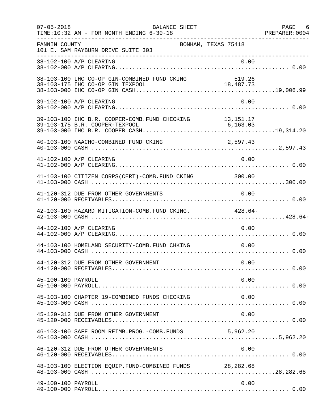| $07 - 05 - 2018$   | BALANCE SHEET<br>TIME:10:32 AM - FOR MONTH ENDING 6-30-18                |                     | PAGE 6<br>PREPARER: 0004 |
|--------------------|--------------------------------------------------------------------------|---------------------|--------------------------|
| FANNIN COUNTY      | 101 E. SAM RAYBURN DRIVE SUITE 303<br>__________________________________ | BONHAM, TEXAS 75418 |                          |
|                    | 38-102-100 A/P CLEARING                                                  | 0.00                |                          |
|                    | 38-103-100 IHC CO-OP GIN-COMBINED FUND CKING                             | 519.26              |                          |
|                    | 39-102-100 A/P CLEARING                                                  | 0.00                |                          |
|                    | 39-103-100 IHC B.R. COOPER-COMB. FUND CHECKING 13, 151.17                |                     |                          |
|                    | 40-103-100 NAACHO-COMBINED FUND CKING                                    | 2,597.43            |                          |
|                    | 41-102-100 A/P CLEARING                                                  | 0.00                |                          |
|                    | 41-103-100 CITIZEN CORPS(CERT)-COMB. FUND CKING 300.00                   |                     |                          |
|                    | 41-120-312 DUE FROM OTHER GOVERNMENTS                                    | 0.00                |                          |
|                    | 42-103-100 HAZARD MITIGATION-COMB. FUND CKING. 428.64-                   |                     |                          |
|                    | 44-102-100 A/P CLEARING                                                  | 0.00                |                          |
|                    | 44-103-100 HOMELAND SECURITY-COMB.FUND CHKING                            | 0.00                |                          |
|                    | 44-120-312 DUE FROM OTHER GOVERNMENT                                     | 0.00                |                          |
| 45-100-100 PAYROLL |                                                                          | 0.00                |                          |
|                    | 45-103-100 CHAPTER 19-COMBINED FUNDS CHECKING                            | 0.00                |                          |
|                    | 45-120-312 DUE FROM OTHER GOVERNMENT                                     | 0.00                |                          |
|                    | 46-103-100 SAFE ROOM REIMB. PROG. - COMB. FUNDS 5, 962.20                |                     |                          |
|                    | 46-120-312 DUE FROM OTHER GOVERNMENTS                                    | 0.00                |                          |
|                    | 48-103-100 ELECTION EQUIP. FUND-COMBINED FUNDS 28, 282.68                |                     |                          |
| 49-100-100 PAYROLL |                                                                          | 0.00                |                          |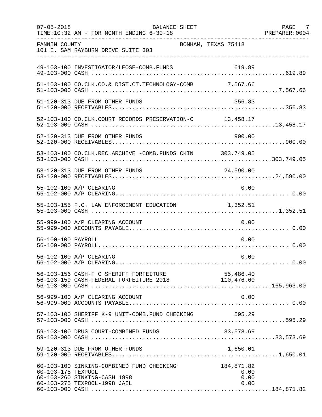| $07 - 05 - 2018$   | <b>BALANCE SHEET</b><br>TIME:10:32 AM - FOR MONTH ENDING 6-30-18                                          |                                    | PAGE 7<br>PREPARER: 0004 |
|--------------------|-----------------------------------------------------------------------------------------------------------|------------------------------------|--------------------------|
| FANNIN COUNTY      | 101 E. SAM RAYBURN DRIVE SUITE 303                                                                        | BONHAM, TEXAS 75418                |                          |
|                    | 49-103-100 INVESTIGATOR/LEOSE-COMB.FUNDS                                                                  | 619.89                             |                          |
|                    | 51-103-100 CO.CLK.CO.& DIST.CT.TECHNOLOGY-COMB 7,567.66                                                   |                                    |                          |
|                    | 51-120-313 DUE FROM OTHER FUNDS                                                                           | 356.83                             |                          |
|                    | 52-103-100 CO.CLK.COURT RECORDS PRESERVATION-C 13,458.17                                                  |                                    |                          |
|                    | 52-120-313 DUE FROM OTHER FUNDS                                                                           | 900.00                             |                          |
|                    | 53-103-100 CO.CLK.REC.ARCHIVE -COMB.FUNDS CKIN 303,749.05                                                 |                                    |                          |
|                    | 53-120-313 DUE FROM OTHER FUNDS                                                                           | 24,590.00                          |                          |
|                    | 55-102-100 A/P CLEARING                                                                                   | 0.00                               |                          |
|                    | 55-103-155 F.C. LAW ENFORCEMENT EDUCATION                                                                 | 1,352.51                           |                          |
|                    | 55-999-100 A/P CLEARING ACCOUNT                                                                           | 0.00                               |                          |
| 56-100-100 PAYROLL |                                                                                                           | 0.00                               |                          |
|                    | 56-102-100 A/P CLEARING                                                                                   | 0.00                               |                          |
|                    | 56-103-156 CASH-F C SHERIFF FORFEITURE 55,486.40<br>56-103-159 CASH-FEDERAL FORFEITURE 2018 110,476.60    |                                    |                          |
|                    | 56-999-100 A/P CLEARING ACCOUNT                                                                           | 0.00                               |                          |
|                    | 57-103-100 SHERIFF K-9 UNIT-COMB.FUND CHECKING 595.29                                                     |                                    |                          |
|                    | 59-103-100 DRUG COURT-COMBINED FUNDS                                                                      | 33,573.69                          |                          |
|                    | 59-120-313 DUE FROM OTHER FUNDS                                                                           | 1,650.01                           |                          |
| 60-103-175 TEXPOOL | 60-103-100 SINKING-COMBINED FUND CHECKING<br>60-103-260 SINKING-CASH 1998<br>60-103-275 TEXPOOL-1998 JAIL | 184,871.82<br>0.00<br>0.00<br>0.00 |                          |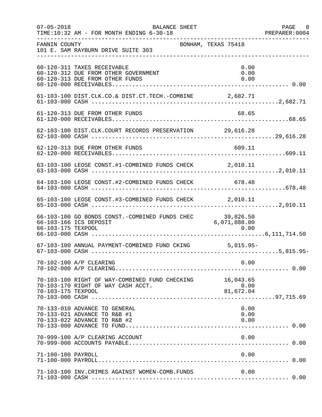| $07 - 05 - 2018$   | BALANCE SHEET<br>TIME:10:32 AM - FOR MONTH ENDING 6-30-18                                              |                      | PAGE 8<br>PREPARER: 0004 |
|--------------------|--------------------------------------------------------------------------------------------------------|----------------------|--------------------------|
| FANNIN COUNTY      | 101 E. SAM RAYBURN DRIVE SUITE 303                                                                     | BONHAM, TEXAS 75418  |                          |
|                    | 60-120-311 TAXES RECEIVABLE<br>60-120-312 DUE FROM OTHER GOVERNMENT<br>60-120-313 DUE FROM OTHER FUNDS | 0.00<br>0.00<br>0.00 |                          |
|                    |                                                                                                        |                      |                          |
|                    | 61-120-313 DUE FROM OTHER FUNDS                                                                        | 68.65                |                          |
|                    | 62-103-100 DIST.CLK.COURT RECORDS PRESERVATION 29,616.28                                               |                      |                          |
|                    | 62-120-313 DUE FROM OTHER FUNDS                                                                        | 609.11               |                          |
|                    | 63-103-100 LEOSE CONST.#1-COMBINED FUNDS CHECK 2,010.11                                                |                      |                          |
|                    | 64-103-100 LEOSE CONST.#2-COMBINED FUNDS CHECK 678.48                                                  |                      |                          |
|                    | 65-103-100 LEOSE CONST.#3-COMBINED FUNDS CHECK 2,010.11                                                |                      |                          |
|                    | 66-103-100 GO BONDS CONST.-COMBINED FUNDS CHEC 39,826.50<br>66-103-166 ICS DEPOSIT                     | 6,071,888.00         |                          |
|                    | 67-103-100 ANNUAL PAYMENT-COMBINED FUND CKING 5,815.95-                                                |                      |                          |
|                    | 70-102-100 A/P CLEARING                                                                                | 0.00                 |                          |
| 70-103-175 TEXPOOL | 70-103-100 RIGHT OF WAY-COMBINED FUND CHECKING 16,043.65<br>70-103-170 RIGHT OF WAY CASH ACCT.         | 0.00<br>81,672.04    |                          |
|                    | 70-133-010 ADVANCE TO GENERAL<br>70-133-021 ADVANCE TO R&B #1<br>70-133-022 ADVANCE TO R&B #2          | 0.00<br>0.00<br>0.00 |                          |
|                    | 70-999-100 A/P CLEARING ACCOUNT                                                                        | 0.00                 |                          |
| 71-100-100 PAYROLL |                                                                                                        | 0.00                 |                          |
|                    | 71-103-100 INV. CRIMES AGAINST WOMEN-COMB. FUNDS                                                       | 0.00                 |                          |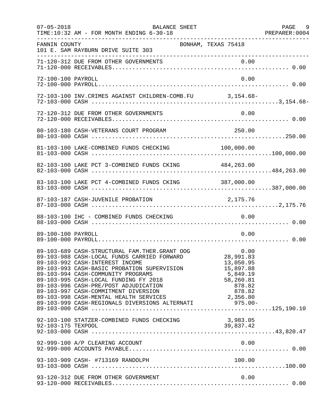| $07 - 05 - 2018$   | BALANCE SHEET<br>TIME:10:32 AM - FOR MONTH ENDING 6-30-18<br>. _ _ _ _ _ _ _ _ _ _ _ _ _ _ _ _ _                                                                                                                                               |                                                                     | PAGE 9 |
|--------------------|------------------------------------------------------------------------------------------------------------------------------------------------------------------------------------------------------------------------------------------------|---------------------------------------------------------------------|--------|
| FANNIN COUNTY      | BONHAM, TEXAS 75418<br>101 E. SAM RAYBURN DRIVE SUITE 303                                                                                                                                                                                      |                                                                     |        |
|                    |                                                                                                                                                                                                                                                |                                                                     |        |
| 72-100-100 PAYROLL |                                                                                                                                                                                                                                                | 0.00                                                                |        |
|                    | 72-103-100 INV. CRIMES AGAINST CHILDREN-COMB. FU 3, 154.68-                                                                                                                                                                                    |                                                                     |        |
|                    | 72-120-312 DUE FROM OTHER GOVERNMENTS                                                                                                                                                                                                          | 0.00                                                                |        |
|                    |                                                                                                                                                                                                                                                |                                                                     |        |
|                    |                                                                                                                                                                                                                                                |                                                                     |        |
|                    | 82-103-100 LAKE PCT 3-COMBINED FUNDS CKING 484,263.00                                                                                                                                                                                          |                                                                     |        |
|                    | 83-103-100 LAKE PCT 4-COMBINED FUNDS CKING 387,000.00                                                                                                                                                                                          |                                                                     |        |
|                    | 87-103-187 CASH-JUVENILE PROBATION                                                                                                                                                                                                             | 2,175.76                                                            |        |
|                    | 88-103-100 IHC - COMBINED FUNDS CHECKING                                                                                                                                                                                                       | 0.00                                                                |        |
| 89-100-100 PAYROLL |                                                                                                                                                                                                                                                | 0.00                                                                |        |
|                    | 89-103-992 CASH-INTEREST INCOME<br>89-103-993 CASH-BASIC PROBATION SUPERVISION<br>89-103-994 CASH-COMMUNITY PROGRAMS<br>89-103-995 CASH-LOCAL FUNDING FY 2018<br>89-103-996 CASH-PRE/POST ADJUDICATION<br>89-103-997 CASH-COMMITMENT DIVERSION | 13,050.95<br>15,897.88<br>5,849.19<br>58,260.81<br>878.82<br>878.82 |        |
|                    | 92-103-100 STATZER-COMBINED FUNDS CHECKING                                                                                                                                                                                                     | 3,983.05                                                            |        |
|                    | 92-999-100 A/P CLEARING ACCOUNT                                                                                                                                                                                                                | 0.00                                                                |        |
|                    |                                                                                                                                                                                                                                                | 100.00                                                              |        |
|                    | 93-120-312 DUE FROM OTHER GOVERNMENT                                                                                                                                                                                                           | 0.00                                                                |        |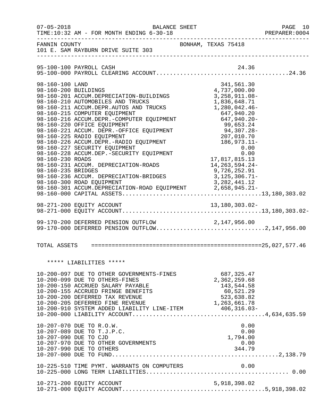| $07 - 05 - 2018$                                                                  | BALANCE SHEET<br>TIME:10:32 AM - FOR MONTH ENDING 6-30-18                                                                                                                                                                                                                                                                                                                                                                                                                                                                                                                                                         |                                                                                                                          |                                                                                                                                        | PAGE 10<br>PREPARER:0004 |  |
|-----------------------------------------------------------------------------------|-------------------------------------------------------------------------------------------------------------------------------------------------------------------------------------------------------------------------------------------------------------------------------------------------------------------------------------------------------------------------------------------------------------------------------------------------------------------------------------------------------------------------------------------------------------------------------------------------------------------|--------------------------------------------------------------------------------------------------------------------------|----------------------------------------------------------------------------------------------------------------------------------------|--------------------------|--|
| FANNIN COUNTY                                                                     | 101 E. SAM RAYBURN DRIVE SUITE 303                                                                                                                                                                                                                                                                                                                                                                                                                                                                                                                                                                                | BONHAM, TEXAS 75418                                                                                                      |                                                                                                                                        |                          |  |
|                                                                                   | 95-100-100 PAYROLL CASH                                                                                                                                                                                                                                                                                                                                                                                                                                                                                                                                                                                           |                                                                                                                          | 24.36                                                                                                                                  |                          |  |
| 98-160-100 LAND<br>98-160-200 BUILDINGS<br>98-160-230 ROADS<br>98-160-235 BRIDGES | 98-160-201 ACCUM.DEPRECIATION-BUILDINGS<br>98-160-210 AUTOMOBILES AND TRUCKS<br>98-160-211 ACCUM.DEPR.AUTOS AND TRUCKS<br>98-160-215 COMPUTER EQUIPMENT<br>98-160-216 ACCUM.DEPR.-COMPUTER EQUIPMENT<br>98-160-220 OFFICE EQUIPMENT<br>98-160-221 ACCUM. DEPR.-OFFICE EQUIPMENT<br>98-160-225 RADIO EQUIPMENT<br>98-160-226 ACCUM.DEPR.-RADIO EQUIPMENT<br>98-160-227 SECURITY EQUIPMENT<br>98-160-228 ACCUM.DEP.-SECURITY EQUIPMENT<br>98-160-231 ACCUM. DEPRECIATION-ROADS<br>98-160-236 ACCUM. DEPRECIATION-BRIDGES<br>98-160-300 ROAD EQUIPMENT<br>98-160-301 ACCUM.DEPRECIATION-ROAD EQUIPMENT 2,658,945.21- | 1,280,042.46-<br>$94,307.20$<br>$207,010.70$<br>$186,973.11$<br>$0.00$<br>17,817,815.13<br>9,726,252.91<br>3,125,306.71- | 341,561.30<br>4,737,000.00<br>3, 258, 911.08-<br>1,836,648.71<br>647,940.20<br>647,940.20-<br>0.00<br>14,263,594.24-<br>3, 282, 441.12 |                          |  |
|                                                                                   |                                                                                                                                                                                                                                                                                                                                                                                                                                                                                                                                                                                                                   |                                                                                                                          |                                                                                                                                        |                          |  |
|                                                                                   | 99-170-200 DEFERRED PENSION OUTFLOW<br>99-170-200 DEFERRED PENSION OUTFLOW 2,147,956.00<br>99-170-000 DEFERRED PENSION OUTFLOW2,147,956.00                                                                                                                                                                                                                                                                                                                                                                                                                                                                        |                                                                                                                          |                                                                                                                                        |                          |  |
|                                                                                   |                                                                                                                                                                                                                                                                                                                                                                                                                                                                                                                                                                                                                   |                                                                                                                          |                                                                                                                                        |                          |  |
|                                                                                   | ***** LIABILITIES *****                                                                                                                                                                                                                                                                                                                                                                                                                                                                                                                                                                                           |                                                                                                                          |                                                                                                                                        |                          |  |
|                                                                                   | 10-200-097 DUE TO OTHER GOVERNMENTS-FINES<br>10-200-099 DUE TO OTHERS-FINES<br>10-200-150 ACCRUED SALARY PAYABLE<br>10-200-155 ACCRUED FRINGE BENEFITS<br>10-200-200 DEFERRED TAX REVENUE<br>10-200-205 DEFERRED FINE REVENUE                                                                                                                                                                                                                                                                                                                                                                                     | 1,263,661.78                                                                                                             | 687, 325.47<br>2,362,259.68<br>143,544.58<br>60,521.29<br>523,638.82                                                                   |                          |  |
|                                                                                   | 10-207-070 DUE TO R.O.W.<br>10-207-089 DUE TO T.J.P.C.<br>10-207-090 DUE TO CJD<br>10-207-970 DUE TO OTHER GOVERNMENTS<br>10-207-990 DUE TO OTHERS                                                                                                                                                                                                                                                                                                                                                                                                                                                                |                                                                                                                          | 0.00<br>0.00<br>1,794.00<br>0.00<br>344.79                                                                                             |                          |  |
|                                                                                   | 10-225-510 TIME PYMT. WARRANTS ON COMPUTERS                                                                                                                                                                                                                                                                                                                                                                                                                                                                                                                                                                       |                                                                                                                          | 0.00                                                                                                                                   |                          |  |
|                                                                                   | 10-271-200 EQUITY ACCOUNT                                                                                                                                                                                                                                                                                                                                                                                                                                                                                                                                                                                         |                                                                                                                          | 5,918,398.02                                                                                                                           |                          |  |
|                                                                                   |                                                                                                                                                                                                                                                                                                                                                                                                                                                                                                                                                                                                                   |                                                                                                                          |                                                                                                                                        |                          |  |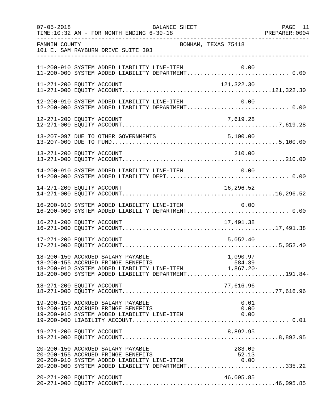| $07 - 05 - 2018$ | BALANCE SHEET<br>TIME:10:32 AM - FOR MONTH ENDING 6-30-18                                                                                                                                                     | PAGE 11 |
|------------------|---------------------------------------------------------------------------------------------------------------------------------------------------------------------------------------------------------------|---------|
| FANNIN COUNTY    | BONHAM, TEXAS 75418<br>101 E. SAM RAYBURN DRIVE SUITE 303                                                                                                                                                     |         |
|                  | 11-200-910 SYSTEM ADDED LIABILITY LINE-ITEM<br>0.00                                                                                                                                                           |         |
|                  | 11-271-200 EQUITY ACCOUNT<br>121,322.30                                                                                                                                                                       |         |
|                  | 12-200-910 SYSTEM ADDED LIABILITY LINE-ITEM<br>0.00<br>12-200-000 SYSTEM ADDED LIABILITY DEPARTMENT 0.00                                                                                                      |         |
|                  | 7,619.28<br>12-271-200 EQUITY ACCOUNT                                                                                                                                                                         |         |
|                  |                                                                                                                                                                                                               |         |
|                  | 13-271-200 EQUITY ACCOUNT<br>210.00                                                                                                                                                                           |         |
|                  | 14-200-910 SYSTEM ADDED LIABILITY LINE-ITEM<br>0.00                                                                                                                                                           |         |
|                  | 16,296.52<br>14-271-200 EQUITY ACCOUNT                                                                                                                                                                        |         |
|                  | 16-200-910 SYSTEM ADDED LIABILITY LINE-ITEM<br>0.00<br>16-200-000 SYSTEM ADDED LIABILITY DEPARTMENT 0.00                                                                                                      |         |
|                  | 16-271-200 EQUITY ACCOUNT<br>17,491.38                                                                                                                                                                        |         |
|                  | 5,052.40<br>17-271-200 EQUITY ACCOUNT                                                                                                                                                                         |         |
|                  | 18-200-150 ACCRUED SALARY PAYABLE<br>1,090.97<br>584.39<br>18-200-155 ACCRUED FRINGE BENEFITS<br>18-200-910 SYSTEM ADDED LIABILITY LINE-ITEM 1,867.20-<br>18-200-000 SYSTEM ADDED LIABILITY DEPARTMENT191.84- |         |
|                  | 18-271-200 EQUITY ACCOUNT<br>77,616.96                                                                                                                                                                        |         |
|                  | 19-200-150 ACCRUED SALARY PAYABLE<br>0.01<br>19-200-155 ACCRUED FRINGE BENEFITS<br>0.00<br>19-200-910 SYSTEM ADDED LIABILITY LINE-ITEM<br>0.00                                                                |         |
|                  | 8,892.95<br>19-271-200 EQUITY ACCOUNT                                                                                                                                                                         |         |
|                  | 20-200-150 ACCRUED SALARY PAYABLE<br>283.09<br>20-200-155 ACCRUED FRINGE BENEFITS<br>52.13<br>20-200-910 SYSTEM ADDED LIABILITY LINE-ITEM<br>0.00<br>20-200-000 SYSTEM ADDED LIABILITY DEPARTMENT335.22       |         |
|                  | 20-271-200 EQUITY ACCOUNT<br>46,095.85                                                                                                                                                                        |         |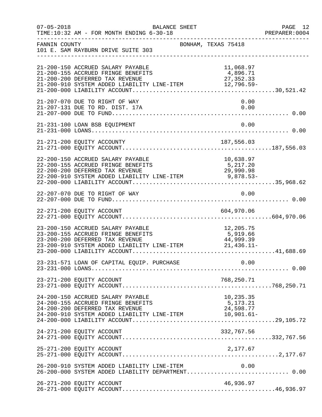| $07 - 05 - 2018$ | <b>BALANCE SHEET</b><br>TIME:10:32 AM - FOR MONTH ENDING 6-30-18                                                                                                                       |                     |                        | PAGE 12<br>PREPARER: 0004 |
|------------------|----------------------------------------------------------------------------------------------------------------------------------------------------------------------------------------|---------------------|------------------------|---------------------------|
| FANNIN COUNTY    | 101 E. SAM RAYBURN DRIVE SUITE 303                                                                                                                                                     | BONHAM, TEXAS 75418 |                        |                           |
|                  | 21-200-150 ACCRUED SALARY PAYABLE<br>21-200-155 ACCRUED FRINGE BENEFITS<br>21-200-910 SYSTEM ADDED LIABILITY LINE-ITEM 27,352.33<br>21-200-000 LIABILITY ACCOUNT                       |                     | 11,068.97<br>4,896.71  |                           |
|                  | 21-207-070 DUE TO RIGHT OF WAY<br>21-207-131 DUE TO RD. DIST. 17A                                                                                                                      |                     | 0.00<br>0.00           |                           |
|                  | 21-231-100 LOAN BSB EQUIPMENT                                                                                                                                                          |                     | 0.00                   |                           |
|                  |                                                                                                                                                                                        |                     |                        |                           |
|                  | 22-200-150 ACCRUED SALARY PAYABLE<br>22-200-155 ACCRUED FRINGE BENEFITS 5,217.20<br>22-200-200 DEFERRED TAX REVENUE 29,990.98<br>22-200-910 SYSTEM ADDED LIABILITY LINE-ITEM 9,878.53- |                     | 10,638.97<br>5, 217.20 |                           |
|                  | 22-207-070 DUE TO RIGHT OF WAY                                                                                                                                                         |                     | 0.00                   |                           |
|                  |                                                                                                                                                                                        |                     |                        |                           |
|                  | 23-200-150 ACCRUED SALARY PAYABLE<br>23-200-200 DEFERRED TAX REVENUE<br>23-200-910 SYSTEM ADDED LIABILITY LINE-ITEM 44,999.39<br>23-200-000 LIABILITY ACCOUNT                          |                     | 12,205.75              |                           |
|                  |                                                                                                                                                                                        |                     |                        |                           |
|                  |                                                                                                                                                                                        |                     |                        |                           |
|                  | 24-200-150 ACCRUED SALARY PAYABLE<br>24-200-200 DEFERRED TAX REVENUE<br>24-200-910 SYSTEM ADDED LIABILITY LINE-ITEM 24,598.77<br>24-200-000 LIABILITY ACCOUNT                          |                     | 10,235.35              |                           |
|                  | 24-271-200 EQUITY ACCOUNT                                                                                                                                                              |                     | 332,767.56             |                           |
|                  |                                                                                                                                                                                        |                     |                        |                           |
|                  | 26-200-910 SYSTEM ADDED LIABILITY LINE-ITEM<br>26-200-000 SYSTEM ADDED LIABILITY DEPARTMENT 0.00                                                                                       |                     | 0.00                   |                           |
|                  | 26-271-200 EQUITY ACCOUNT                                                                                                                                                              |                     | 46,936.97              |                           |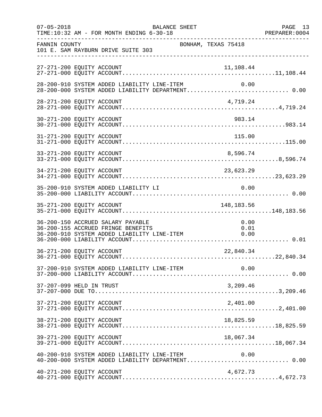| $07 - 05 - 2018$ | BALANCE SHEET<br>TIME:10:32 AM - FOR MONTH ENDING 6-30-18                                                                                      | PAGE 13<br>PREPARER: 0004 |
|------------------|------------------------------------------------------------------------------------------------------------------------------------------------|---------------------------|
| FANNIN COUNTY    | BONHAM, TEXAS 75418<br>101 E. SAM RAYBURN DRIVE SUITE 303                                                                                      |                           |
|                  | 27-271-200 EQUITY ACCOUNT<br>11,108.44                                                                                                         |                           |
|                  | 28-200-910 SYSTEM ADDED LIABILITY LINE-ITEM<br>0.00<br>28-200-000 SYSTEM ADDED LIABILITY DEPARTMENT 0.00                                       |                           |
|                  | 28-271-200 EQUITY ACCOUNT<br>4,719.24                                                                                                          |                           |
|                  | 983.14<br>30-271-200 EQUITY ACCOUNT                                                                                                            |                           |
|                  |                                                                                                                                                |                           |
|                  | 33-271-200 EQUITY ACCOUNT<br>8,596.74                                                                                                          |                           |
|                  | 34-271-200 EQUITY ACCOUNT<br>23,623.29                                                                                                         |                           |
|                  | 0.00<br>35-200-910 SYSTEM ADDED LIABILITY LI                                                                                                   |                           |
|                  | 35-271-200 EQUITY ACCOUNT<br>148,183.56                                                                                                        |                           |
|                  | 36-200-150 ACCRUED SALARY PAYABLE<br>0.00<br>36-200-155 ACCRUED FRINGE BENEFITS<br>0.01<br>36-200-910 SYSTEM ADDED LIABILITY LINE-ITEM<br>0.00 |                           |
|                  | 36-271-200 EQUITY ACCOUNT<br>22,840.34                                                                                                         |                           |
|                  | 37-200-910 SYSTEM ADDED LIABILITY LINE-ITEM<br>0.00                                                                                            |                           |
|                  | 37-207-099 HELD IN TRUST<br>3,209.46                                                                                                           |                           |
|                  | 37-271-200 EQUITY ACCOUNT<br>2,401.00                                                                                                          |                           |
|                  | 38-271-200 EQUITY ACCOUNT<br>18,825.59                                                                                                         |                           |
|                  | 39-271-200 EQUITY ACCOUNT<br>18,067.34                                                                                                         |                           |
|                  | $40-200-910$ SYSTEM ADDED LIABILITY LINE-ITEM $0.00$<br>$40-200-000$ SYSTEM ADDED LIABILITY DEPARTMENT0.00                                     |                           |
|                  | 40-271-200 EQUITY ACCOUNT<br>4,672.73                                                                                                          |                           |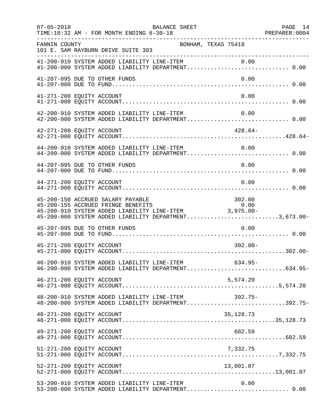| $07 - 05 - 2018$          | TIME:10:32 AM - FOR MONTH ENDING 6-30-18    | BALANCE SHEET                                                                                                                                                                                  |            | PAGE 14 |
|---------------------------|---------------------------------------------|------------------------------------------------------------------------------------------------------------------------------------------------------------------------------------------------|------------|---------|
| FANNIN COUNTY             | 101 E. SAM RAYBURN DRIVE SUITE 303          | BONHAM, TEXAS 75418                                                                                                                                                                            |            |         |
|                           |                                             | 41-200-910 SYSTEM ADDED LIABILITY LINE-ITEM 0.00<br>41-200-000 SYSTEM ADDED LIABILITY DEPARTMENT 0.00                                                                                          |            |         |
|                           | 41-207-095 DUE TO OTHER FUNDS               |                                                                                                                                                                                                | 0.00       |         |
| 41-271-200 EQUITY ACCOUNT |                                             |                                                                                                                                                                                                | 0.00       |         |
|                           |                                             | 42-200-910 SYSTEM ADDED LIABILITY LINE-ITEM<br>42-200-000 SYSTEM ADDED LIABILITY DEPARTMENT 0.00                                                                                               | 0.00       |         |
| 42-271-200 EQUITY ACCOUNT |                                             |                                                                                                                                                                                                | $428.64-$  |         |
|                           | 44-200-910 SYSTEM ADDED LIABILITY LINE-ITEM | 44-200-000 SYSTEM ADDED LIABILITY DEPARTMENT 0.00                                                                                                                                              | 0.00       |         |
|                           | 44-207-095 DUE TO OTHER FUNDS               |                                                                                                                                                                                                | 0.00       |         |
| 44-271-200 EQUITY ACCOUNT |                                             |                                                                                                                                                                                                | 0.00       |         |
|                           | 45-200-150 ACCRUED SALARY PAYABLE           | 45-200-150 ACCROED SALARY PAYABLE<br>45-200-155 ACCROED FRINGE BENEFITS 0.00<br>45-200-910 SYSTEM ADDED LIABILITY LINE-ITEM 3,975.00-<br>45-200-000 SYSTEM ADDED LIABILITY DEPARTMENT3,673.00- | 302.00     |         |
|                           | 45-207-095 DUE TO OTHER FUNDS               |                                                                                                                                                                                                | 0.00       |         |
| 45-271-200 EQUITY ACCOUNT |                                             |                                                                                                                                                                                                | $302.00 -$ |         |
|                           |                                             | 46-200-910 SYSTEM ADDED LIABILITY LINE-ITEM<br>46-200-000 SYSTEM ADDED LIABILITY DEPARTMENT634.95-                                                                                             | $634.95-$  |         |
| 46-271-200 EQUITY ACCOUNT |                                             |                                                                                                                                                                                                | 5,574.20   |         |
|                           |                                             | 48-200-910 SYSTEM ADDED LIABILITY LINE-ITEM 392.75-<br>48-200-000 SYSTEM ADDED LIABILITY DEPARTMENT392.75-                                                                                     |            |         |
| 48-271-200 EQUITY ACCOUNT |                                             |                                                                                                                                                                                                | 35,128.73  |         |
| 49-271-200 EQUITY ACCOUNT |                                             |                                                                                                                                                                                                | 682.59     |         |
| 51-271-200 EQUITY ACCOUNT |                                             |                                                                                                                                                                                                | 7,332.75   |         |
| 52-271-200 EQUITY ACCOUNT |                                             |                                                                                                                                                                                                | 13,001.07  |         |
|                           | 53-200-910 SYSTEM ADDED LIABILITY LINE-ITEM | 53-200-000 SYSTEM ADDED LIABILITY DEPARTMENT 0.00                                                                                                                                              | 0.00       |         |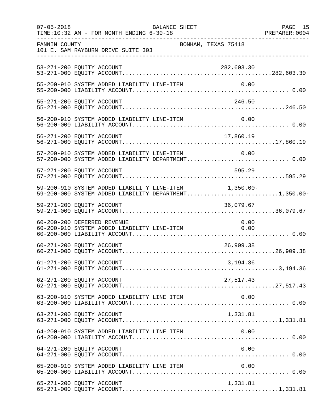| $07 - 05 - 2018$ | BALANCE SHEET<br>TIME:10:32 AM - FOR MONTH ENDING 6-30-18                                                      | PAGE 15<br>PREPARER: 0004 |
|------------------|----------------------------------------------------------------------------------------------------------------|---------------------------|
| FANNIN COUNTY    | BONHAM, TEXAS 75418<br>101 E. SAM RAYBURN DRIVE SUITE 303<br>-----------------------------                     |                           |
|                  | 53-271-200 EQUITY ACCOUNT<br>282,603.30                                                                        |                           |
|                  | 55-200-910 SYSTEM ADDED LIABILITY LINE-ITEM                                                                    | 0.00                      |
|                  | 55-271-200 EQUITY ACCOUNT                                                                                      | 246.50                    |
|                  | 56-200-910 SYSTEM ADDED LIABILITY LINE-ITEM                                                                    | 0.00                      |
|                  |                                                                                                                |                           |
|                  | 57-200-910 SYSTEM ADDED LIABILITY LINE-ITEM<br>57-200-000 SYSTEM ADDED LIABILITY DEPARTMENT 0.00               | 0.00                      |
|                  | 57-271-200 EQUITY ACCOUNT                                                                                      | 595.29                    |
|                  | 59-200-910 SYSTEM ADDED LIABILITY LINE-ITEM 1,350.00-<br>59-200-000 SYSTEM ADDED LIABILITY DEPARTMENT1,350.00- |                           |
|                  | 59-271-200 EQUITY ACCOUNT<br>36,079.67                                                                         |                           |
|                  | 60-200-200 DEFERRED REVENUE<br>60-200-910 SYSTEM ADDED LIABILITY LINE-ITEM 0.00                                | 0.00                      |
|                  | 26,909.38<br>60-271-200 EQUITY ACCOUNT                                                                         |                           |
|                  | 61-271-200 EQUITY ACCOUNT<br>3,194.36                                                                          |                           |
|                  | 62-271-200 EQUITY ACCOUNT<br>27,517.43                                                                         |                           |
|                  | 63-200-910 SYSTEM ADDED LIABILITY LINE ITEM                                                                    | 0.00                      |
|                  | 63-271-200 EQUITY ACCOUNT<br>1,331.81                                                                          |                           |
|                  | 64-200-910 SYSTEM ADDED LIABILITY LINE ITEM                                                                    | 0.00                      |
|                  | 64-271-200 EQUITY ACCOUNT                                                                                      | 0.00                      |
|                  | 65-200-910 SYSTEM ADDED LIABILITY LINE ITEM                                                                    | 0.00                      |
|                  | 65-271-200 EQUITY ACCOUNT<br>1,331.81                                                                          |                           |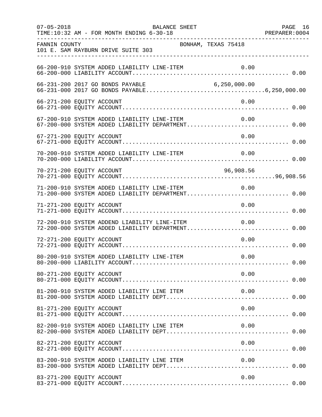| $07 - 05 - 2018$          | TIME:10:32 AM - FOR MONTH ENDING 6-30-18         | BALANCE SHEET       |                                                                                                       | PAGE 16 |
|---------------------------|--------------------------------------------------|---------------------|-------------------------------------------------------------------------------------------------------|---------|
| FANNIN COUNTY             | 101 E. SAM RAYBURN DRIVE SUITE 303               | BONHAM, TEXAS 75418 |                                                                                                       |         |
|                           | 66-200-910 SYSTEM ADDED LIABILITY LINE-ITEM      |                     |                                                                                                       |         |
|                           |                                                  |                     |                                                                                                       |         |
| 66-271-200 EQUITY ACCOUNT |                                                  |                     | 0.00                                                                                                  |         |
|                           |                                                  |                     | 67-200-910 SYSTEM ADDED LIABILITY LINE-ITEM 0.00<br>67-200-000 SYSTEM ADDED LIABILITY DEPARTMENT 0.00 |         |
| 67-271-200 EQUITY ACCOUNT |                                                  |                     | 0.00                                                                                                  |         |
|                           | 70-200-910 SYSTEM ADDED LIABILITY LINE-ITEM      |                     | 0.00                                                                                                  |         |
| 70-271-200 EQUITY ACCOUNT |                                                  |                     | 96,908.56                                                                                             |         |
|                           | 71-200-910 SYSTEM ADDED LIABILITY LINE-ITEM 0.00 |                     | 71-200-000 SYSTEM ADDED LIABILITY DEPARTMENT 0.00                                                     |         |
| 71-271-200 EQUITY ACCOUNT |                                                  |                     | 0.00                                                                                                  |         |
|                           | 72-200-910 SYSTEM ADDEND LIABILITY LINE-ITEM     |                     | 0.00<br>72-200-000 SYSTEM ADDED LIABILITY DEPARTMENT 0.00                                             |         |
| 72-271-200 EQUITY ACCOUNT |                                                  |                     | 0.00                                                                                                  |         |
|                           | 80-200-910 SYSTEM ADDED LIABILITY LINE-ITEM      |                     | 0.00                                                                                                  |         |
| 80-271-200 EQUITY ACCOUNT |                                                  |                     | 0.00                                                                                                  |         |
|                           | 81-200-910 SYSTEM ADDED LIABILITY LINE ITEM      |                     | 0.00                                                                                                  |         |
| 81-271-200 EQUITY ACCOUNT |                                                  |                     | 0.00                                                                                                  |         |
|                           | 82-200-910 SYSTEM ADDED LIABILITY LINE ITEM      |                     | 0.00                                                                                                  |         |
| 82-271-200 EQUITY ACCOUNT |                                                  |                     | 0.00                                                                                                  |         |
|                           | 83-200-910 SYSTEM ADDED LIABILITY LINE ITEM      |                     | 0.00                                                                                                  |         |
| 83-271-200 EQUITY ACCOUNT |                                                  |                     | 0.00                                                                                                  |         |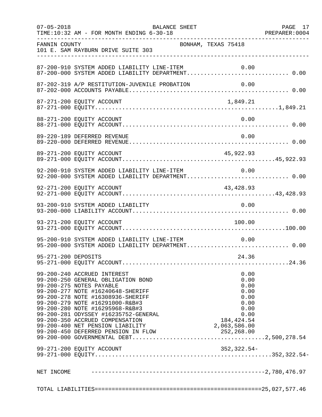| $07 - 05 - 2018$    | TIME:10:32 AM - FOR MONTH ENDING 6-30-18                                                                                                                                                                                                                                                                                                                                                            |                                                                                             |  |
|---------------------|-----------------------------------------------------------------------------------------------------------------------------------------------------------------------------------------------------------------------------------------------------------------------------------------------------------------------------------------------------------------------------------------------------|---------------------------------------------------------------------------------------------|--|
| FANNIN COUNTY       | 101 E. SAM RAYBURN DRIVE SUITE 303                                                                                                                                                                                                                                                                                                                                                                  | BONHAM, TEXAS 75418                                                                         |  |
|                     | 87-200-910 SYSTEM ADDED LIABILITY LINE-ITEM                                                                                                                                                                                                                                                                                                                                                         | 0.00                                                                                        |  |
|                     | 87-202-319 A/P RESTITUTION-JUVENILE PROBATION                                                                                                                                                                                                                                                                                                                                                       | 0.00                                                                                        |  |
|                     | 87-271-200 EQUITY ACCOUNT                                                                                                                                                                                                                                                                                                                                                                           | 1,849.21                                                                                    |  |
|                     | 88-271-200 EQUITY ACCOUNT                                                                                                                                                                                                                                                                                                                                                                           | 0.00                                                                                        |  |
|                     | 89-220-189 DEFERRED REVENUE                                                                                                                                                                                                                                                                                                                                                                         | 0.00                                                                                        |  |
|                     | 89-271-200 EQUITY ACCOUNT                                                                                                                                                                                                                                                                                                                                                                           | 45,922.93                                                                                   |  |
|                     | 92-200-910 SYSTEM ADDED LIABILITY LINE-ITEM<br>92-200-000 SYSTEM ADDED LIABILITY DEPARTMENT 0.00                                                                                                                                                                                                                                                                                                    | 0.00                                                                                        |  |
|                     | 92-271-200 EQUITY ACCOUNT                                                                                                                                                                                                                                                                                                                                                                           | 43,428.93                                                                                   |  |
|                     | 93-200-910 SYSTEM ADDED LIABILITY                                                                                                                                                                                                                                                                                                                                                                   | 0.00                                                                                        |  |
|                     | 93-271-200 EQUITY ACCOUNT                                                                                                                                                                                                                                                                                                                                                                           | 100.00                                                                                      |  |
|                     | 95-200-910 SYSTEM ADDED LIABILITY LINE-ITEM 0.00<br>95-200-000 SYSTEM ADDED LIABILITY DEPARTMENT 0.00                                                                                                                                                                                                                                                                                               |                                                                                             |  |
| 95-271-200 DEPOSITS |                                                                                                                                                                                                                                                                                                                                                                                                     | 24.36                                                                                       |  |
|                     | 99-200-240 ACCRUED INTEREST<br>99-200-250 GENERAL OBLIGATION BOND<br>99-200-275 NOTES PAYABLE<br>99-200-277 NOTE #16240648-SHERIFF<br>99-200-278 NOTE #16308936-SHERIFF<br>99-200-279 NOTE #16291000-R&B#3<br>99-200-280 NOTE #16295968-R&B#3<br>99-200-281 ODYSSEY #16235752-GENERAL<br>99-200-350 ACCRUED COMPENSATION<br>99-200-400 NET PENSION LIABILITY<br>99-200-450 DEFERRED PENSION IN FLOW | 0.00<br>0.00<br>0.00<br>0.00<br>0.00<br>0.00<br>0.00<br>0.00<br>184, 424.54<br>2,063,586.00 |  |
|                     | 99-271-200 EQUITY ACCOUNT                                                                                                                                                                                                                                                                                                                                                                           | 352,322.54-                                                                                 |  |
|                     |                                                                                                                                                                                                                                                                                                                                                                                                     |                                                                                             |  |
|                     |                                                                                                                                                                                                                                                                                                                                                                                                     |                                                                                             |  |
|                     |                                                                                                                                                                                                                                                                                                                                                                                                     |                                                                                             |  |